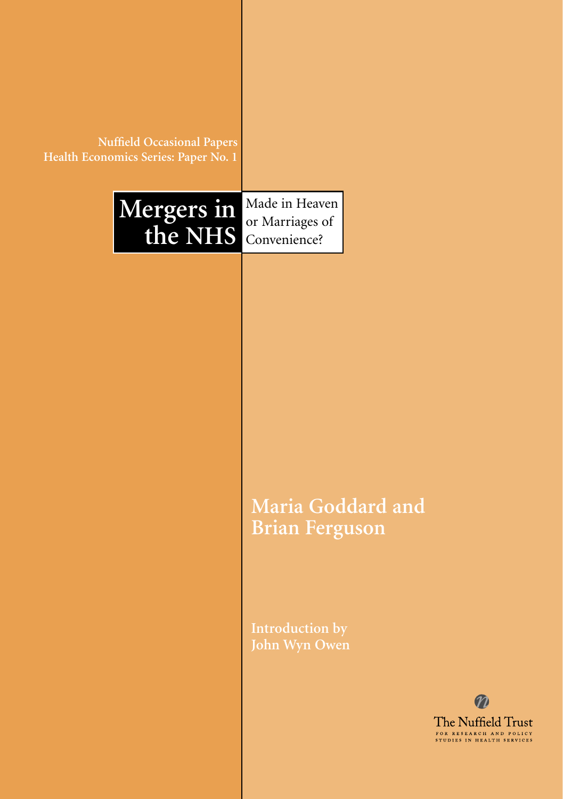| <b>Nuffield Occasional Papers</b><br>Health Economics Series: Paper No. 1 |                                                   |  |
|---------------------------------------------------------------------------|---------------------------------------------------|--|
| Mergers in<br>the NHS                                                     | Made in Heaven<br>or Marriages of<br>Convenience? |  |
|                                                                           |                                                   |  |
|                                                                           |                                                   |  |
|                                                                           |                                                   |  |
|                                                                           | Maria Goddard and<br><b>Brian Ferguson</b>        |  |
|                                                                           | <b>Introduction by</b><br>John Wyn Owen           |  |
|                                                                           |                                                   |  |

т

 $\boldsymbol{\varpi}$ 

The Nuffield Trust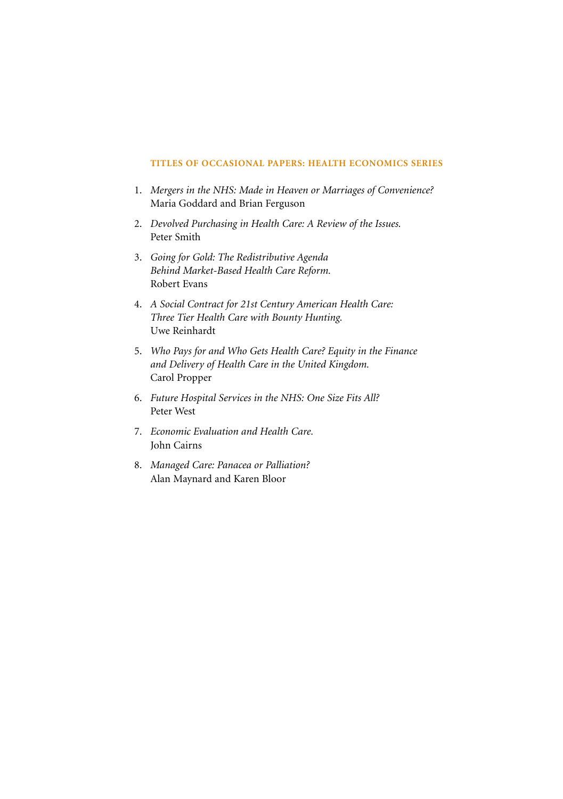#### **TITLES OF OCCASIONAL PAPERS: HEALTH ECONOMICS SERIES**

- 1. *Mergers in the NHS: Made in Heaven or Marriages of Convenience?* Maria Goddard and Brian Ferguson
- 2. *Devolved Purchasing in Health Care: A Review of the Issues.* Peter Smith
- 3. *Going for Gold: The Redistributive Agenda Behind Market-Based Health Care Reform.* Robert Evans
- 4. *A Social Contract for 21st Century American Health Care: Three Tier Health Care with Bounty Hunting.* Uwe Reinhardt
- 5. *Who Pays for and Who Gets Health Care? Equity in the Finance and Delivery of Health Care in the United Kingdom.* Carol Propper
- 6. *Future Hospital Services in the NHS: One Size Fits All?* Peter West
- 7. *Economic Evaluation and Health Care.* John Cairns
- 8. *Managed Care: Panacea or Palliation?* Alan Maynard and Karen Bloor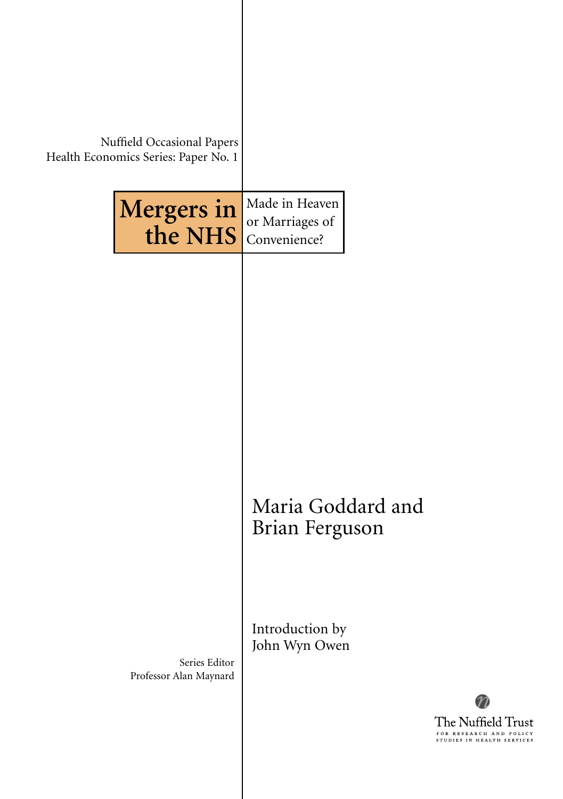| Nuffield Occasional Papers<br>Health Economics Series: Paper No. 1 |                                                   |
|--------------------------------------------------------------------|---------------------------------------------------|
| Mergers in<br>the NHS                                              | Made in Heaven<br>or Marriages of<br>Convenience? |
|                                                                    |                                                   |
|                                                                    |                                                   |
|                                                                    |                                                   |
|                                                                    | Maria Goddard and<br>Brian Ferguson               |
|                                                                    | Introduction by                                   |
| Series Editor<br>Professor Alan Maynard                            | John Wyn Owen                                     |
|                                                                    |                                                   |

 $\overline{\phantom{a}}$ 

 $\boldsymbol{n}$ 

The Nuffield Trust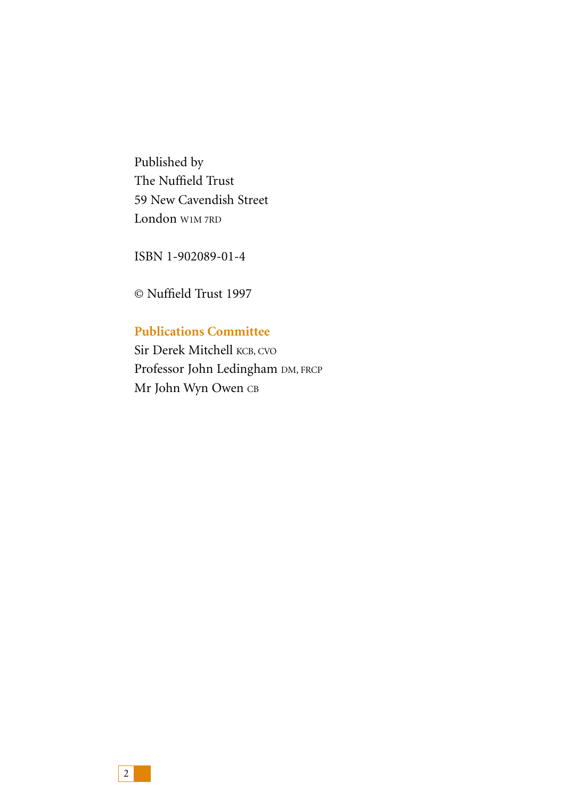Published by The Nuffield Trust 59 New Cavendish Street London W1M 7RD

ISBN 1-902089-01-4

© Nuffield Trust 1997

# **Publications Committee**

Sir Derek Mitchell KCB, CVO Professor John Ledingham DM, FRCP Mr John Wyn Owen CB

2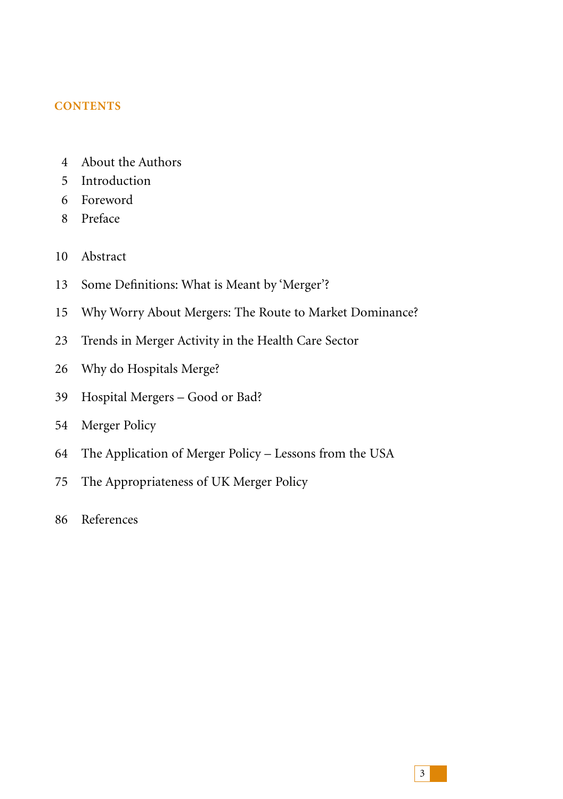## **CONTENTS**

- 4 About the Authors
- 5 Introduction
- 6 Foreword
- 8 Preface
- 10 Abstract
- 13 Some Definitions: What is Meant by 'Merger'?
- 15 Why Worry About Mergers: The Route to Market Dominance?
- 23 Trends in Merger Activity in the Health Care Sector
- 26 Why do Hospitals Merge?
- 39 Hospital Mergers Good or Bad?
- 54 Merger Policy
- 64 The Application of Merger Policy Lessons from the USA
- 75 The Appropriateness of UK Merger Policy
- 86 References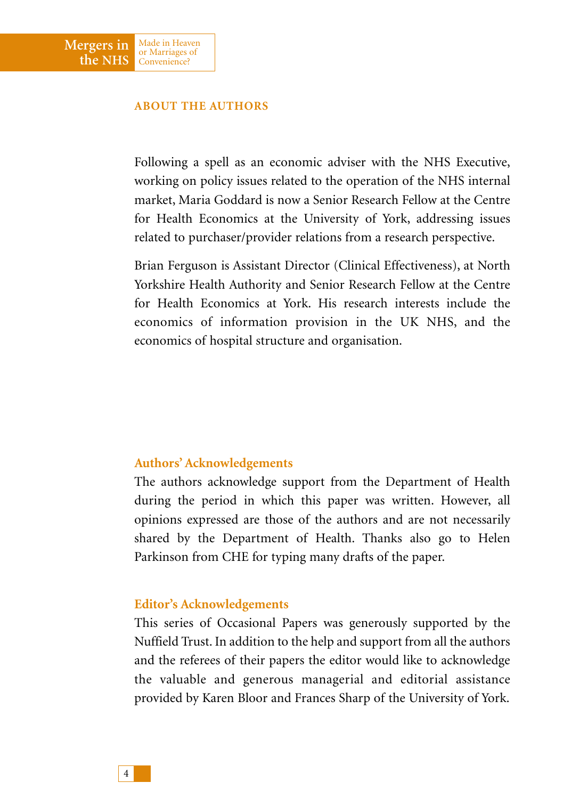### **ABOUT THE AUTHORS**

Made in Heaven or Marriages of Convenience?

**Mergers in the NHS**

> Following a spell as an economic adviser with the NHS Executive, working on policy issues related to the operation of the NHS internal market, Maria Goddard is now a Senior Research Fellow at the Centre for Health Economics at the University of York, addressing issues related to purchaser/provider relations from a research perspective.

> Brian Ferguson is Assistant Director (Clinical Effectiveness), at North Yorkshire Health Authority and Senior Research Fellow at the Centre for Health Economics at York. His research interests include the economics of information provision in the UK NHS, and the economics of hospital structure and organisation.

### **Authors' Acknowledgements**

The authors acknowledge support from the Department of Health during the period in which this paper was written. However, all opinions expressed are those of the authors and are not necessarily shared by the Department of Health. Thanks also go to Helen Parkinson from CHE for typing many drafts of the paper.

### **Editor's Acknowledgements**

This series of Occasional Papers was generously supported by the Nuffield Trust. In addition to the help and support from all the authors and the referees of their papers the editor would like to acknowledge the valuable and generous managerial and editorial assistance provided by Karen Bloor and Frances Sharp of the University of York.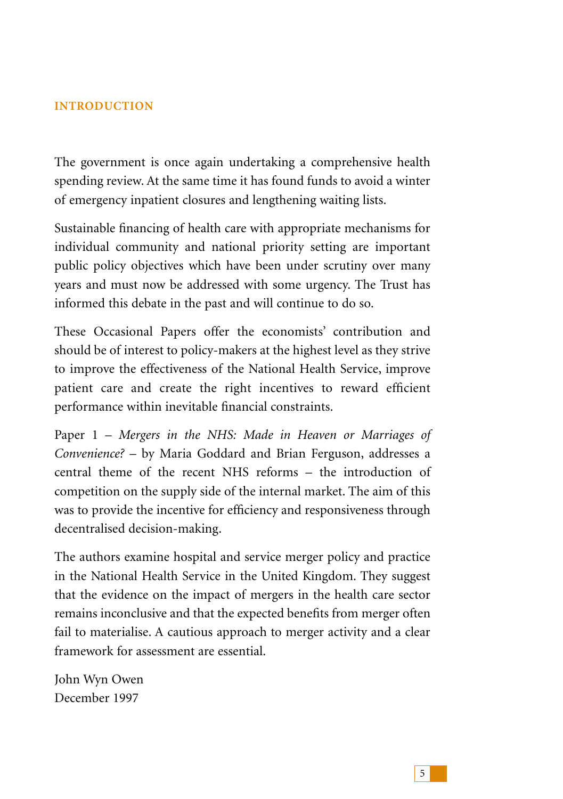## **INTRODUCTION**

The government is once again undertaking a comprehensive health spending review. At the same time it has found funds to avoid a winter of emergency inpatient closures and lengthening waiting lists.

Sustainable financing of health care with appropriate mechanisms for individual community and national priority setting are important public policy objectives which have been under scrutiny over many years and must now be addressed with some urgency. The Trust has informed this debate in the past and will continue to do so.

These Occasional Papers offer the economists' contribution and should be of interest to policy-makers at the highest level as they strive to improve the effectiveness of the National Health Service, improve patient care and create the right incentives to reward efficient performance within inevitable financial constraints.

Paper 1 – *Mergers in the NHS: Made in Heaven or Marriages of Convenience?* – by Maria Goddard and Brian Ferguson, addresses a central theme of the recent NHS reforms – the introduction of competition on the supply side of the internal market. The aim of this was to provide the incentive for efficiency and responsiveness through decentralised decision-making.

The authors examine hospital and service merger policy and practice in the National Health Service in the United Kingdom. They suggest that the evidence on the impact of mergers in the health care sector remains inconclusive and that the expected benefits from merger often fail to materialise. A cautious approach to merger activity and a clear framework for assessment are essential.

John Wyn Owen December 1997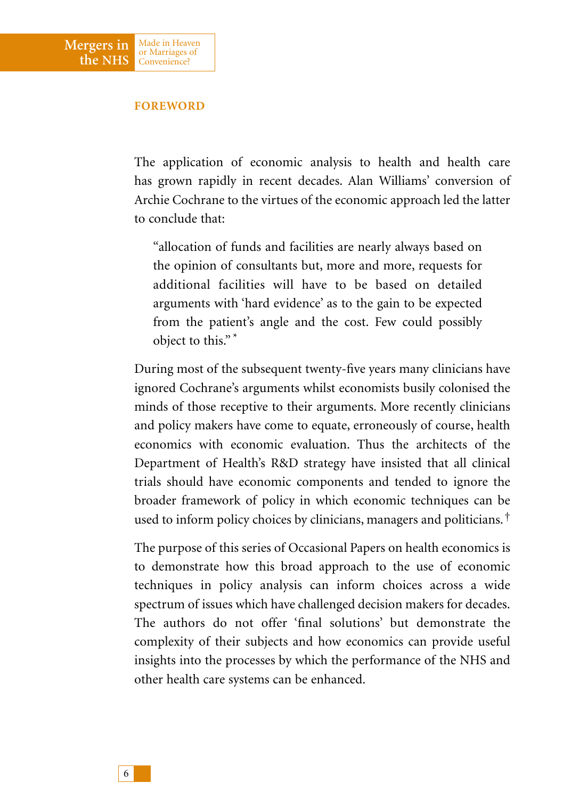### **FOREWORD**

Made in Heaven or Marriages of Convenience?

**Mergers in the NHS**

> The application of economic analysis to health and health care has grown rapidly in recent decades. Alan Williams' conversion of Archie Cochrane to the virtues of the economic approach led the latter to conclude that:

"allocation of funds and facilities are nearly always based on the opinion of consultants but, more and more, requests for additional facilities will have to be based on detailed arguments with 'hard evidence' as to the gain to be expected from the patient's angle and the cost. Few could possibly object to this." \*

During most of the subsequent twenty-five years many clinicians have ignored Cochrane's arguments whilst economists busily colonised the minds of those receptive to their arguments. More recently clinicians and policy makers have come to equate, erroneously of course, health economics with economic evaluation. Thus the architects of the Department of Health's R&D strategy have insisted that all clinical trials should have economic components and tended to ignore the broader framework of policy in which economic techniques can be used to inform policy choices by clinicians, managers and politicians.†

The purpose of this series of Occasional Papers on health economics is to demonstrate how this broad approach to the use of economic techniques in policy analysis can inform choices across a wide spectrum of issues which have challenged decision makers for decades. The authors do not offer 'final solutions' but demonstrate the complexity of their subjects and how economics can provide useful insights into the processes by which the performance of the NHS and other health care systems can be enhanced.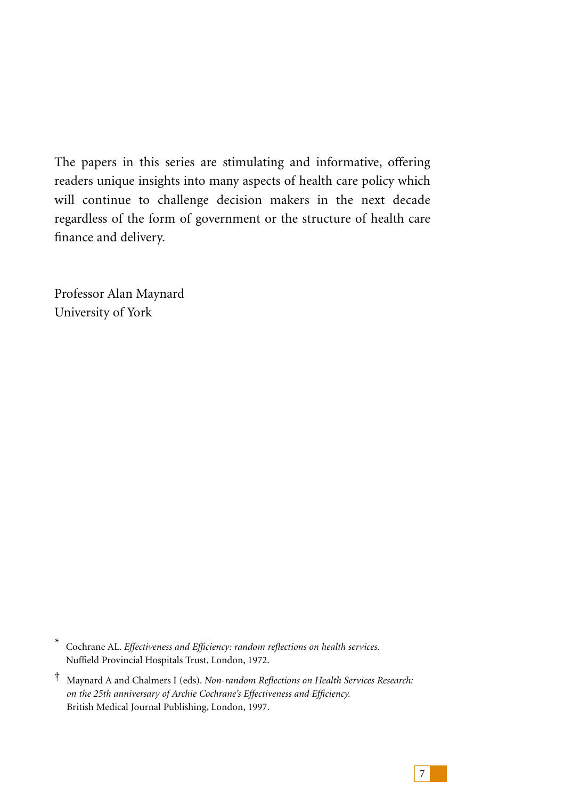The papers in this series are stimulating and informative, offering readers unique insights into many aspects of health care policy which will continue to challenge decision makers in the next decade regardless of the form of government or the structure of health care finance and delivery.

Professor Alan Maynard University of York

<sup>\*</sup> Cochrane AL. *Effectiveness and Efficiency: random reflections on health services.* Nuffield Provincial Hospitals Trust, London, 1972.

<sup>†</sup> Maynard A and Chalmers I (eds). *Non-random Reflections on Health Services Research: on the 25th anniversary of Archie Cochrane's Effectiveness and Efficiency.* British Medical Journal Publishing, London, 1997.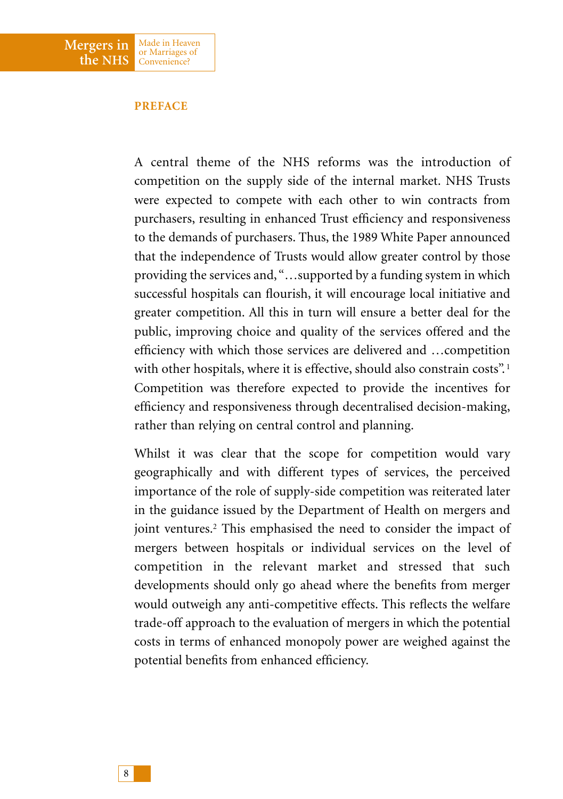## **PREFACE**

A central theme of the NHS reforms was the introduction of competition on the supply side of the internal market. NHS Trusts were expected to compete with each other to win contracts from purchasers, resulting in enhanced Trust efficiency and responsiveness to the demands of purchasers. Thus, the 1989 White Paper announced that the independence of Trusts would allow greater control by those providing the services and, "…supported by a funding system in which successful hospitals can flourish, it will encourage local initiative and greater competition. All this in turn will ensure a better deal for the public, improving choice and quality of the services offered and the efficiency with which those services are delivered and …competition with other hospitals, where it is effective, should also constrain costs".<sup>1</sup> Competition was therefore expected to provide the incentives for efficiency and responsiveness through decentralised decision-making, rather than relying on central control and planning.

Whilst it was clear that the scope for competition would vary geographically and with different types of services, the perceived importance of the role of supply-side competition was reiterated later in the guidance issued by the Department of Health on mergers and joint ventures.<sup>2</sup> This emphasised the need to consider the impact of mergers between hospitals or individual services on the level of competition in the relevant market and stressed that such developments should only go ahead where the benefits from merger would outweigh any anti-competitive effects. This reflects the welfare trade-off approach to the evaluation of mergers in which the potential costs in terms of enhanced monopoly power are weighed against the potential benefits from enhanced efficiency.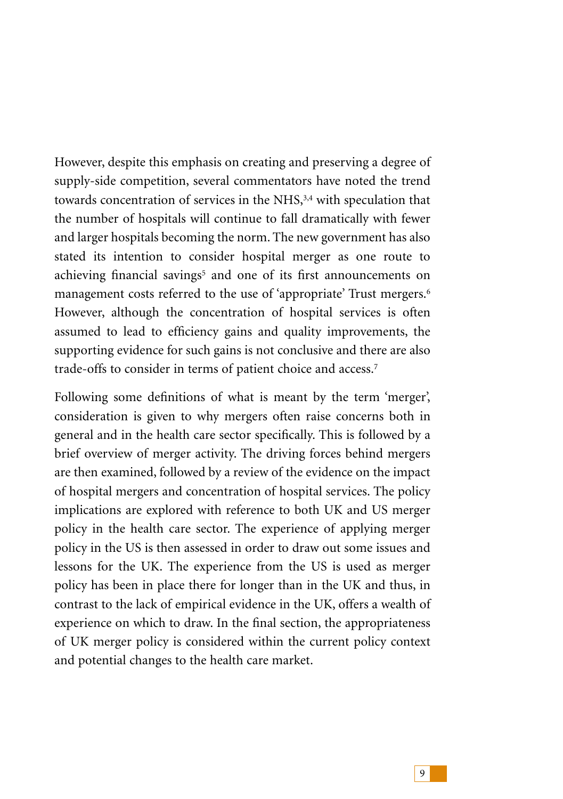However, despite this emphasis on creating and preserving a degree of supply-side competition, several commentators have noted the trend towards concentration of services in the NHS,3,4 with speculation that the number of hospitals will continue to fall dramatically with fewer and larger hospitals becoming the norm. The new government has also stated its intention to consider hospital merger as one route to achieving financial savings<sup>5</sup> and one of its first announcements on management costs referred to the use of 'appropriate' Trust mergers.<sup>6</sup> However, although the concentration of hospital services is often assumed to lead to efficiency gains and quality improvements, the supporting evidence for such gains is not conclusive and there are also trade-offs to consider in terms of patient choice and access.7

Following some definitions of what is meant by the term 'merger', consideration is given to why mergers often raise concerns both in general and in the health care sector specifically. This is followed by a brief overview of merger activity. The driving forces behind mergers are then examined, followed by a review of the evidence on the impact of hospital mergers and concentration of hospital services. The policy implications are explored with reference to both UK and US merger policy in the health care sector. The experience of applying merger policy in the US is then assessed in order to draw out some issues and lessons for the UK. The experience from the US is used as merger policy has been in place there for longer than in the UK and thus, in contrast to the lack of empirical evidence in the UK, offers a wealth of experience on which to draw. In the final section, the appropriateness of UK merger policy is considered within the current policy context and potential changes to the health care market.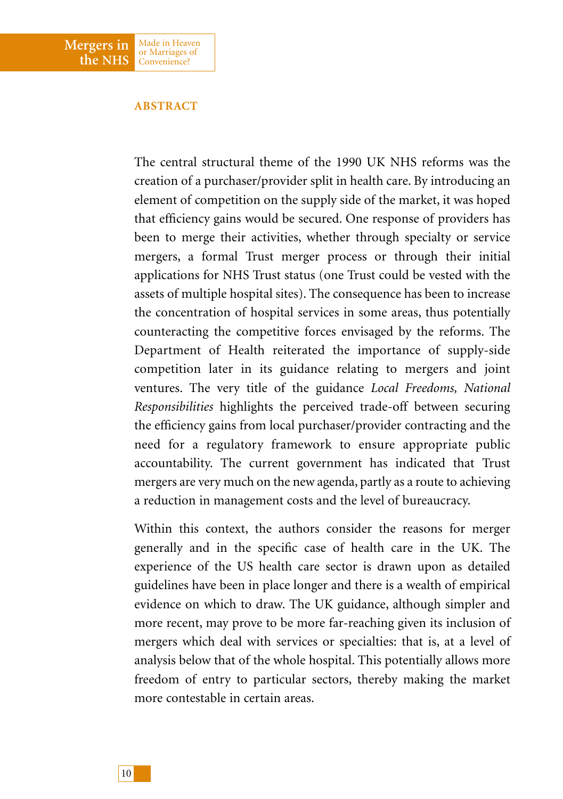

### **ABSTRACT**

The central structural theme of the 1990 UK NHS reforms was the creation of a purchaser/provider split in health care. By introducing an element of competition on the supply side of the market, it was hoped that efficiency gains would be secured. One response of providers has been to merge their activities, whether through specialty or service mergers, a formal Trust merger process or through their initial applications for NHS Trust status (one Trust could be vested with the assets of multiple hospital sites). The consequence has been to increase the concentration of hospital services in some areas, thus potentially counteracting the competitive forces envisaged by the reforms. The Department of Health reiterated the importance of supply-side competition later in its guidance relating to mergers and joint ventures. The very title of the guidance *Local Freedoms, National Responsibilities* highlights the perceived trade-off between securing the efficiency gains from local purchaser/provider contracting and the need for a regulatory framework to ensure appropriate public accountability. The current government has indicated that Trust mergers are very much on the new agenda, partly as a route to achieving a reduction in management costs and the level of bureaucracy.

Within this context, the authors consider the reasons for merger generally and in the specific case of health care in the UK. The experience of the US health care sector is drawn upon as detailed guidelines have been in place longer and there is a wealth of empirical evidence on which to draw. The UK guidance, although simpler and more recent, may prove to be more far-reaching given its inclusion of mergers which deal with services or specialties: that is, at a level of analysis below that of the whole hospital. This potentially allows more freedom of entry to particular sectors, thereby making the market more contestable in certain areas.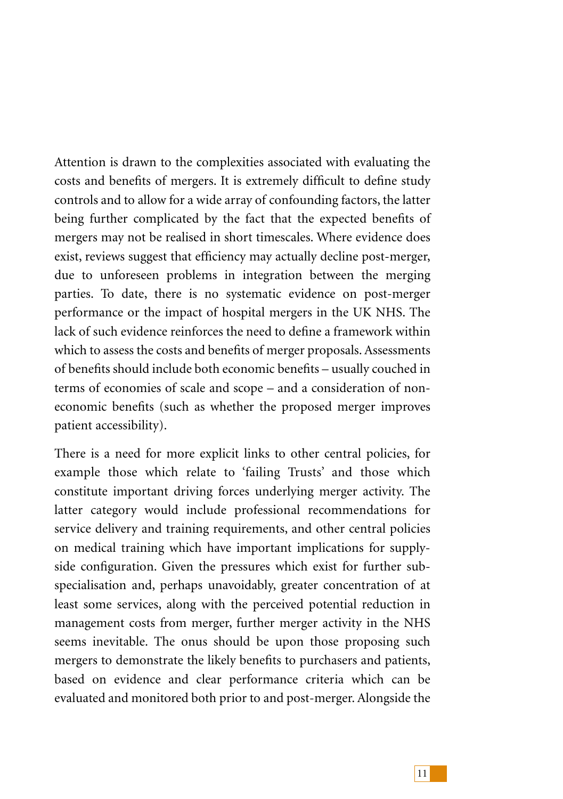Attention is drawn to the complexities associated with evaluating the costs and benefits of mergers. It is extremely difficult to define study controls and to allow for a wide array of confounding factors, the latter being further complicated by the fact that the expected benefits of mergers may not be realised in short timescales. Where evidence does exist, reviews suggest that efficiency may actually decline post-merger, due to unforeseen problems in integration between the merging parties. To date, there is no systematic evidence on post-merger performance or the impact of hospital mergers in the UK NHS. The lack of such evidence reinforces the need to define a framework within which to assess the costs and benefits of merger proposals. Assessments of benefits should include both economic benefits – usually couched in terms of economies of scale and scope – and a consideration of noneconomic benefits (such as whether the proposed merger improves patient accessibility).

There is a need for more explicit links to other central policies, for example those which relate to 'failing Trusts' and those which constitute important driving forces underlying merger activity. The latter category would include professional recommendations for service delivery and training requirements, and other central policies on medical training which have important implications for supplyside configuration. Given the pressures which exist for further subspecialisation and, perhaps unavoidably, greater concentration of at least some services, along with the perceived potential reduction in management costs from merger, further merger activity in the NHS seems inevitable. The onus should be upon those proposing such mergers to demonstrate the likely benefits to purchasers and patients, based on evidence and clear performance criteria which can be evaluated and monitored both prior to and post-merger. Alongside the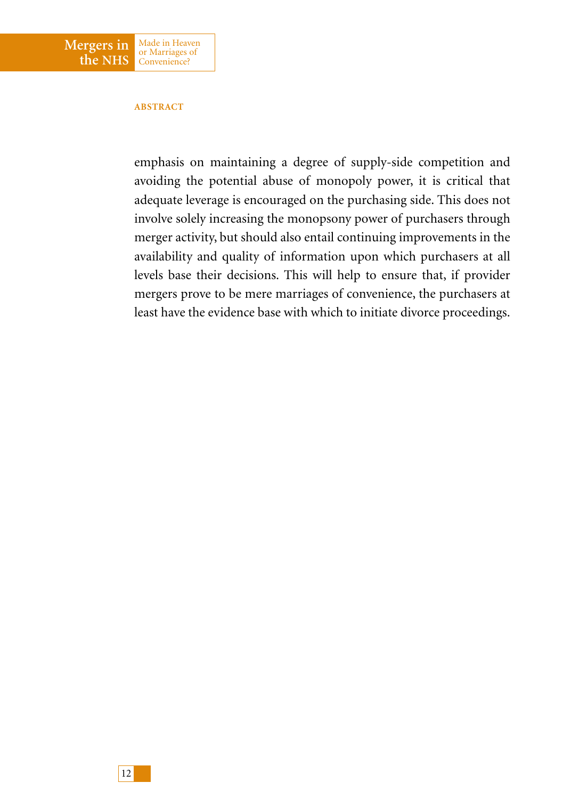

#### **ABSTRACT**

emphasis on maintaining a degree of supply-side competition and avoiding the potential abuse of monopoly power, it is critical that adequate leverage is encouraged on the purchasing side. This does not involve solely increasing the monopsony power of purchasers through merger activity, but should also entail continuing improvements in the availability and quality of information upon which purchasers at all levels base their decisions. This will help to ensure that, if provider mergers prove to be mere marriages of convenience, the purchasers at least have the evidence base with which to initiate divorce proceedings.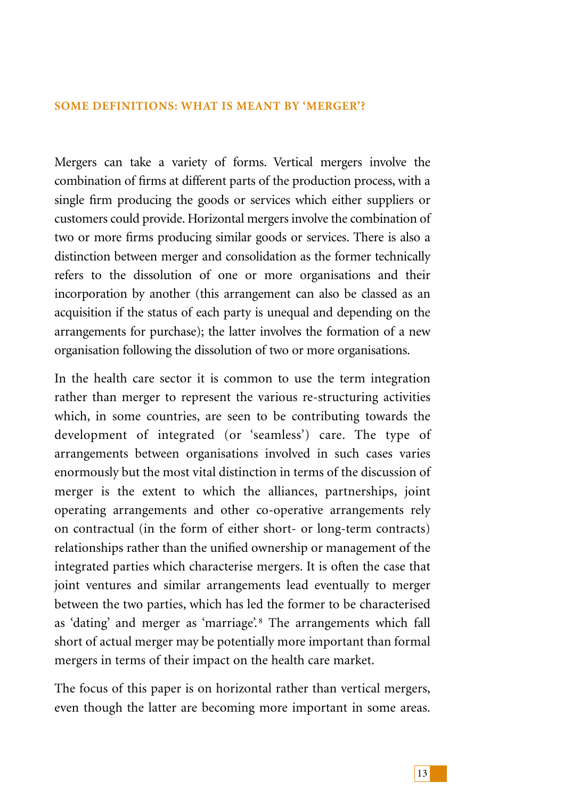### **SOME DEFINITIONS: WHAT IS MEANT BY 'MERGER'?**

Mergers can take a variety of forms. Vertical mergers involve the combination of firms at different parts of the production process, with a single firm producing the goods or services which either suppliers or customers could provide. Horizontal mergers involve the combination of two or more firms producing similar goods or services. There is also a distinction between merger and consolidation as the former technically refers to the dissolution of one or more organisations and their incorporation by another (this arrangement can also be classed as an acquisition if the status of each party is unequal and depending on the arrangements for purchase); the latter involves the formation of a new organisation following the dissolution of two or more organisations.

In the health care sector it is common to use the term integration rather than merger to represent the various re-structuring activities which, in some countries, are seen to be contributing towards the development of integrated (or 'seamless') care. The type of arrangements between organisations involved in such cases varies enormously but the most vital distinction in terms of the discussion of merger is the extent to which the alliances, partnerships, joint operating arrangements and other co-operative arrangements rely on contractual (in the form of either short- or long-term contracts) relationships rather than the unified ownership or management of the integrated parties which characterise mergers. It is often the case that joint ventures and similar arrangements lead eventually to merger between the two parties, which has led the former to be characterised as 'dating' and merger as 'marriage'.<sup>8</sup> The arrangements which fall short of actual merger may be potentially more important than formal mergers in terms of their impact on the health care market.

The focus of this paper is on horizontal rather than vertical mergers, even though the latter are becoming more important in some areas.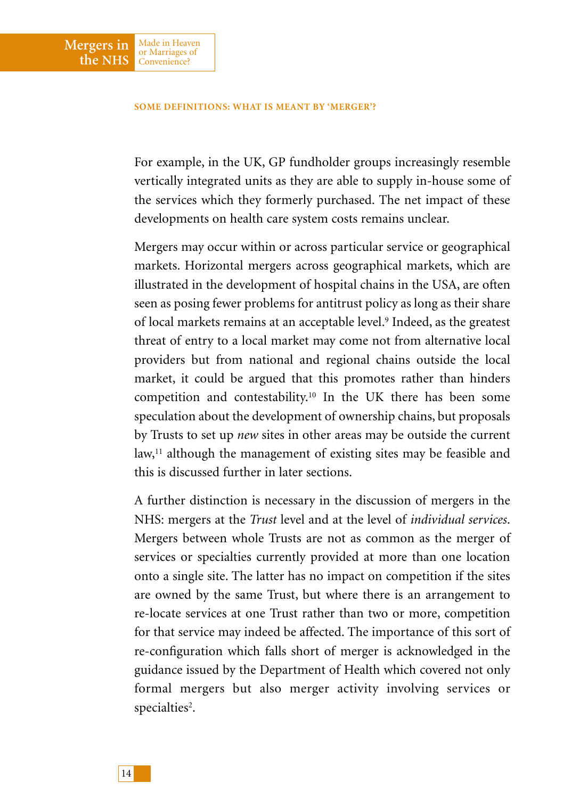#### **SOME DEFINITIONS: WHAT IS MEANT BY 'MERGER'?**

**Mergers in the NHS**

Made in Heaven or Marriages of Convenience?

For example, in the UK, GP fundholder groups increasingly resemble vertically integrated units as they are able to supply in-house some of the services which they formerly purchased. The net impact of these developments on health care system costs remains unclear.

Mergers may occur within or across particular service or geographical markets. Horizontal mergers across geographical markets, which are illustrated in the development of hospital chains in the USA, are often seen as posing fewer problems for antitrust policy as long as their share of local markets remains at an acceptable level.9 Indeed, as the greatest threat of entry to a local market may come not from alternative local providers but from national and regional chains outside the local market, it could be argued that this promotes rather than hinders competition and contestability.10 In the UK there has been some speculation about the development of ownership chains, but proposals by Trusts to set up *new* sites in other areas may be outside the current law,<sup>11</sup> although the management of existing sites may be feasible and this is discussed further in later sections.

A further distinction is necessary in the discussion of mergers in the NHS: mergers at the *Trust* level and at the level of *individual services*. Mergers between whole Trusts are not as common as the merger of services or specialties currently provided at more than one location onto a single site. The latter has no impact on competition if the sites are owned by the same Trust, but where there is an arrangement to re-locate services at one Trust rather than two or more, competition for that service may indeed be affected. The importance of this sort of re-configuration which falls short of merger is acknowledged in the guidance issued by the Department of Health which covered not only formal mergers but also merger activity involving services or specialties<sup>2</sup>.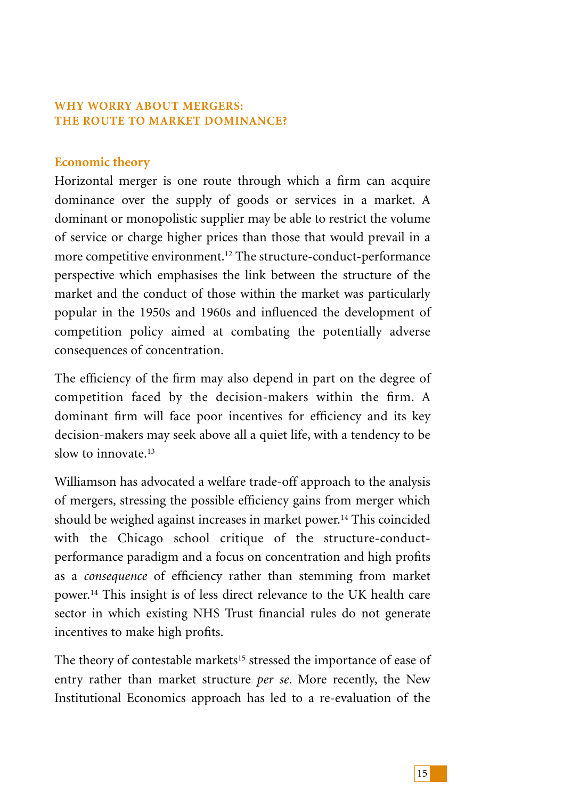# **WHY WORRY ABOUT MERGERS: THE ROUTE TO MARKET DOMINANCE?**

# **Economic theory**

Horizontal merger is one route through which a firm can acquire dominance over the supply of goods or services in a market. A dominant or monopolistic supplier may be able to restrict the volume of service or charge higher prices than those that would prevail in a more competitive environment.12 The structure-conduct-performance perspective which emphasises the link between the structure of the market and the conduct of those within the market was particularly popular in the 1950s and 1960s and influenced the development of competition policy aimed at combating the potentially adverse consequences of concentration.

The efficiency of the firm may also depend in part on the degree of competition faced by the decision-makers within the firm. A dominant firm will face poor incentives for efficiency and its key decision-makers may seek above all a quiet life, with a tendency to be slow to innovate  $13$ 

Williamson has advocated a welfare trade-off approach to the analysis of mergers, stressing the possible efficiency gains from merger which should be weighed against increases in market power.<sup>14</sup> This coincided with the Chicago school critique of the structure-conductperformance paradigm and a focus on concentration and high profits as a *consequence* of efficiency rather than stemming from market power.14 This insight is of less direct relevance to the UK health care sector in which existing NHS Trust financial rules do not generate incentives to make high profits.

The theory of contestable markets<sup>15</sup> stressed the importance of ease of entry rather than market structure *per se*. More recently, the New Institutional Economics approach has led to a re-evaluation of the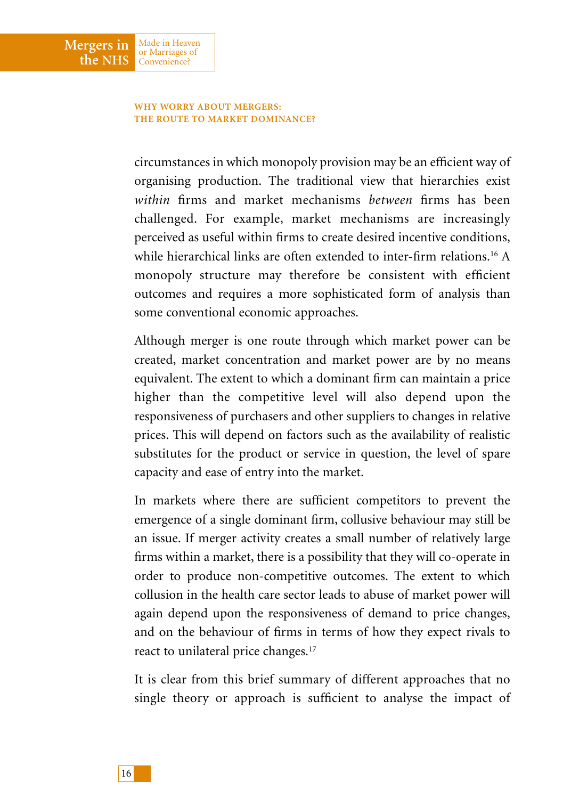#### **WHY WORRY ABOUT MERGERS: THE ROUTE TO MARKET DOMINANCE?**

Made in Heaven or Marriages of Convenience?

**Mergers in the NHS**

> circumstances in which monopoly provision may be an efficient way of organising production. The traditional view that hierarchies exist *within* firms and market mechanisms *between* firms has been challenged. For example, market mechanisms are increasingly perceived as useful within firms to create desired incentive conditions, while hierarchical links are often extended to inter-firm relations.16 A monopoly structure may therefore be consistent with efficient outcomes and requires a more sophisticated form of analysis than some conventional economic approaches.

> Although merger is one route through which market power can be created, market concentration and market power are by no means equivalent. The extent to which a dominant firm can maintain a price higher than the competitive level will also depend upon the responsiveness of purchasers and other suppliers to changes in relative prices. This will depend on factors such as the availability of realistic substitutes for the product or service in question, the level of spare capacity and ease of entry into the market.

> In markets where there are sufficient competitors to prevent the emergence of a single dominant firm, collusive behaviour may still be an issue. If merger activity creates a small number of relatively large firms within a market, there is a possibility that they will co-operate in order to produce non-competitive outcomes. The extent to which collusion in the health care sector leads to abuse of market power will again depend upon the responsiveness of demand to price changes, and on the behaviour of firms in terms of how they expect rivals to react to unilateral price changes.17

> It is clear from this brief summary of different approaches that no single theory or approach is sufficient to analyse the impact of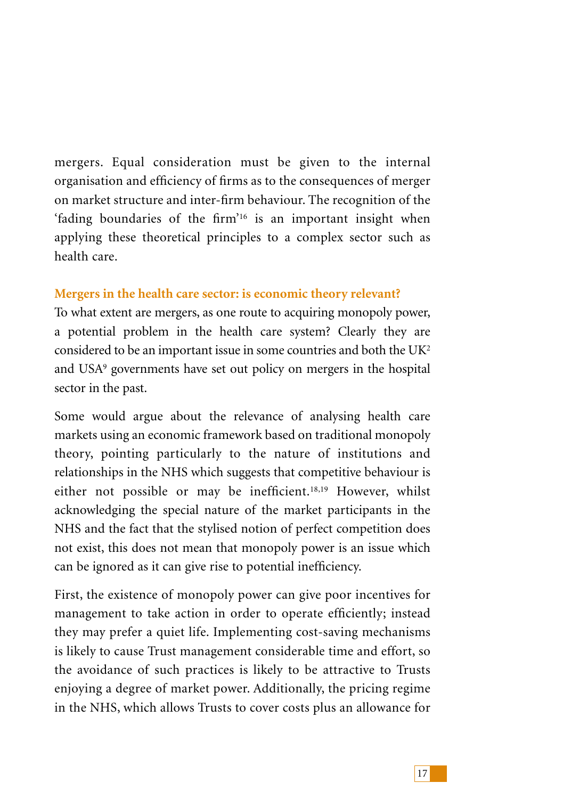mergers. Equal consideration must be given to the internal organisation and efficiency of firms as to the consequences of merger on market structure and inter-firm behaviour. The recognition of the 'fading boundaries of the firm'16 is an important insight when applying these theoretical principles to a complex sector such as health care.

# **Mergers in the health care sector: is economic theory relevant?**

To what extent are mergers, as one route to acquiring monopoly power, a potential problem in the health care system? Clearly they are considered to be an important issue in some countries and both the UK2 and USA<sup>9</sup> governments have set out policy on mergers in the hospital sector in the past.

Some would argue about the relevance of analysing health care markets using an economic framework based on traditional monopoly theory, pointing particularly to the nature of institutions and relationships in the NHS which suggests that competitive behaviour is either not possible or may be inefficient.18,19 However, whilst acknowledging the special nature of the market participants in the NHS and the fact that the stylised notion of perfect competition does not exist, this does not mean that monopoly power is an issue which can be ignored as it can give rise to potential inefficiency.

First, the existence of monopoly power can give poor incentives for management to take action in order to operate efficiently; instead they may prefer a quiet life. Implementing cost-saving mechanisms is likely to cause Trust management considerable time and effort, so the avoidance of such practices is likely to be attractive to Trusts enjoying a degree of market power. Additionally, the pricing regime in the NHS, which allows Trusts to cover costs plus an allowance for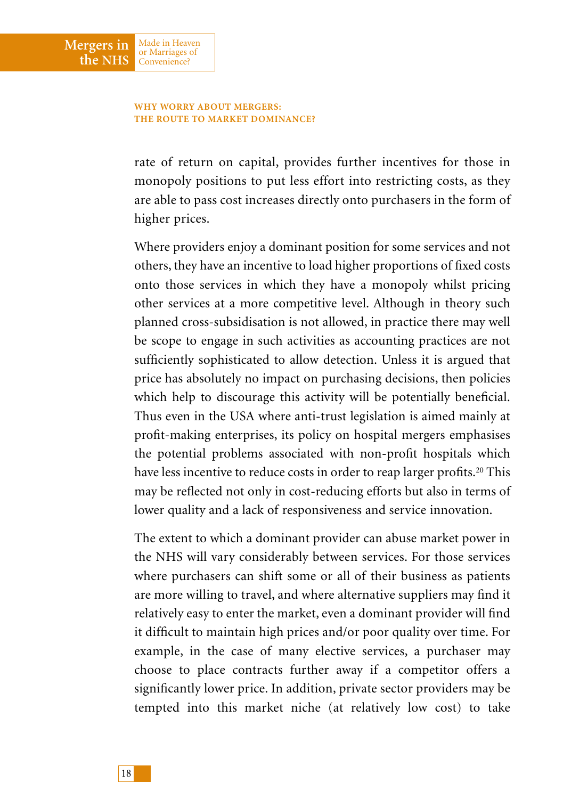#### **WHY WORRY ABOUT MERGERS: THE ROUTE TO MARKET DOMINANCE?**

Made in Heaven or Marriages of Convenience?

**Mergers in the NHS**

> rate of return on capital, provides further incentives for those in monopoly positions to put less effort into restricting costs, as they are able to pass cost increases directly onto purchasers in the form of higher prices.

> Where providers enjoy a dominant position for some services and not others, they have an incentive to load higher proportions of fixed costs onto those services in which they have a monopoly whilst pricing other services at a more competitive level. Although in theory such planned cross-subsidisation is not allowed, in practice there may well be scope to engage in such activities as accounting practices are not sufficiently sophisticated to allow detection. Unless it is argued that price has absolutely no impact on purchasing decisions, then policies which help to discourage this activity will be potentially beneficial. Thus even in the USA where anti-trust legislation is aimed mainly at profit-making enterprises, its policy on hospital mergers emphasises the potential problems associated with non-profit hospitals which have less incentive to reduce costs in order to reap larger profits.<sup>20</sup> This may be reflected not only in cost-reducing efforts but also in terms of lower quality and a lack of responsiveness and service innovation.

> The extent to which a dominant provider can abuse market power in the NHS will vary considerably between services. For those services where purchasers can shift some or all of their business as patients are more willing to travel, and where alternative suppliers may find it relatively easy to enter the market, even a dominant provider will find it difficult to maintain high prices and/or poor quality over time. For example, in the case of many elective services, a purchaser may choose to place contracts further away if a competitor offers a significantly lower price. In addition, private sector providers may be tempted into this market niche (at relatively low cost) to take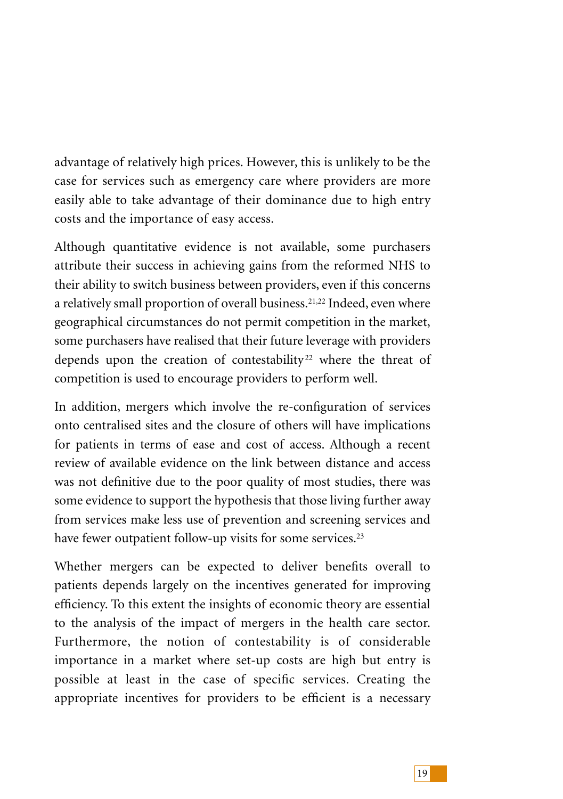advantage of relatively high prices. However, this is unlikely to be the case for services such as emergency care where providers are more easily able to take advantage of their dominance due to high entry costs and the importance of easy access.

Although quantitative evidence is not available, some purchasers attribute their success in achieving gains from the reformed NHS to their ability to switch business between providers, even if this concerns a relatively small proportion of overall business.<sup>21,22</sup> Indeed, even where geographical circumstances do not permit competition in the market, some purchasers have realised that their future leverage with providers depends upon the creation of contestability<sup>22</sup> where the threat of competition is used to encourage providers to perform well.

In addition, mergers which involve the re-configuration of services onto centralised sites and the closure of others will have implications for patients in terms of ease and cost of access. Although a recent review of available evidence on the link between distance and access was not definitive due to the poor quality of most studies, there was some evidence to support the hypothesis that those living further away from services make less use of prevention and screening services and have fewer outpatient follow-up visits for some services.<sup>23</sup>

Whether mergers can be expected to deliver benefits overall to patients depends largely on the incentives generated for improving efficiency. To this extent the insights of economic theory are essential to the analysis of the impact of mergers in the health care sector. Furthermore, the notion of contestability is of considerable importance in a market where set-up costs are high but entry is possible at least in the case of specific services. Creating the appropriate incentives for providers to be efficient is a necessary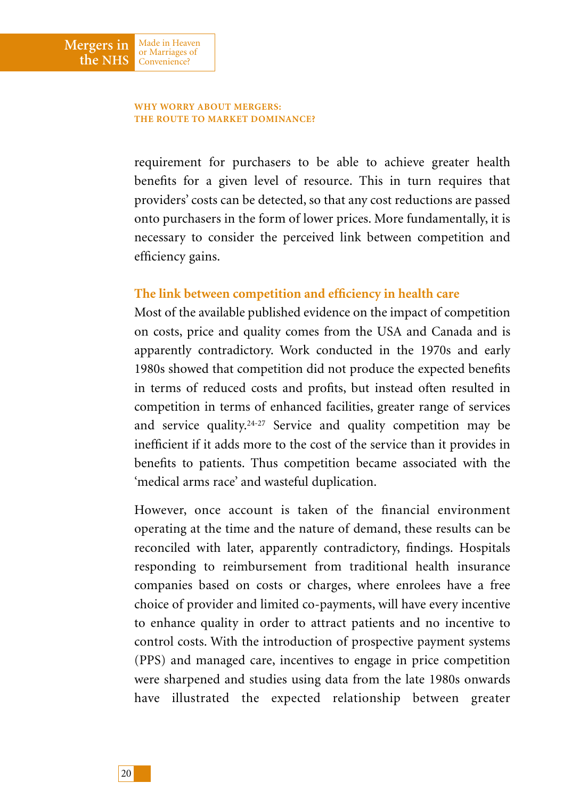#### **WHY WORRY ABOUT MERGERS: THE ROUTE TO MARKET DOMINANCE?**

Made in Heaven or Marriages of Convenience?

**Mergers in the NHS**

> requirement for purchasers to be able to achieve greater health benefits for a given level of resource. This in turn requires that providers' costs can be detected, so that any cost reductions are passed onto purchasers in the form of lower prices. More fundamentally, it is necessary to consider the perceived link between competition and efficiency gains.

## **The link between competition and efficiency in health care**

Most of the available published evidence on the impact of competition on costs, price and quality comes from the USA and Canada and is apparently contradictory. Work conducted in the 1970s and early 1980s showed that competition did not produce the expected benefits in terms of reduced costs and profits, but instead often resulted in competition in terms of enhanced facilities, greater range of services and service quality.24-27 Service and quality competition may be inefficient if it adds more to the cost of the service than it provides in benefits to patients. Thus competition became associated with the 'medical arms race' and wasteful duplication.

However, once account is taken of the financial environment operating at the time and the nature of demand, these results can be reconciled with later, apparently contradictory, findings. Hospitals responding to reimbursement from traditional health insurance companies based on costs or charges, where enrolees have a free choice of provider and limited co-payments, will have every incentive to enhance quality in order to attract patients and no incentive to control costs. With the introduction of prospective payment systems (PPS) and managed care, incentives to engage in price competition were sharpened and studies using data from the late 1980s onwards have illustrated the expected relationship between greater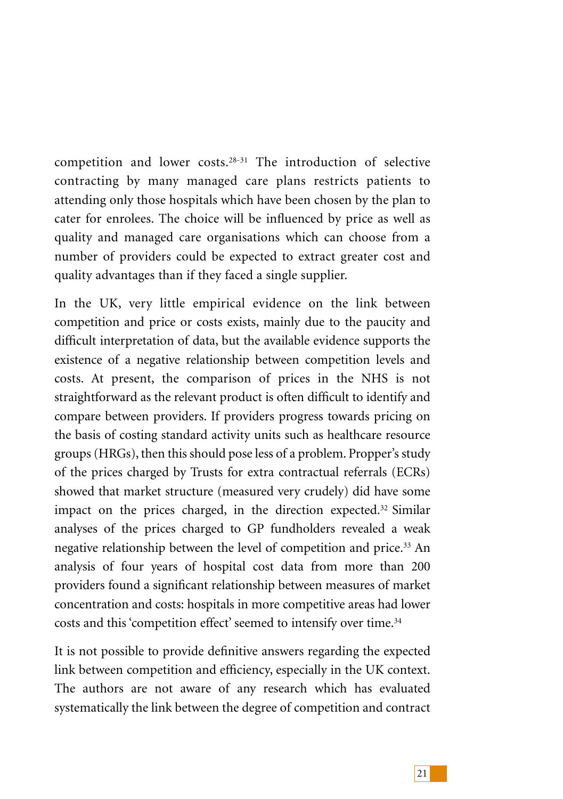competition and lower costs.28-31 The introduction of selective contracting by many managed care plans restricts patients to attending only those hospitals which have been chosen by the plan to cater for enrolees. The choice will be influenced by price as well as quality and managed care organisations which can choose from a number of providers could be expected to extract greater cost and quality advantages than if they faced a single supplier.

In the UK, very little empirical evidence on the link between competition and price or costs exists, mainly due to the paucity and difficult interpretation of data, but the available evidence supports the existence of a negative relationship between competition levels and costs. At present, the comparison of prices in the NHS is not straightforward as the relevant product is often difficult to identify and compare between providers. If providers progress towards pricing on the basis of costing standard activity units such as healthcare resource groups (HRGs), then this should pose less of a problem. Propper's study of the prices charged by Trusts for extra contractual referrals (ECRs) showed that market structure (measured very crudely) did have some impact on the prices charged, in the direction expected.<sup>32</sup> Similar analyses of the prices charged to GP fundholders revealed a weak negative relationship between the level of competition and price.33 An analysis of four years of hospital cost data from more than 200 providers found a significant relationship between measures of market concentration and costs: hospitals in more competitive areas had lower costs and this 'competition effect' seemed to intensify over time.<sup>34</sup>

It is not possible to provide definitive answers regarding the expected link between competition and efficiency, especially in the UK context. The authors are not aware of any research which has evaluated systematically the link between the degree of competition and contract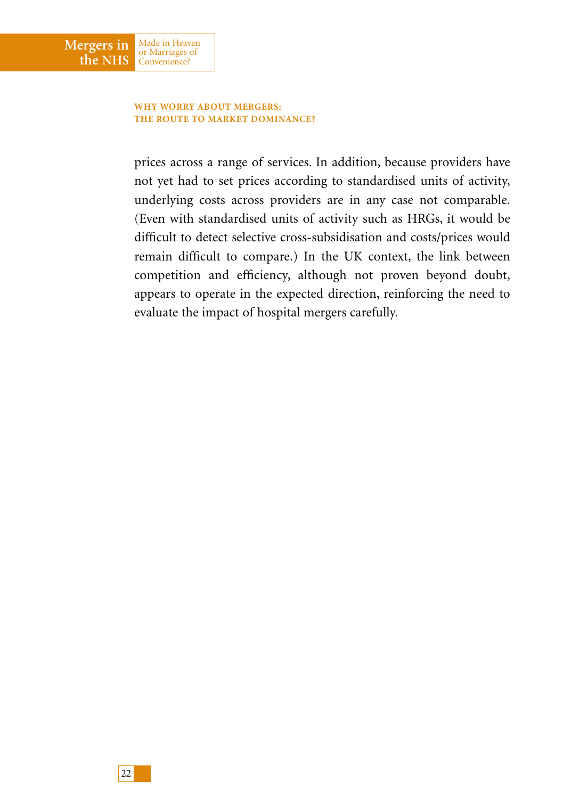

Made in Heaven or Marriages of Convenience?

**Mergers in the NHS**

> prices across a range of services. In addition, because providers have not yet had to set prices according to standardised units of activity, underlying costs across providers are in any case not comparable. (Even with standardised units of activity such as HRGs, it would be difficult to detect selective cross-subsidisation and costs/prices would remain difficult to compare.) In the UK context, the link between competition and efficiency, although not proven beyond doubt, appears to operate in the expected direction, reinforcing the need to evaluate the impact of hospital mergers carefully.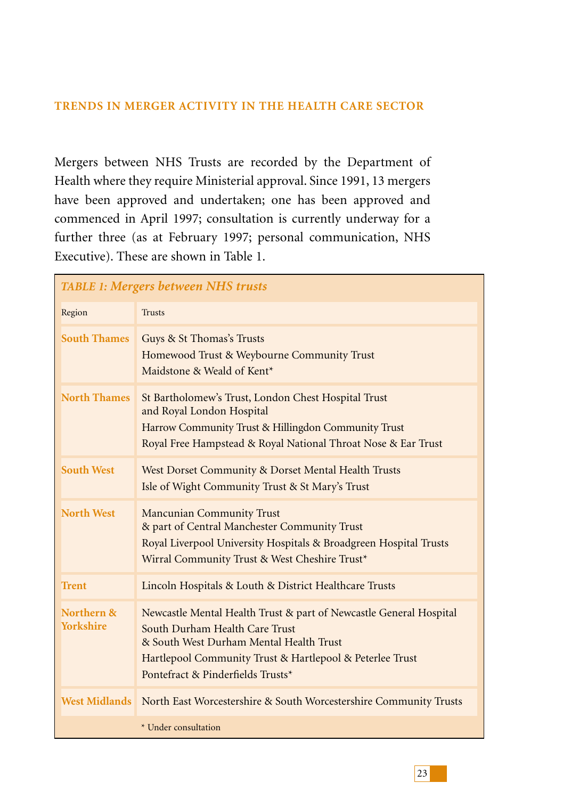## **TRENDS IN MERGER ACTIVITY IN THE HEALTH CARE SECTOR**

Mergers between NHS Trusts are recorded by the Department of Health where they require Ministerial approval. Since 1991, 13 mergers have been approved and undertaken; one has been approved and commenced in April 1997; consultation is currently underway for a further three (as at February 1997; personal communication, NHS Executive). These are shown in Table 1.

| <b>TABLE 1: Mergers between NHS trusts</b> |                                                                                                                                                                                                                                                  |  |  |  |  |
|--------------------------------------------|--------------------------------------------------------------------------------------------------------------------------------------------------------------------------------------------------------------------------------------------------|--|--|--|--|
| Region                                     | <b>Trusts</b>                                                                                                                                                                                                                                    |  |  |  |  |
| <b>South Thames</b>                        | Guys & St Thomas's Trusts<br>Homewood Trust & Weybourne Community Trust<br>Maidstone & Weald of Kent*                                                                                                                                            |  |  |  |  |
| <b>North Thames</b>                        | St Bartholomew's Trust, London Chest Hospital Trust<br>and Royal London Hospital<br>Harrow Community Trust & Hillingdon Community Trust<br>Royal Free Hampstead & Royal National Throat Nose & Ear Trust                                         |  |  |  |  |
| <b>South West</b>                          | West Dorset Community & Dorset Mental Health Trusts<br>Isle of Wight Community Trust & St Mary's Trust                                                                                                                                           |  |  |  |  |
| <b>North West</b>                          | <b>Mancunian Community Trust</b><br>& part of Central Manchester Community Trust<br>Royal Liverpool University Hospitals & Broadgreen Hospital Trusts<br>Wirral Community Trust & West Cheshire Trust*                                           |  |  |  |  |
| <b>Trent</b>                               | Lincoln Hospitals & Louth & District Healthcare Trusts                                                                                                                                                                                           |  |  |  |  |
| Northern &<br><b>Yorkshire</b>             | Newcastle Mental Health Trust & part of Newcastle General Hospital<br>South Durham Health Care Trust<br>& South West Durham Mental Health Trust<br>Hartlepool Community Trust & Hartlepool & Peterlee Trust<br>Pontefract & Pinderfields Trusts* |  |  |  |  |
| <b>West Midlands</b>                       | North East Worcestershire & South Worcestershire Community Trusts                                                                                                                                                                                |  |  |  |  |
|                                            | * Under consultation                                                                                                                                                                                                                             |  |  |  |  |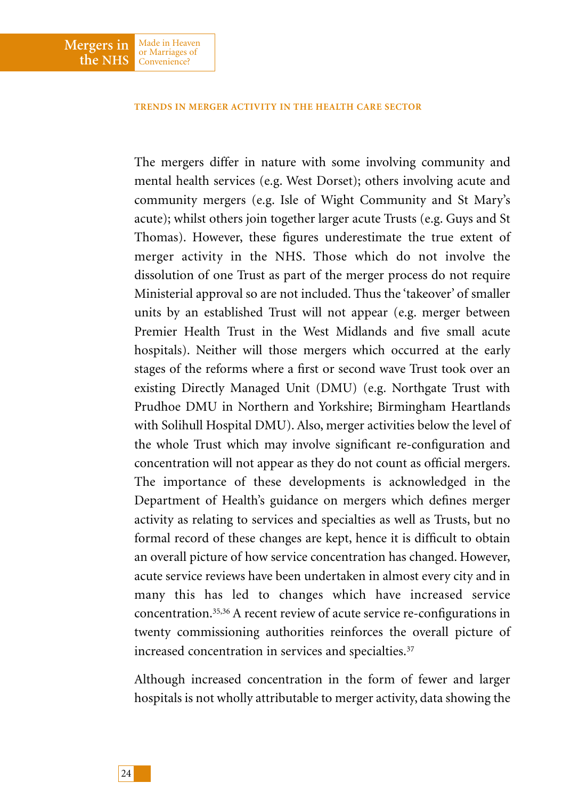#### **TRENDS IN MERGER ACTIVITY IN THE HEALTH CARE SECTOR**

The mergers differ in nature with some involving community and mental health services (e.g. West Dorset); others involving acute and community mergers (e.g. Isle of Wight Community and St Mary's acute); whilst others join together larger acute Trusts (e.g. Guys and St Thomas). However, these figures underestimate the true extent of merger activity in the NHS. Those which do not involve the dissolution of one Trust as part of the merger process do not require Ministerial approval so are not included. Thus the 'takeover' of smaller units by an established Trust will not appear (e.g. merger between Premier Health Trust in the West Midlands and five small acute hospitals). Neither will those mergers which occurred at the early stages of the reforms where a first or second wave Trust took over an existing Directly Managed Unit (DMU) (e.g. Northgate Trust with Prudhoe DMU in Northern and Yorkshire; Birmingham Heartlands with Solihull Hospital DMU). Also, merger activities below the level of the whole Trust which may involve significant re-configuration and concentration will not appear as they do not count as official mergers. The importance of these developments is acknowledged in the Department of Health's guidance on mergers which defines merger activity as relating to services and specialties as well as Trusts, but no formal record of these changes are kept, hence it is difficult to obtain an overall picture of how service concentration has changed. However, acute service reviews have been undertaken in almost every city and in many this has led to changes which have increased service concentration.35,36 A recent review of acute service re-configurations in twenty commissioning authorities reinforces the overall picture of increased concentration in services and specialties.<sup>37</sup>

Although increased concentration in the form of fewer and larger hospitals is not wholly attributable to merger activity, data showing the

**Mergers in the NHS**

Made in Heaven or Marriages of Convenience?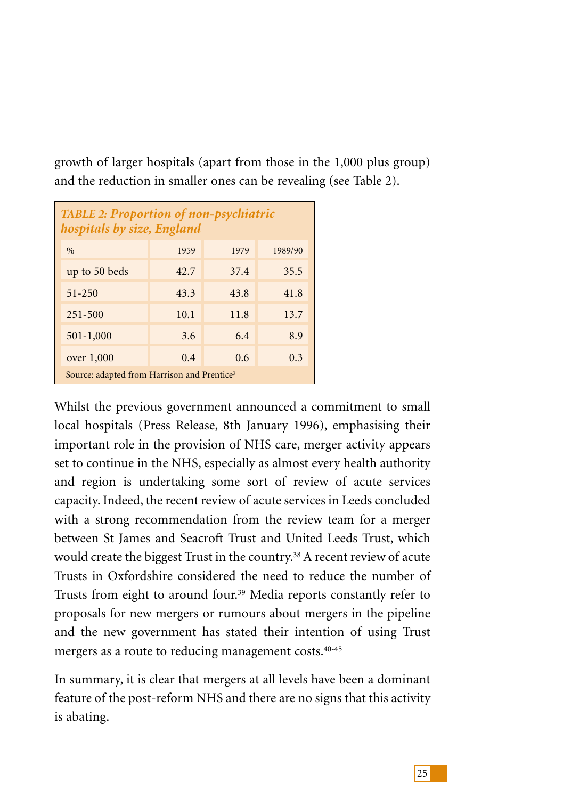growth of larger hospitals (apart from those in the 1,000 plus group) and the reduction in smaller ones can be revealing (see Table 2).

| <b>TABLE 2: Proportion of non-psychiatric</b><br>hospitals by size, England |      |      |         |  |  |
|-----------------------------------------------------------------------------|------|------|---------|--|--|
| $\frac{0}{0}$                                                               | 1959 | 1979 | 1989/90 |  |  |
| up to 50 beds                                                               | 42.7 | 37.4 | 35.5    |  |  |
| $51 - 250$                                                                  | 43.3 | 43.8 | 41.8    |  |  |
| $251 - 500$                                                                 | 10.1 | 11.8 | 13.7    |  |  |
| 501-1,000                                                                   | 3.6  | 6.4  | 8.9     |  |  |
| over 1,000                                                                  | 0.4  | 0.6  | 0.3     |  |  |
| Source: adapted from Harrison and Prentice <sup>3</sup>                     |      |      |         |  |  |

Whilst the previous government announced a commitment to small local hospitals (Press Release, 8th January 1996), emphasising their important role in the provision of NHS care, merger activity appears set to continue in the NHS, especially as almost every health authority and region is undertaking some sort of review of acute services capacity. Indeed, the recent review of acute services in Leeds concluded with a strong recommendation from the review team for a merger between St James and Seacroft Trust and United Leeds Trust, which would create the biggest Trust in the country.<sup>38</sup> A recent review of acute Trusts in Oxfordshire considered the need to reduce the number of Trusts from eight to around four.<sup>39</sup> Media reports constantly refer to proposals for new mergers or rumours about mergers in the pipeline and the new government has stated their intention of using Trust mergers as a route to reducing management costs.40-45

In summary, it is clear that mergers at all levels have been a dominant feature of the post-reform NHS and there are no signs that this activity is abating.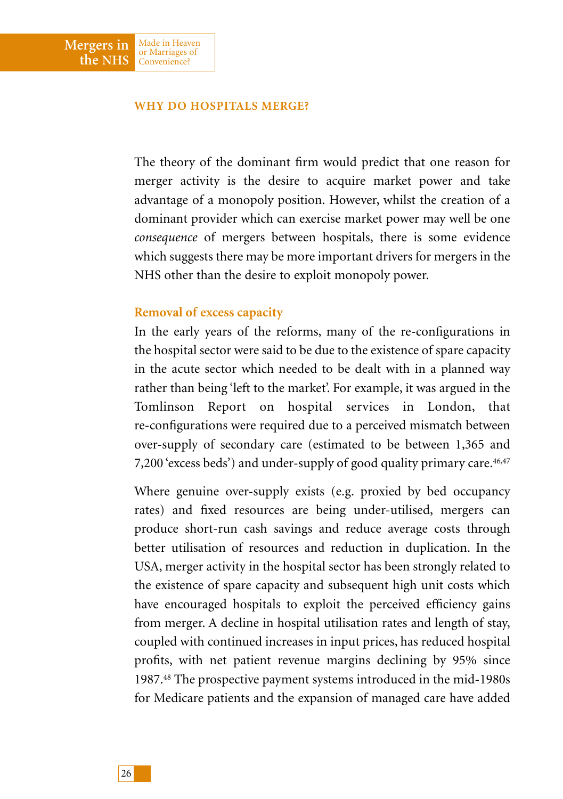### **WHY DO HOSPITALS MERGE?**

Made in Heaven or Marriages of Convenience?

**Mergers in the NHS**

> The theory of the dominant firm would predict that one reason for merger activity is the desire to acquire market power and take advantage of a monopoly position. However, whilst the creation of a dominant provider which can exercise market power may well be one *consequence* of mergers between hospitals, there is some evidence which suggests there may be more important drivers for mergers in the NHS other than the desire to exploit monopoly power.

### **Removal of excess capacity**

In the early years of the reforms, many of the re-configurations in the hospital sector were said to be due to the existence of spare capacity in the acute sector which needed to be dealt with in a planned way rather than being 'left to the market'. For example, it was argued in the Tomlinson Report on hospital services in London, that re-configurations were required due to a perceived mismatch between over-supply of secondary care (estimated to be between 1,365 and 7,200 'excess beds') and under-supply of good quality primary care.46,47

Where genuine over-supply exists (e.g. proxied by bed occupancy rates) and fixed resources are being under-utilised, mergers can produce short-run cash savings and reduce average costs through better utilisation of resources and reduction in duplication. In the USA, merger activity in the hospital sector has been strongly related to the existence of spare capacity and subsequent high unit costs which have encouraged hospitals to exploit the perceived efficiency gains from merger. A decline in hospital utilisation rates and length of stay, coupled with continued increases in input prices, has reduced hospital profits, with net patient revenue margins declining by 95% since 1987.48 The prospective payment systems introduced in the mid-1980s for Medicare patients and the expansion of managed care have added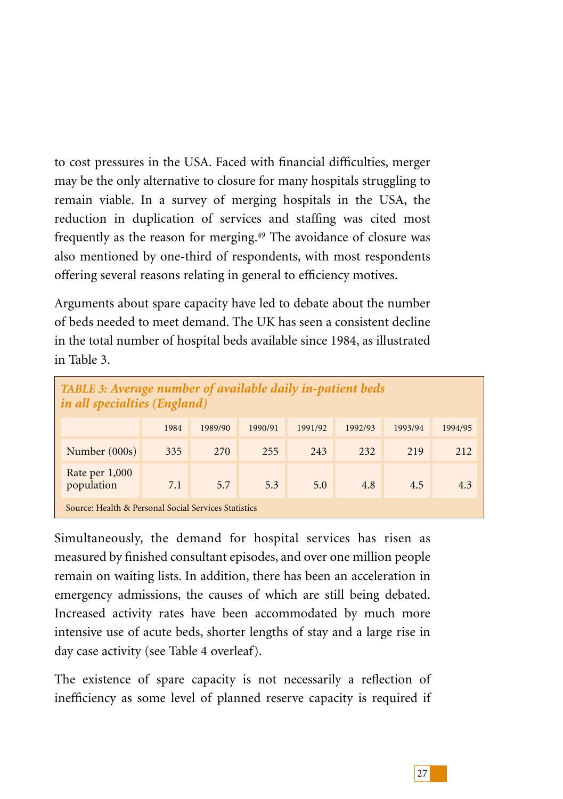to cost pressures in the USA. Faced with financial difficulties, merger may be the only alternative to closure for many hospitals struggling to remain viable. In a survey of merging hospitals in the USA, the reduction in duplication of services and staffing was cited most frequently as the reason for merging.<sup>49</sup> The avoidance of closure was also mentioned by one-third of respondents, with most respondents offering several reasons relating in general to efficiency motives.

Arguments about spare capacity have led to debate about the number of beds needed to meet demand. The UK has seen a consistent decline in the total number of hospital beds available since 1984, as illustrated in Table 3.

| TABLE 3: Average number of available daily in-patient beds<br>in all specialties (England) |      |         |         |         |         |         |         |
|--------------------------------------------------------------------------------------------|------|---------|---------|---------|---------|---------|---------|
|                                                                                            | 1984 | 1989/90 | 1990/91 | 1991/92 | 1992/93 | 1993/94 | 1994/95 |
| Number (000s)                                                                              | 335  | 2.70    | 255     | 243     | 232     | 219     | 212     |
| Rate per $1,000$<br>population                                                             | 7.1  | 5.7     | 5.3     | 5.0     | 4.8     | 4.5     | 4.3     |
| Source: Health & Personal Social Services Statistics                                       |      |         |         |         |         |         |         |

Simultaneously, the demand for hospital services has risen as measured by finished consultant episodes, and over one million people remain on waiting lists. In addition, there has been an acceleration in emergency admissions, the causes of which are still being debated. Increased activity rates have been accommodated by much more intensive use of acute beds, shorter lengths of stay and a large rise in day case activity (see Table 4 overleaf).

The existence of spare capacity is not necessarily a reflection of inefficiency as some level of planned reserve capacity is required if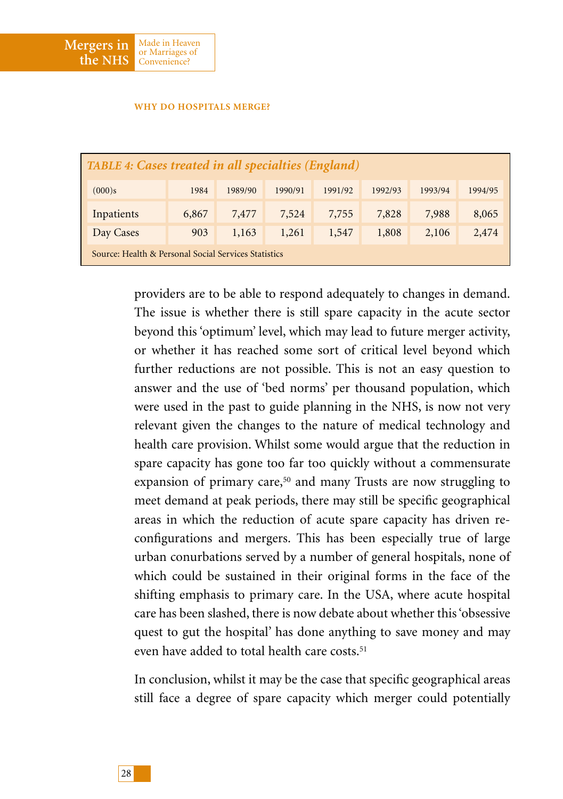

#### **WHY DO HOSPITALS MERGE?**

| <b>TABLE 4: Cases treated in all specialties (England)</b> |       |         |         |         |         |         |         |
|------------------------------------------------------------|-------|---------|---------|---------|---------|---------|---------|
| (000)s                                                     | 1984  | 1989/90 | 1990/91 | 1991/92 | 1992/93 | 1993/94 | 1994/95 |
| Inpatients                                                 | 6,867 | 7,477   | 7,524   | 7,755   | 7,828   | 7,988   | 8,065   |
| Day Cases                                                  | 903   | 1,163   | 1,261   | 1,547   | 1,808   | 2,106   | 2,474   |
| Source: Health & Personal Social Services Statistics       |       |         |         |         |         |         |         |

providers are to be able to respond adequately to changes in demand. The issue is whether there is still spare capacity in the acute sector beyond this 'optimum' level, which may lead to future merger activity, or whether it has reached some sort of critical level beyond which further reductions are not possible. This is not an easy question to answer and the use of 'bed norms' per thousand population, which were used in the past to guide planning in the NHS, is now not very relevant given the changes to the nature of medical technology and health care provision. Whilst some would argue that the reduction in spare capacity has gone too far too quickly without a commensurate expansion of primary care,<sup>50</sup> and many Trusts are now struggling to meet demand at peak periods, there may still be specific geographical areas in which the reduction of acute spare capacity has driven reconfigurations and mergers. This has been especially true of large urban conurbations served by a number of general hospitals, none of which could be sustained in their original forms in the face of the shifting emphasis to primary care. In the USA, where acute hospital care has been slashed, there is now debate about whether this 'obsessive quest to gut the hospital' has done anything to save money and may even have added to total health care costs.<sup>51</sup>

In conclusion, whilst it may be the case that specific geographical areas still face a degree of spare capacity which merger could potentially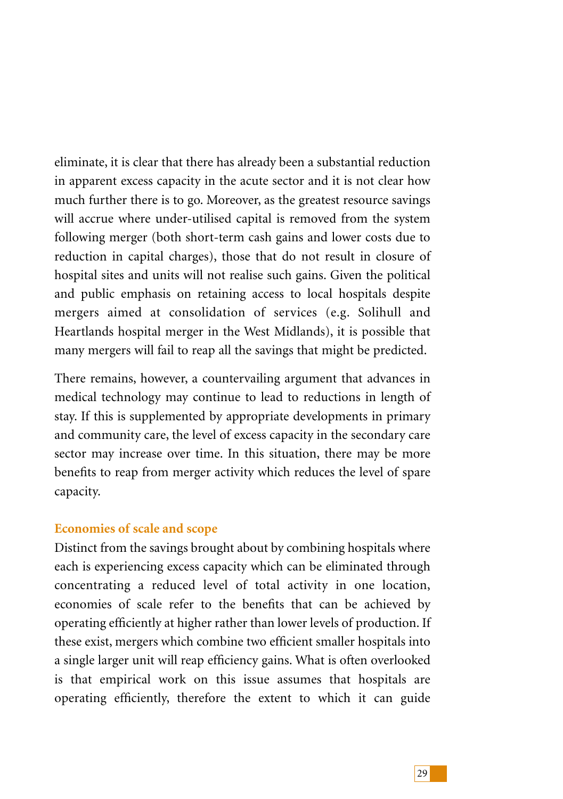eliminate, it is clear that there has already been a substantial reduction in apparent excess capacity in the acute sector and it is not clear how much further there is to go. Moreover, as the greatest resource savings will accrue where under-utilised capital is removed from the system following merger (both short-term cash gains and lower costs due to reduction in capital charges), those that do not result in closure of hospital sites and units will not realise such gains. Given the political and public emphasis on retaining access to local hospitals despite mergers aimed at consolidation of services (e.g. Solihull and Heartlands hospital merger in the West Midlands), it is possible that many mergers will fail to reap all the savings that might be predicted.

There remains, however, a countervailing argument that advances in medical technology may continue to lead to reductions in length of stay. If this is supplemented by appropriate developments in primary and community care, the level of excess capacity in the secondary care sector may increase over time. In this situation, there may be more benefits to reap from merger activity which reduces the level of spare capacity.

## **Economies of scale and scope**

Distinct from the savings brought about by combining hospitals where each is experiencing excess capacity which can be eliminated through concentrating a reduced level of total activity in one location, economies of scale refer to the benefits that can be achieved by operating efficiently at higher rather than lower levels of production. If these exist, mergers which combine two efficient smaller hospitals into a single larger unit will reap efficiency gains. What is often overlooked is that empirical work on this issue assumes that hospitals are operating efficiently, therefore the extent to which it can guide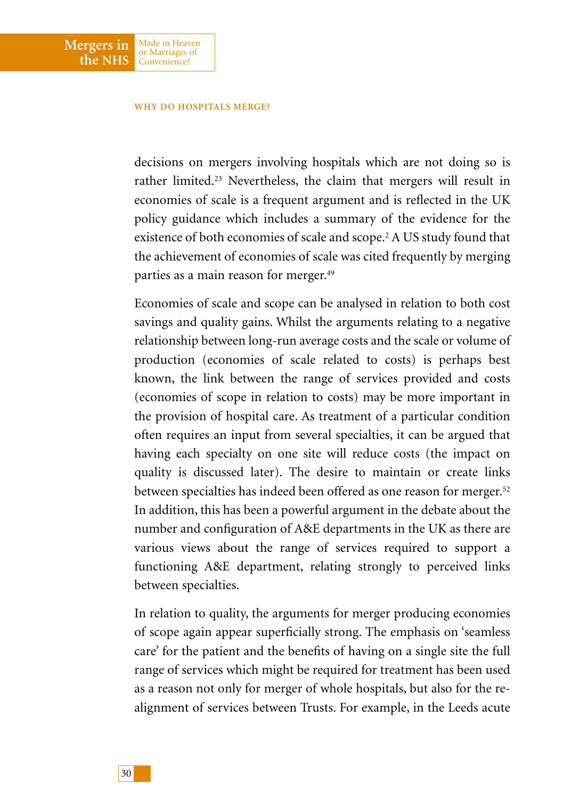#### **WHY DO HOSPITALS MERGE?**

Made in Heaven or Marriages of Convenience?

**Mergers in the NHS**

> decisions on mergers involving hospitals which are not doing so is rather limited.<sup>23</sup> Nevertheless, the claim that mergers will result in economies of scale is a frequent argument and is reflected in the UK policy guidance which includes a summary of the evidence for the existence of both economies of scale and scope.2 A US study found that the achievement of economies of scale was cited frequently by merging parties as a main reason for merger.49

> Economies of scale and scope can be analysed in relation to both cost savings and quality gains. Whilst the arguments relating to a negative relationship between long-run average costs and the scale or volume of production (economies of scale related to costs) is perhaps best known, the link between the range of services provided and costs (economies of scope in relation to costs) may be more important in the provision of hospital care. As treatment of a particular condition often requires an input from several specialties, it can be argued that having each specialty on one site will reduce costs (the impact on quality is discussed later). The desire to maintain or create links between specialties has indeed been offered as one reason for merger.52 In addition, this has been a powerful argument in the debate about the number and configuration of A&E departments in the UK as there are various views about the range of services required to support a functioning A&E department, relating strongly to perceived links between specialties.

> In relation to quality, the arguments for merger producing economies of scope again appear superficially strong. The emphasis on 'seamless care' for the patient and the benefits of having on a single site the full range of services which might be required for treatment has been used as a reason not only for merger of whole hospitals, but also for the realignment of services between Trusts. For example, in the Leeds acute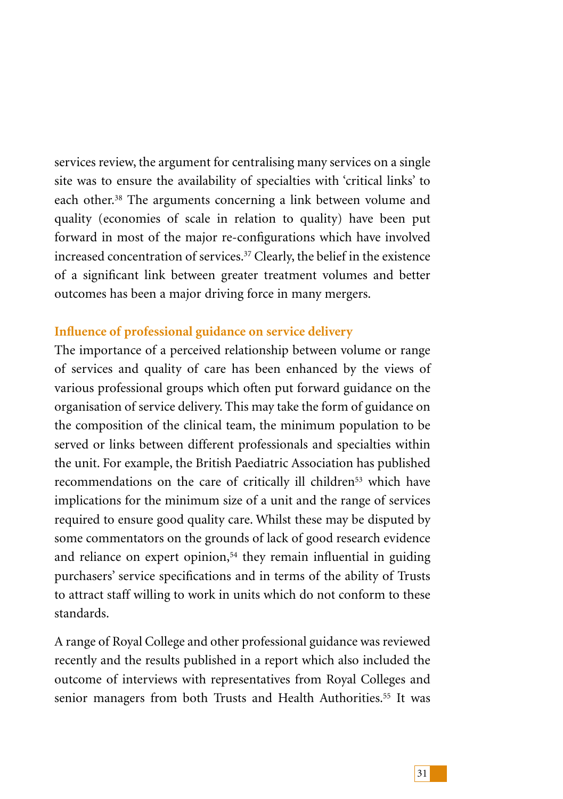services review, the argument for centralising many services on a single site was to ensure the availability of specialties with 'critical links' to each other.<sup>38</sup> The arguments concerning a link between volume and quality (economies of scale in relation to quality) have been put forward in most of the major re-configurations which have involved increased concentration of services.<sup>37</sup> Clearly, the belief in the existence of a significant link between greater treatment volumes and better outcomes has been a major driving force in many mergers.

# **Influence of professional guidance on service delivery**

The importance of a perceived relationship between volume or range of services and quality of care has been enhanced by the views of various professional groups which often put forward guidance on the organisation of service delivery. This may take the form of guidance on the composition of the clinical team, the minimum population to be served or links between different professionals and specialties within the unit. For example, the British Paediatric Association has published recommendations on the care of critically ill children<sup>53</sup> which have implications for the minimum size of a unit and the range of services required to ensure good quality care. Whilst these may be disputed by some commentators on the grounds of lack of good research evidence and reliance on expert opinion,<sup>54</sup> they remain influential in guiding purchasers' service specifications and in terms of the ability of Trusts to attract staff willing to work in units which do not conform to these standards.

A range of Royal College and other professional guidance was reviewed recently and the results published in a report which also included the outcome of interviews with representatives from Royal Colleges and senior managers from both Trusts and Health Authorities.<sup>55</sup> It was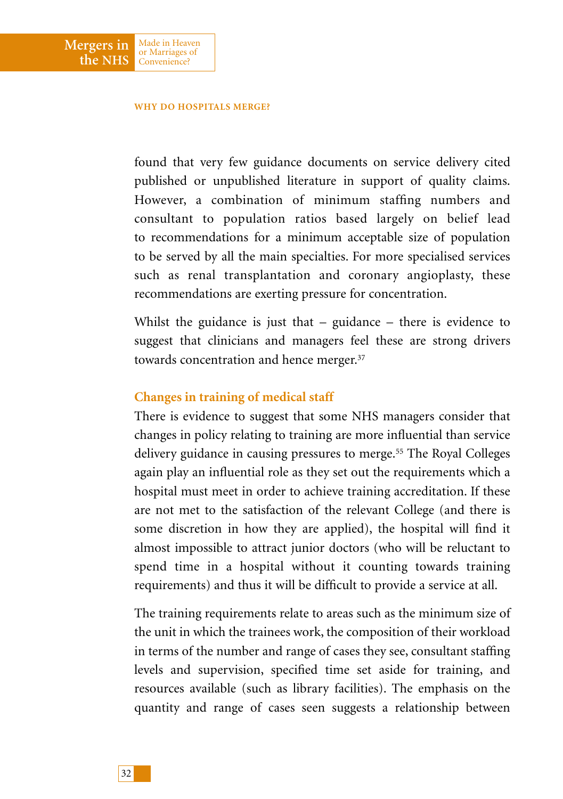#### **WHY DO HOSPITALS MERGE?**

Made in Heaven or Marriages of Convenience?

**Mergers in the NHS**

> found that very few guidance documents on service delivery cited published or unpublished literature in support of quality claims. However, a combination of minimum staffing numbers and consultant to population ratios based largely on belief lead to recommendations for a minimum acceptable size of population to be served by all the main specialties. For more specialised services such as renal transplantation and coronary angioplasty, these recommendations are exerting pressure for concentration.

> Whilst the guidance is just that  $-$  guidance  $-$  there is evidence to suggest that clinicians and managers feel these are strong drivers towards concentration and hence merger.37

## **Changes in training of medical staff**

There is evidence to suggest that some NHS managers consider that changes in policy relating to training are more influential than service delivery guidance in causing pressures to merge.<sup>55</sup> The Royal Colleges again play an influential role as they set out the requirements which a hospital must meet in order to achieve training accreditation. If these are not met to the satisfaction of the relevant College (and there is some discretion in how they are applied), the hospital will find it almost impossible to attract junior doctors (who will be reluctant to spend time in a hospital without it counting towards training requirements) and thus it will be difficult to provide a service at all.

The training requirements relate to areas such as the minimum size of the unit in which the trainees work, the composition of their workload in terms of the number and range of cases they see, consultant staffing levels and supervision, specified time set aside for training, and resources available (such as library facilities). The emphasis on the quantity and range of cases seen suggests a relationship between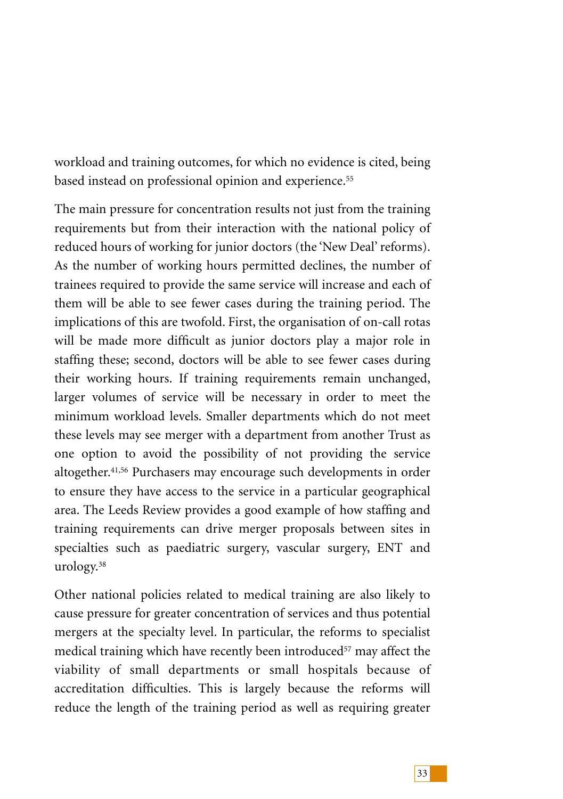workload and training outcomes, for which no evidence is cited, being based instead on professional opinion and experience.<sup>55</sup>

The main pressure for concentration results not just from the training requirements but from their interaction with the national policy of reduced hours of working for junior doctors (the 'New Deal' reforms). As the number of working hours permitted declines, the number of trainees required to provide the same service will increase and each of them will be able to see fewer cases during the training period. The implications of this are twofold. First, the organisation of on-call rotas will be made more difficult as junior doctors play a major role in staffing these; second, doctors will be able to see fewer cases during their working hours. If training requirements remain unchanged, larger volumes of service will be necessary in order to meet the minimum workload levels. Smaller departments which do not meet these levels may see merger with a department from another Trust as one option to avoid the possibility of not providing the service altogether.<sup>41,56</sup> Purchasers may encourage such developments in order to ensure they have access to the service in a particular geographical area. The Leeds Review provides a good example of how staffing and training requirements can drive merger proposals between sites in specialties such as paediatric surgery, vascular surgery, ENT and urology.38

Other national policies related to medical training are also likely to cause pressure for greater concentration of services and thus potential mergers at the specialty level. In particular, the reforms to specialist medical training which have recently been introduced<sup>57</sup> may affect the viability of small departments or small hospitals because of accreditation difficulties. This is largely because the reforms will reduce the length of the training period as well as requiring greater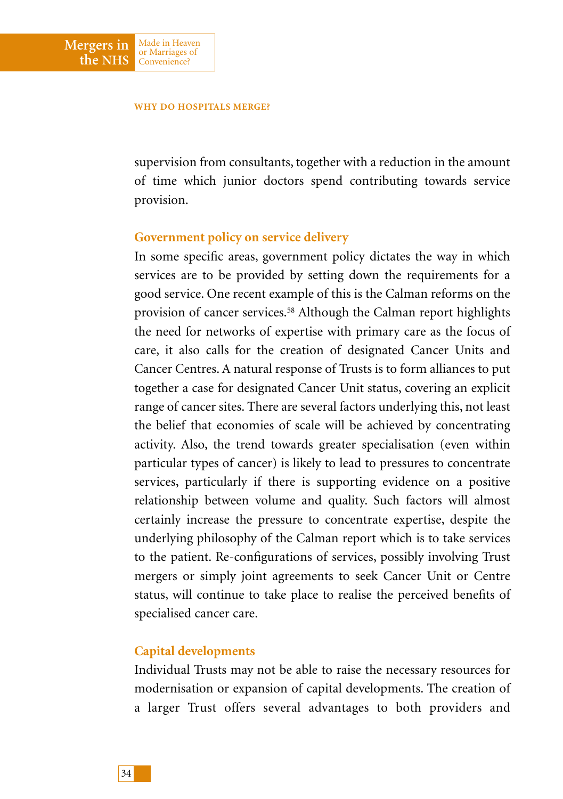Made in Heaven or Marriages of Convenience?

**Mergers in the NHS**

> supervision from consultants, together with a reduction in the amount of time which junior doctors spend contributing towards service provision.

## **Government policy on service delivery**

In some specific areas, government policy dictates the way in which services are to be provided by setting down the requirements for a good service. One recent example of this is the Calman reforms on the provision of cancer services.58 Although the Calman report highlights the need for networks of expertise with primary care as the focus of care, it also calls for the creation of designated Cancer Units and Cancer Centres. A natural response of Trusts is to form alliances to put together a case for designated Cancer Unit status, covering an explicit range of cancer sites. There are several factors underlying this, not least the belief that economies of scale will be achieved by concentrating activity. Also, the trend towards greater specialisation (even within particular types of cancer) is likely to lead to pressures to concentrate services, particularly if there is supporting evidence on a positive relationship between volume and quality. Such factors will almost certainly increase the pressure to concentrate expertise, despite the underlying philosophy of the Calman report which is to take services to the patient. Re-configurations of services, possibly involving Trust mergers or simply joint agreements to seek Cancer Unit or Centre status, will continue to take place to realise the perceived benefits of specialised cancer care.

### **Capital developments**

Individual Trusts may not be able to raise the necessary resources for modernisation or expansion of capital developments. The creation of a larger Trust offers several advantages to both providers and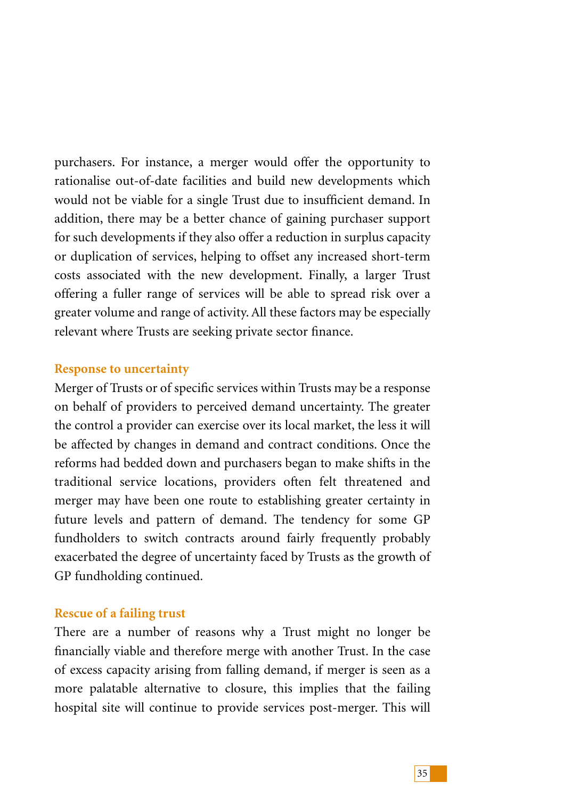purchasers. For instance, a merger would offer the opportunity to rationalise out-of-date facilities and build new developments which would not be viable for a single Trust due to insufficient demand. In addition, there may be a better chance of gaining purchaser support for such developments if they also offer a reduction in surplus capacity or duplication of services, helping to offset any increased short-term costs associated with the new development. Finally, a larger Trust offering a fuller range of services will be able to spread risk over a greater volume and range of activity. All these factors may be especially relevant where Trusts are seeking private sector finance.

# **Response to uncertainty**

Merger of Trusts or of specific services within Trusts may be a response on behalf of providers to perceived demand uncertainty. The greater the control a provider can exercise over its local market, the less it will be affected by changes in demand and contract conditions. Once the reforms had bedded down and purchasers began to make shifts in the traditional service locations, providers often felt threatened and merger may have been one route to establishing greater certainty in future levels and pattern of demand. The tendency for some GP fundholders to switch contracts around fairly frequently probably exacerbated the degree of uncertainty faced by Trusts as the growth of GP fundholding continued.

# **Rescue of a failing trust**

There are a number of reasons why a Trust might no longer be financially viable and therefore merge with another Trust. In the case of excess capacity arising from falling demand, if merger is seen as a more palatable alternative to closure, this implies that the failing hospital site will continue to provide services post-merger. This will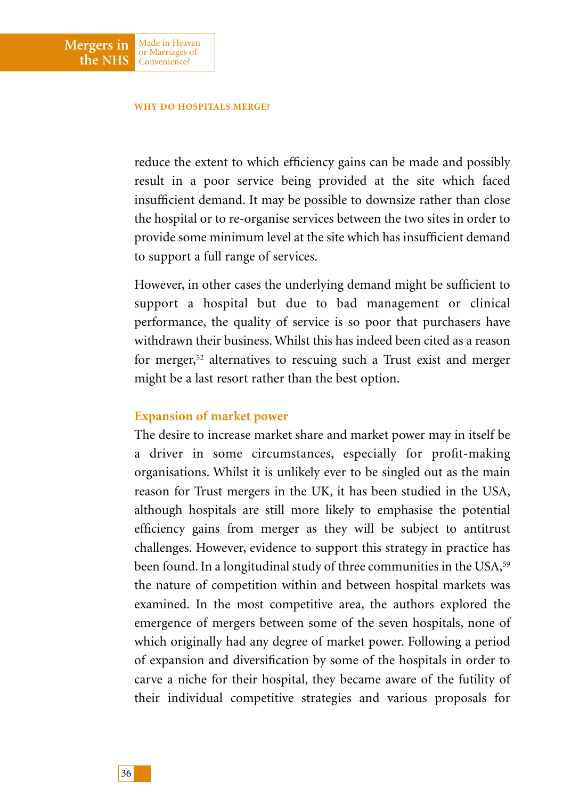#### **WHY DO HOSPITALS MERGE?**

Made in Heaven or Marriages of Convenience?

**Mergers in the NHS**

> reduce the extent to which efficiency gains can be made and possibly result in a poor service being provided at the site which faced insufficient demand. It may be possible to downsize rather than close the hospital or to re-organise services between the two sites in order to provide some minimum level at the site which has insufficient demand to support a full range of services.

> However, in other cases the underlying demand might be sufficient to support a hospital but due to bad management or clinical performance, the quality of service is so poor that purchasers have withdrawn their business. Whilst this has indeed been cited as a reason for merger,52 alternatives to rescuing such a Trust exist and merger might be a last resort rather than the best option.

### **Expansion of market power**

The desire to increase market share and market power may in itself be a driver in some circumstances, especially for profit-making organisations. Whilst it is unlikely ever to be singled out as the main reason for Trust mergers in the UK, it has been studied in the USA, although hospitals are still more likely to emphasise the potential efficiency gains from merger as they will be subject to antitrust challenges. However, evidence to support this strategy in practice has been found. In a longitudinal study of three communities in the USA,<sup>59</sup> the nature of competition within and between hospital markets was examined. In the most competitive area, the authors explored the emergence of mergers between some of the seven hospitals, none of which originally had any degree of market power. Following a period of expansion and diversification by some of the hospitals in order to carve a niche for their hospital, they became aware of the futility of their individual competitive strategies and various proposals for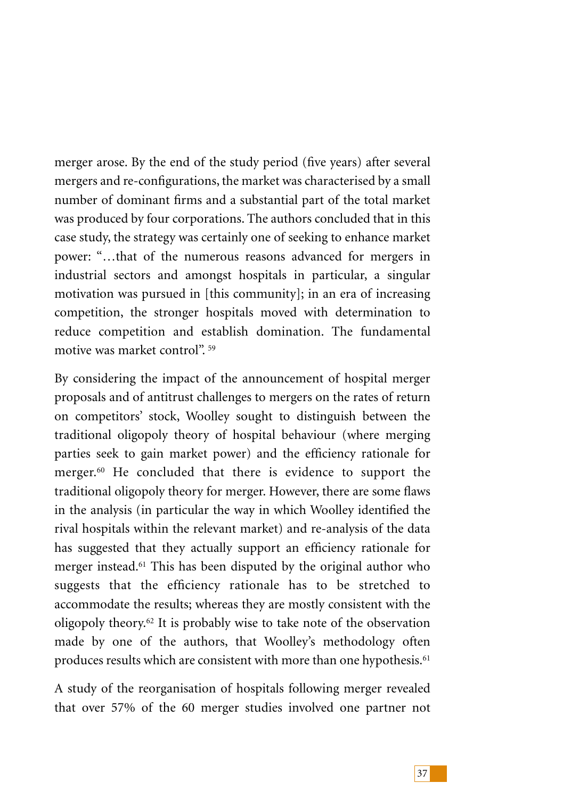merger arose. By the end of the study period (five years) after several mergers and re-configurations, the market was characterised by a small number of dominant firms and a substantial part of the total market was produced by four corporations. The authors concluded that in this case study, the strategy was certainly one of seeking to enhance market power: "…that of the numerous reasons advanced for mergers in industrial sectors and amongst hospitals in particular, a singular motivation was pursued in [this community]; in an era of increasing competition, the stronger hospitals moved with determination to reduce competition and establish domination. The fundamental motive was market control". <sup>59</sup>

By considering the impact of the announcement of hospital merger proposals and of antitrust challenges to mergers on the rates of return on competitors' stock, Woolley sought to distinguish between the traditional oligopoly theory of hospital behaviour (where merging parties seek to gain market power) and the efficiency rationale for merger.<sup>60</sup> He concluded that there is evidence to support the traditional oligopoly theory for merger. However, there are some flaws in the analysis (in particular the way in which Woolley identified the rival hospitals within the relevant market) and re-analysis of the data has suggested that they actually support an efficiency rationale for merger instead.61 This has been disputed by the original author who suggests that the efficiency rationale has to be stretched to accommodate the results; whereas they are mostly consistent with the oligopoly theory.62 It is probably wise to take note of the observation made by one of the authors, that Woolley's methodology often produces results which are consistent with more than one hypothesis.<sup>61</sup>

A study of the reorganisation of hospitals following merger revealed that over 57% of the 60 merger studies involved one partner not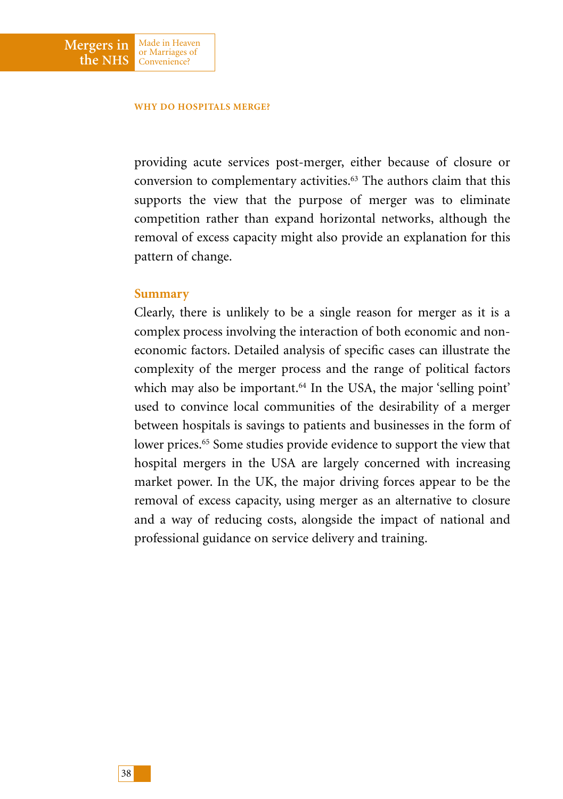#### **WHY DO HOSPITALS MERGE?**

Made in Heaven or Marriages of Convenience?

providing acute services post-merger, either because of closure or conversion to complementary activities.63 The authors claim that this supports the view that the purpose of merger was to eliminate competition rather than expand horizontal networks, although the removal of excess capacity might also provide an explanation for this pattern of change.

### **Summary**

**Mergers in the NHS**

> Clearly, there is unlikely to be a single reason for merger as it is a complex process involving the interaction of both economic and noneconomic factors. Detailed analysis of specific cases can illustrate the complexity of the merger process and the range of political factors which may also be important.<sup>64</sup> In the USA, the major 'selling point' used to convince local communities of the desirability of a merger between hospitals is savings to patients and businesses in the form of lower prices.<sup>65</sup> Some studies provide evidence to support the view that hospital mergers in the USA are largely concerned with increasing market power. In the UK, the major driving forces appear to be the removal of excess capacity, using merger as an alternative to closure and a way of reducing costs, alongside the impact of national and professional guidance on service delivery and training.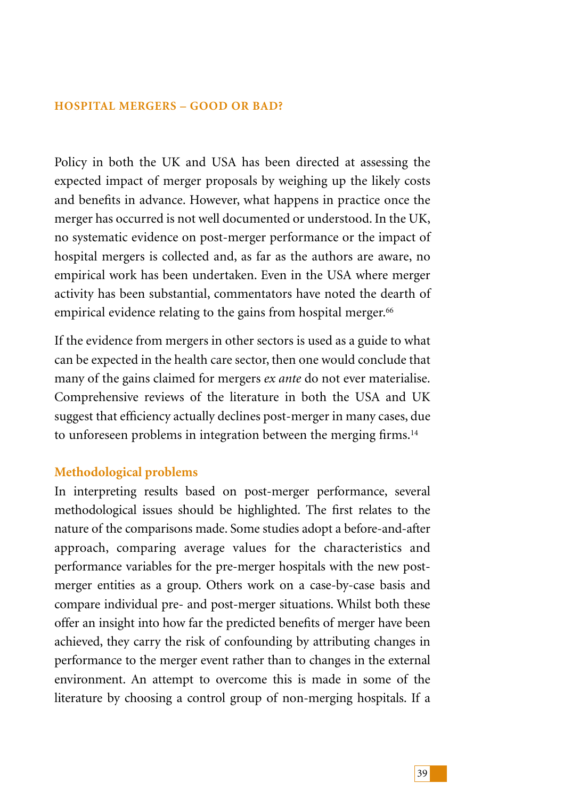Policy in both the UK and USA has been directed at assessing the expected impact of merger proposals by weighing up the likely costs and benefits in advance. However, what happens in practice once the merger has occurred is not well documented or understood. In the UK, no systematic evidence on post-merger performance or the impact of hospital mergers is collected and, as far as the authors are aware, no empirical work has been undertaken. Even in the USA where merger activity has been substantial, commentators have noted the dearth of empirical evidence relating to the gains from hospital merger.<sup>66</sup>

If the evidence from mergers in other sectors is used as a guide to what can be expected in the health care sector, then one would conclude that many of the gains claimed for mergers *ex ante* do not ever materialise. Comprehensive reviews of the literature in both the USA and UK suggest that efficiency actually declines post-merger in many cases, due to unforeseen problems in integration between the merging firms.<sup>14</sup>

## **Methodological problems**

In interpreting results based on post-merger performance, several methodological issues should be highlighted. The first relates to the nature of the comparisons made. Some studies adopt a before-and-after approach, comparing average values for the characteristics and performance variables for the pre-merger hospitals with the new postmerger entities as a group. Others work on a case-by-case basis and compare individual pre- and post-merger situations. Whilst both these offer an insight into how far the predicted benefits of merger have been achieved, they carry the risk of confounding by attributing changes in performance to the merger event rather than to changes in the external environment. An attempt to overcome this is made in some of the literature by choosing a control group of non-merging hospitals. If a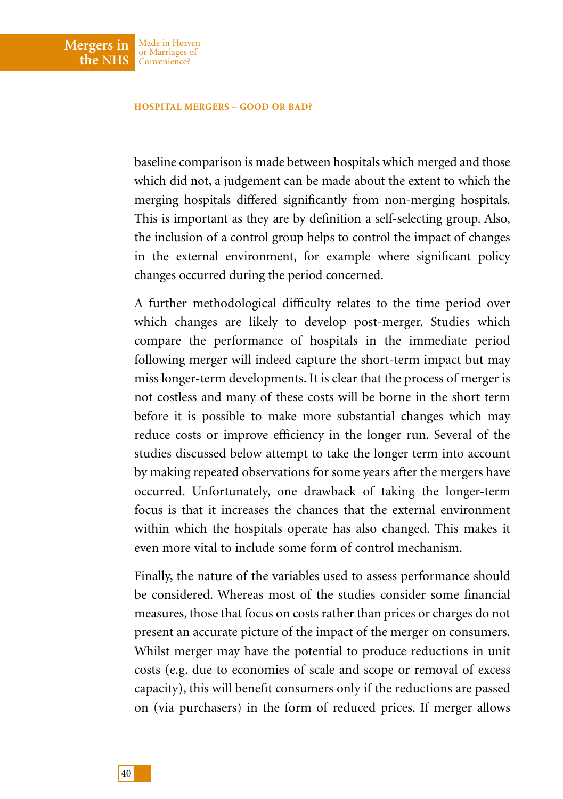Made in Heaven or Marriages of Convenience?

**Mergers in the NHS**

> baseline comparison is made between hospitals which merged and those which did not, a judgement can be made about the extent to which the merging hospitals differed significantly from non-merging hospitals. This is important as they are by definition a self-selecting group. Also, the inclusion of a control group helps to control the impact of changes in the external environment, for example where significant policy changes occurred during the period concerned.

> A further methodological difficulty relates to the time period over which changes are likely to develop post-merger. Studies which compare the performance of hospitals in the immediate period following merger will indeed capture the short-term impact but may miss longer-term developments. It is clear that the process of merger is not costless and many of these costs will be borne in the short term before it is possible to make more substantial changes which may reduce costs or improve efficiency in the longer run. Several of the studies discussed below attempt to take the longer term into account by making repeated observations for some years after the mergers have occurred. Unfortunately, one drawback of taking the longer-term focus is that it increases the chances that the external environment within which the hospitals operate has also changed. This makes it even more vital to include some form of control mechanism.

> Finally, the nature of the variables used to assess performance should be considered. Whereas most of the studies consider some financial measures, those that focus on costs rather than prices or charges do not present an accurate picture of the impact of the merger on consumers. Whilst merger may have the potential to produce reductions in unit costs (e.g. due to economies of scale and scope or removal of excess capacity), this will benefit consumers only if the reductions are passed on (via purchasers) in the form of reduced prices. If merger allows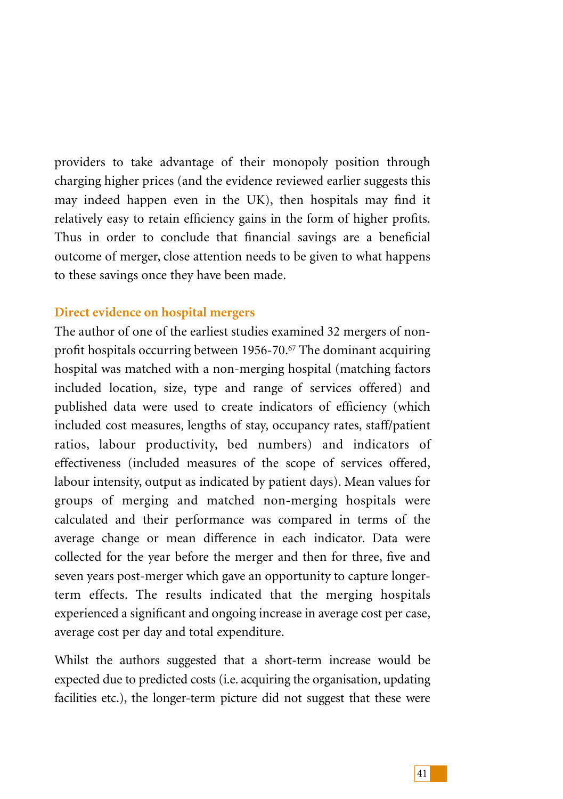providers to take advantage of their monopoly position through charging higher prices (and the evidence reviewed earlier suggests this may indeed happen even in the UK), then hospitals may find it relatively easy to retain efficiency gains in the form of higher profits. Thus in order to conclude that financial savings are a beneficial outcome of merger, close attention needs to be given to what happens to these savings once they have been made.

# **Direct evidence on hospital mergers**

The author of one of the earliest studies examined 32 mergers of nonprofit hospitals occurring between 1956-70.67 The dominant acquiring hospital was matched with a non-merging hospital (matching factors included location, size, type and range of services offered) and published data were used to create indicators of efficiency (which included cost measures, lengths of stay, occupancy rates, staff/patient ratios, labour productivity, bed numbers) and indicators of effectiveness (included measures of the scope of services offered, labour intensity, output as indicated by patient days). Mean values for groups of merging and matched non-merging hospitals were calculated and their performance was compared in terms of the average change or mean difference in each indicator. Data were collected for the year before the merger and then for three, five and seven years post-merger which gave an opportunity to capture longerterm effects. The results indicated that the merging hospitals experienced a significant and ongoing increase in average cost per case, average cost per day and total expenditure.

Whilst the authors suggested that a short-term increase would be expected due to predicted costs (i.e. acquiring the organisation, updating facilities etc.), the longer-term picture did not suggest that these were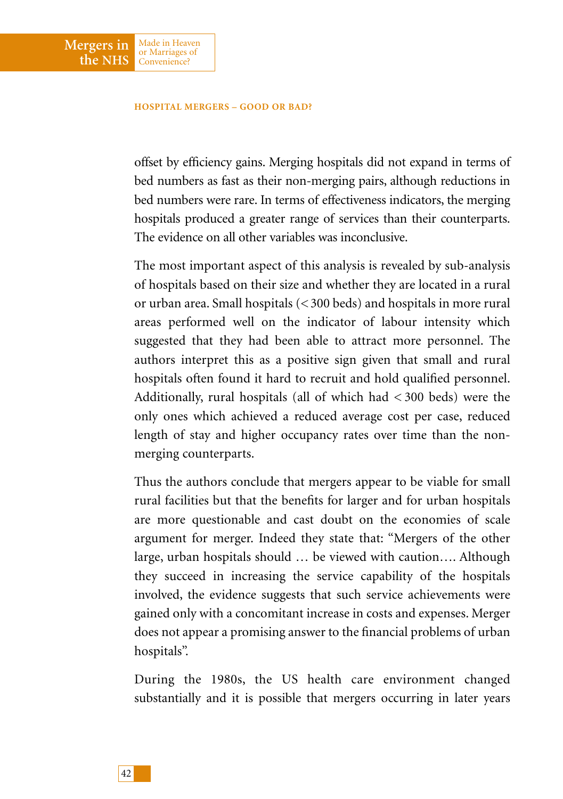Made in Heaven or Marriages of Convenience?

**Mergers in the NHS**

> offset by efficiency gains. Merging hospitals did not expand in terms of bed numbers as fast as their non-merging pairs, although reductions in bed numbers were rare. In terms of effectiveness indicators, the merging hospitals produced a greater range of services than their counterparts. The evidence on all other variables was inconclusive.

> The most important aspect of this analysis is revealed by sub-analysis of hospitals based on their size and whether they are located in a rural or urban area. Small hospitals (< 300 beds) and hospitals in more rural areas performed well on the indicator of labour intensity which suggested that they had been able to attract more personnel. The authors interpret this as a positive sign given that small and rural hospitals often found it hard to recruit and hold qualified personnel. Additionally, rural hospitals (all of which had < 300 beds) were the only ones which achieved a reduced average cost per case, reduced length of stay and higher occupancy rates over time than the nonmerging counterparts.

> Thus the authors conclude that mergers appear to be viable for small rural facilities but that the benefits for larger and for urban hospitals are more questionable and cast doubt on the economies of scale argument for merger. Indeed they state that: "Mergers of the other large, urban hospitals should … be viewed with caution…. Although they succeed in increasing the service capability of the hospitals involved, the evidence suggests that such service achievements were gained only with a concomitant increase in costs and expenses. Merger does not appear a promising answer to the financial problems of urban hospitals".

> During the 1980s, the US health care environment changed substantially and it is possible that mergers occurring in later years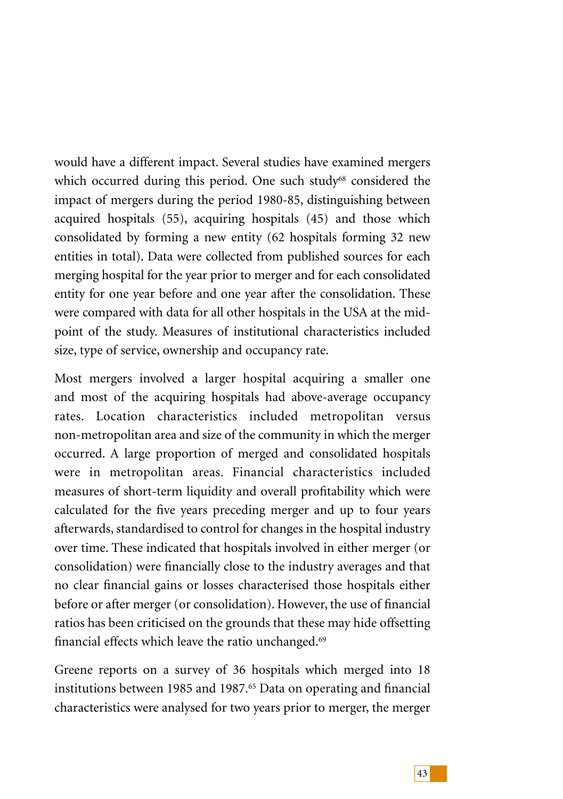would have a different impact. Several studies have examined mergers which occurred during this period. One such study<sup>68</sup> considered the impact of mergers during the period 1980-85, distinguishing between acquired hospitals (55), acquiring hospitals (45) and those which consolidated by forming a new entity (62 hospitals forming 32 new entities in total). Data were collected from published sources for each merging hospital for the year prior to merger and for each consolidated entity for one year before and one year after the consolidation. These were compared with data for all other hospitals in the USA at the midpoint of the study. Measures of institutional characteristics included size, type of service, ownership and occupancy rate.

Most mergers involved a larger hospital acquiring a smaller one and most of the acquiring hospitals had above-average occupancy rates. Location characteristics included metropolitan versus non-metropolitan area and size of the community in which the merger occurred. A large proportion of merged and consolidated hospitals were in metropolitan areas. Financial characteristics included measures of short-term liquidity and overall profitability which were calculated for the five years preceding merger and up to four years afterwards, standardised to control for changes in the hospital industry over time. These indicated that hospitals involved in either merger (or consolidation) were financially close to the industry averages and that no clear financial gains or losses characterised those hospitals either before or after merger (or consolidation). However, the use of financial ratios has been criticised on the grounds that these may hide offsetting financial effects which leave the ratio unchanged.69

Greene reports on a survey of 36 hospitals which merged into 18 institutions between 1985 and 1987.<sup>65</sup> Data on operating and financial characteristics were analysed for two years prior to merger, the merger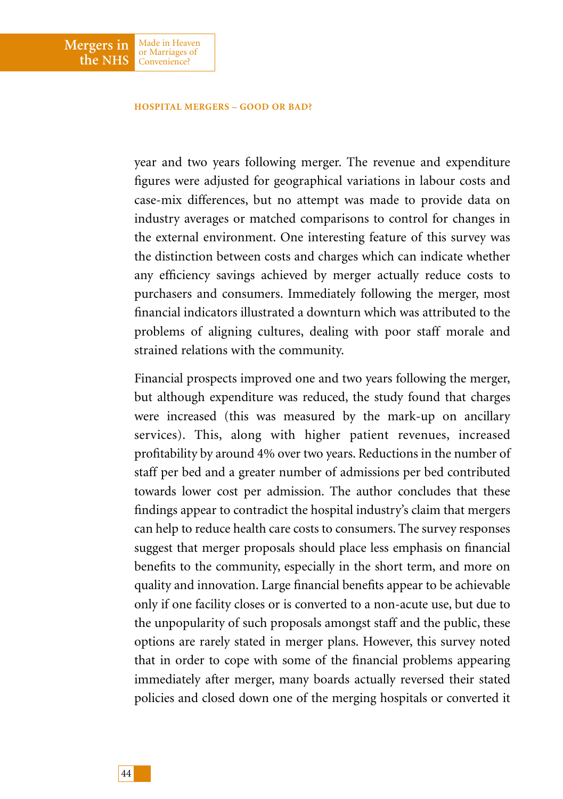Made in Heaven or Marriages of Convenience?

**Mergers in the NHS**

> year and two years following merger. The revenue and expenditure figures were adjusted for geographical variations in labour costs and case-mix differences, but no attempt was made to provide data on industry averages or matched comparisons to control for changes in the external environment. One interesting feature of this survey was the distinction between costs and charges which can indicate whether any efficiency savings achieved by merger actually reduce costs to purchasers and consumers. Immediately following the merger, most financial indicators illustrated a downturn which was attributed to the problems of aligning cultures, dealing with poor staff morale and strained relations with the community.

> Financial prospects improved one and two years following the merger, but although expenditure was reduced, the study found that charges were increased (this was measured by the mark-up on ancillary services). This, along with higher patient revenues, increased profitability by around 4% over two years. Reductions in the number of staff per bed and a greater number of admissions per bed contributed towards lower cost per admission. The author concludes that these findings appear to contradict the hospital industry's claim that mergers can help to reduce health care costs to consumers. The survey responses suggest that merger proposals should place less emphasis on financial benefits to the community, especially in the short term, and more on quality and innovation. Large financial benefits appear to be achievable only if one facility closes or is converted to a non-acute use, but due to the unpopularity of such proposals amongst staff and the public, these options are rarely stated in merger plans. However, this survey noted that in order to cope with some of the financial problems appearing immediately after merger, many boards actually reversed their stated policies and closed down one of the merging hospitals or converted it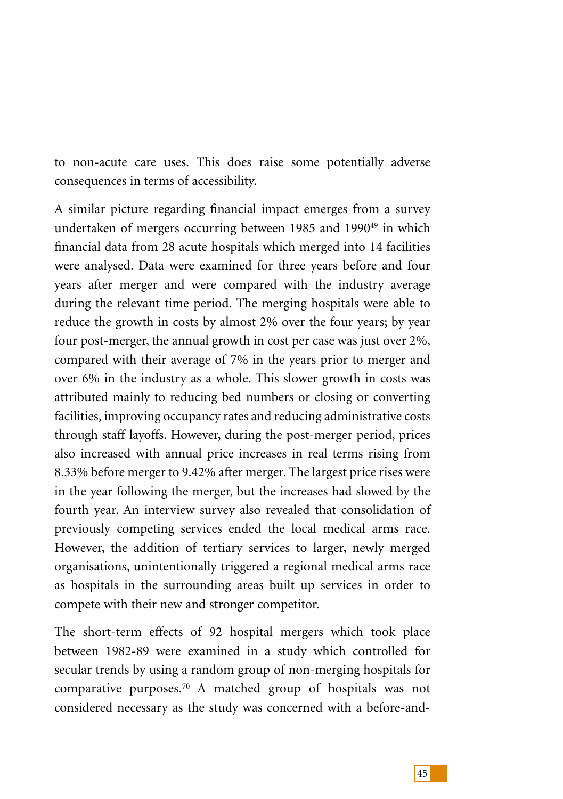to non-acute care uses. This does raise some potentially adverse consequences in terms of accessibility.

A similar picture regarding financial impact emerges from a survey undertaken of mergers occurring between 1985 and 1990<sup>49</sup> in which financial data from 28 acute hospitals which merged into 14 facilities were analysed. Data were examined for three years before and four years after merger and were compared with the industry average during the relevant time period. The merging hospitals were able to reduce the growth in costs by almost 2% over the four years; by year four post-merger, the annual growth in cost per case was just over 2%, compared with their average of 7% in the years prior to merger and over 6% in the industry as a whole. This slower growth in costs was attributed mainly to reducing bed numbers or closing or converting facilities, improving occupancy rates and reducing administrative costs through staff layoffs. However, during the post-merger period, prices also increased with annual price increases in real terms rising from 8.33% before merger to 9.42% after merger. The largest price rises were in the year following the merger, but the increases had slowed by the fourth year. An interview survey also revealed that consolidation of previously competing services ended the local medical arms race. However, the addition of tertiary services to larger, newly merged organisations, unintentionally triggered a regional medical arms race as hospitals in the surrounding areas built up services in order to compete with their new and stronger competitor.

The short-term effects of 92 hospital mergers which took place between 1982-89 were examined in a study which controlled for secular trends by using a random group of non-merging hospitals for comparative purposes.70 A matched group of hospitals was not considered necessary as the study was concerned with a before-and-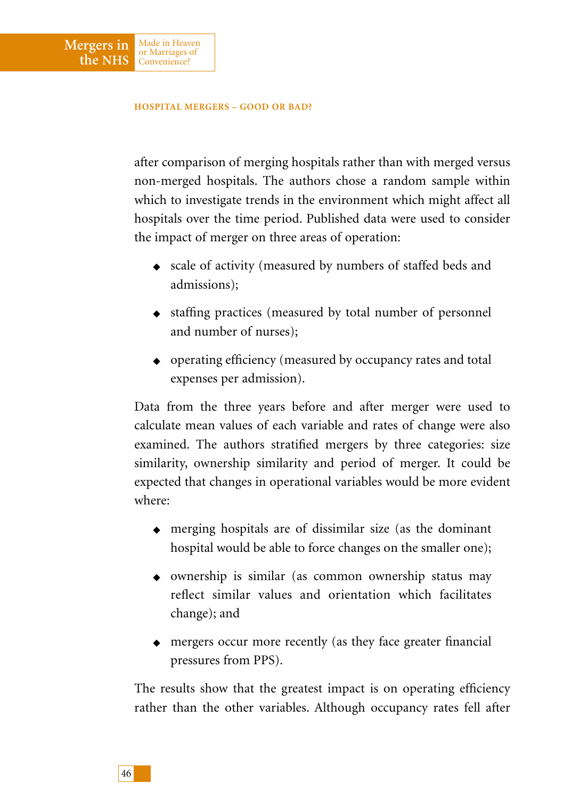Mergers in Made in Heaven

Convenience?

**the NHS**

after comparison of merging hospitals rather than with merged versus non-merged hospitals. The authors chose a random sample within which to investigate trends in the environment which might affect all hospitals over the time period. Published data were used to consider the impact of merger on three areas of operation:

- ◆ scale of activity (measured by numbers of staffed beds and admissions);
- ◆ staffing practices (measured by total number of personnel and number of nurses);
- ◆ operating efficiency (measured by occupancy rates and total expenses per admission).

Data from the three years before and after merger were used to calculate mean values of each variable and rates of change were also examined. The authors stratified mergers by three categories: size similarity, ownership similarity and period of merger. It could be expected that changes in operational variables would be more evident where:

- ◆ merging hospitals are of dissimilar size (as the dominant hospital would be able to force changes on the smaller one);
- ◆ ownership is similar (as common ownership status may reflect similar values and orientation which facilitates change); and
- ◆ mergers occur more recently (as they face greater financial pressures from PPS).

The results show that the greatest impact is on operating efficiency rather than the other variables. Although occupancy rates fell after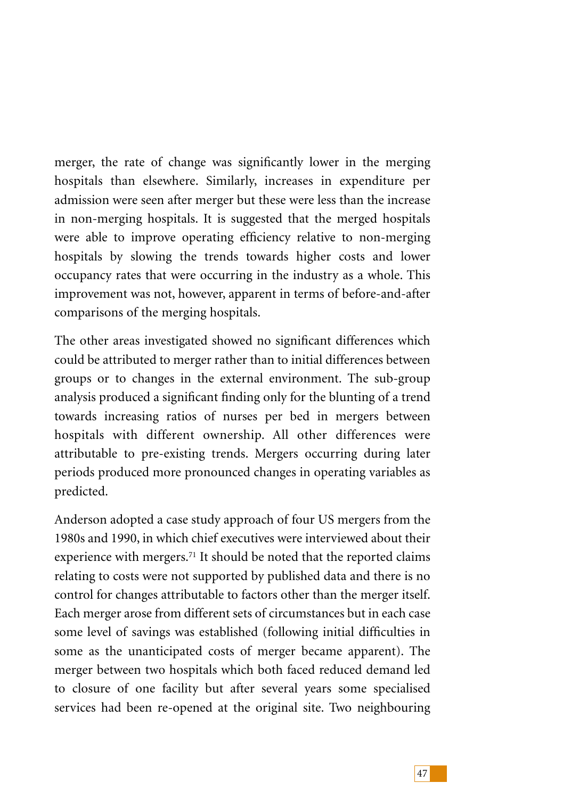merger, the rate of change was significantly lower in the merging hospitals than elsewhere. Similarly, increases in expenditure per admission were seen after merger but these were less than the increase in non-merging hospitals. It is suggested that the merged hospitals were able to improve operating efficiency relative to non-merging hospitals by slowing the trends towards higher costs and lower occupancy rates that were occurring in the industry as a whole. This improvement was not, however, apparent in terms of before-and-after comparisons of the merging hospitals.

The other areas investigated showed no significant differences which could be attributed to merger rather than to initial differences between groups or to changes in the external environment. The sub-group analysis produced a significant finding only for the blunting of a trend towards increasing ratios of nurses per bed in mergers between hospitals with different ownership. All other differences were attributable to pre-existing trends. Mergers occurring during later periods produced more pronounced changes in operating variables as predicted.

Anderson adopted a case study approach of four US mergers from the 1980s and 1990, in which chief executives were interviewed about their experience with mergers.<sup>71</sup> It should be noted that the reported claims relating to costs were not supported by published data and there is no control for changes attributable to factors other than the merger itself. Each merger arose from different sets of circumstances but in each case some level of savings was established (following initial difficulties in some as the unanticipated costs of merger became apparent). The merger between two hospitals which both faced reduced demand led to closure of one facility but after several years some specialised services had been re-opened at the original site. Two neighbouring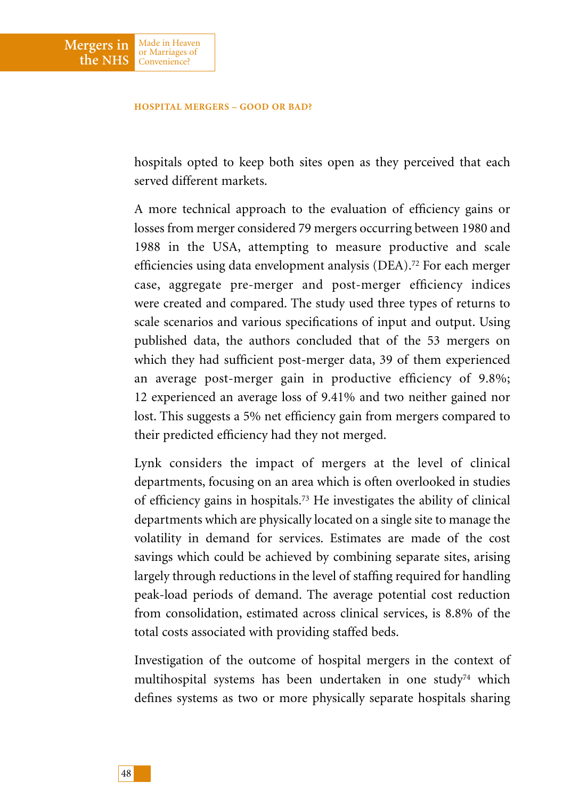Made in Heaven or Marriages of Convenience?

**Mergers in the NHS**

> hospitals opted to keep both sites open as they perceived that each served different markets.

> A more technical approach to the evaluation of efficiency gains or losses from merger considered 79 mergers occurring between 1980 and 1988 in the USA, attempting to measure productive and scale efficiencies using data envelopment analysis (DEA).72 For each merger case, aggregate pre-merger and post-merger efficiency indices were created and compared. The study used three types of returns to scale scenarios and various specifications of input and output. Using published data, the authors concluded that of the 53 mergers on which they had sufficient post-merger data, 39 of them experienced an average post-merger gain in productive efficiency of 9.8%; 12 experienced an average loss of 9.41% and two neither gained nor lost. This suggests a 5% net efficiency gain from mergers compared to their predicted efficiency had they not merged.

> Lynk considers the impact of mergers at the level of clinical departments, focusing on an area which is often overlooked in studies of efficiency gains in hospitals.73 He investigates the ability of clinical departments which are physically located on a single site to manage the volatility in demand for services. Estimates are made of the cost savings which could be achieved by combining separate sites, arising largely through reductions in the level of staffing required for handling peak-load periods of demand. The average potential cost reduction from consolidation, estimated across clinical services, is 8.8% of the total costs associated with providing staffed beds.

> Investigation of the outcome of hospital mergers in the context of multihospital systems has been undertaken in one study<sup>74</sup> which defines systems as two or more physically separate hospitals sharing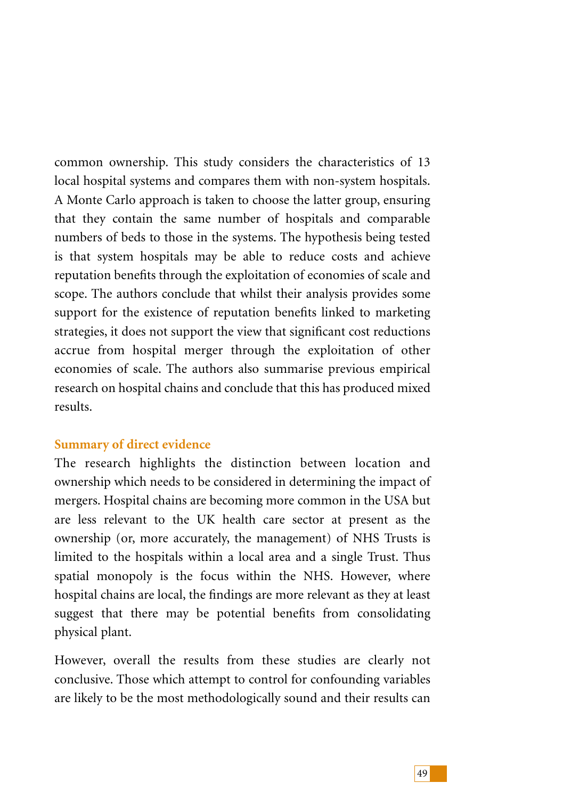common ownership. This study considers the characteristics of 13 local hospital systems and compares them with non-system hospitals. A Monte Carlo approach is taken to choose the latter group, ensuring that they contain the same number of hospitals and comparable numbers of beds to those in the systems. The hypothesis being tested is that system hospitals may be able to reduce costs and achieve reputation benefits through the exploitation of economies of scale and scope. The authors conclude that whilst their analysis provides some support for the existence of reputation benefits linked to marketing strategies, it does not support the view that significant cost reductions accrue from hospital merger through the exploitation of other economies of scale. The authors also summarise previous empirical research on hospital chains and conclude that this has produced mixed results.

# **Summary of direct evidence**

The research highlights the distinction between location and ownership which needs to be considered in determining the impact of mergers. Hospital chains are becoming more common in the USA but are less relevant to the UK health care sector at present as the ownership (or, more accurately, the management) of NHS Trusts is limited to the hospitals within a local area and a single Trust. Thus spatial monopoly is the focus within the NHS. However, where hospital chains are local, the findings are more relevant as they at least suggest that there may be potential benefits from consolidating physical plant.

However, overall the results from these studies are clearly not conclusive. Those which attempt to control for confounding variables are likely to be the most methodologically sound and their results can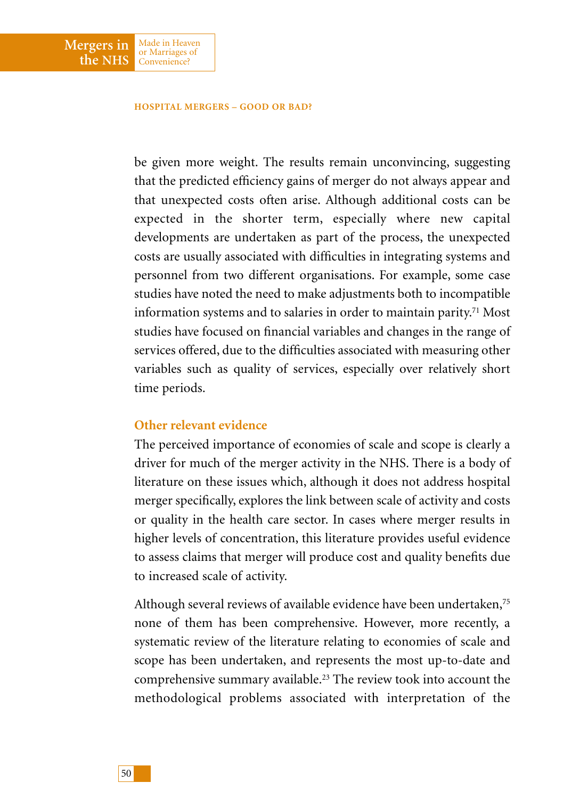Made in Heaven or Marriages of Convenience?

**Mergers in the NHS**

> be given more weight. The results remain unconvincing, suggesting that the predicted efficiency gains of merger do not always appear and that unexpected costs often arise. Although additional costs can be expected in the shorter term, especially where new capital developments are undertaken as part of the process, the unexpected costs are usually associated with difficulties in integrating systems and personnel from two different organisations. For example, some case studies have noted the need to make adjustments both to incompatible information systems and to salaries in order to maintain parity.71 Most studies have focused on financial variables and changes in the range of services offered, due to the difficulties associated with measuring other variables such as quality of services, especially over relatively short time periods.

### **Other relevant evidence**

The perceived importance of economies of scale and scope is clearly a driver for much of the merger activity in the NHS. There is a body of literature on these issues which, although it does not address hospital merger specifically, explores the link between scale of activity and costs or quality in the health care sector. In cases where merger results in higher levels of concentration, this literature provides useful evidence to assess claims that merger will produce cost and quality benefits due to increased scale of activity.

Although several reviews of available evidence have been undertaken,<sup>75</sup> none of them has been comprehensive. However, more recently, a systematic review of the literature relating to economies of scale and scope has been undertaken, and represents the most up-to-date and comprehensive summary available.23 The review took into account the methodological problems associated with interpretation of the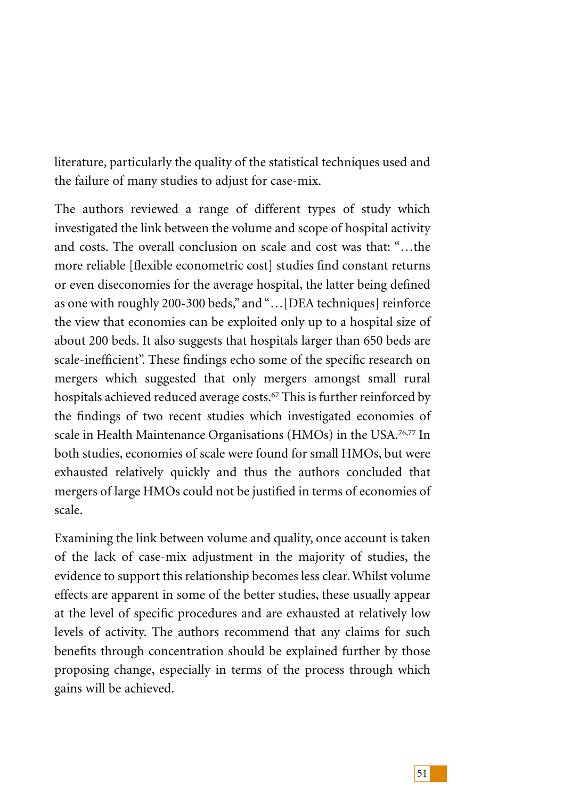literature, particularly the quality of the statistical techniques used and the failure of many studies to adjust for case-mix.

The authors reviewed a range of different types of study which investigated the link between the volume and scope of hospital activity and costs. The overall conclusion on scale and cost was that: "…the more reliable [flexible econometric cost] studies find constant returns or even diseconomies for the average hospital, the latter being defined as one with roughly 200-300 beds," and "…[DEA techniques] reinforce the view that economies can be exploited only up to a hospital size of about 200 beds. It also suggests that hospitals larger than 650 beds are scale-inefficient". These findings echo some of the specific research on mergers which suggested that only mergers amongst small rural hospitals achieved reduced average costs.<sup>67</sup> This is further reinforced by the findings of two recent studies which investigated economies of scale in Health Maintenance Organisations (HMOs) in the USA.<sup>76,77</sup> In both studies, economies of scale were found for small HMOs, but were exhausted relatively quickly and thus the authors concluded that mergers of large HMOs could not be justified in terms of economies of scale.

Examining the link between volume and quality, once account is taken of the lack of case-mix adjustment in the majority of studies, the evidence to support this relationship becomes less clear. Whilst volume effects are apparent in some of the better studies, these usually appear at the level of specific procedures and are exhausted at relatively low levels of activity. The authors recommend that any claims for such benefits through concentration should be explained further by those proposing change, especially in terms of the process through which gains will be achieved.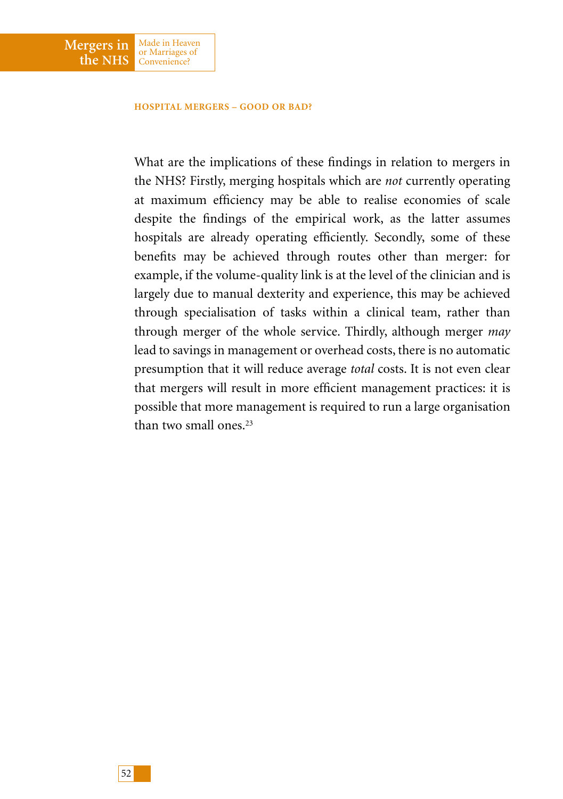Made in Heaven or Marriages of Convenience?

**Mergers in the NHS**

> What are the implications of these findings in relation to mergers in the NHS? Firstly, merging hospitals which are *not* currently operating at maximum efficiency may be able to realise economies of scale despite the findings of the empirical work, as the latter assumes hospitals are already operating efficiently. Secondly, some of these benefits may be achieved through routes other than merger: for example, if the volume-quality link is at the level of the clinician and is largely due to manual dexterity and experience, this may be achieved through specialisation of tasks within a clinical team, rather than through merger of the whole service. Thirdly, although merger *may* lead to savings in management or overhead costs, there is no automatic presumption that it will reduce average *total* costs. It is not even clear that mergers will result in more efficient management practices: it is possible that more management is required to run a large organisation than two small ones<sup>23</sup>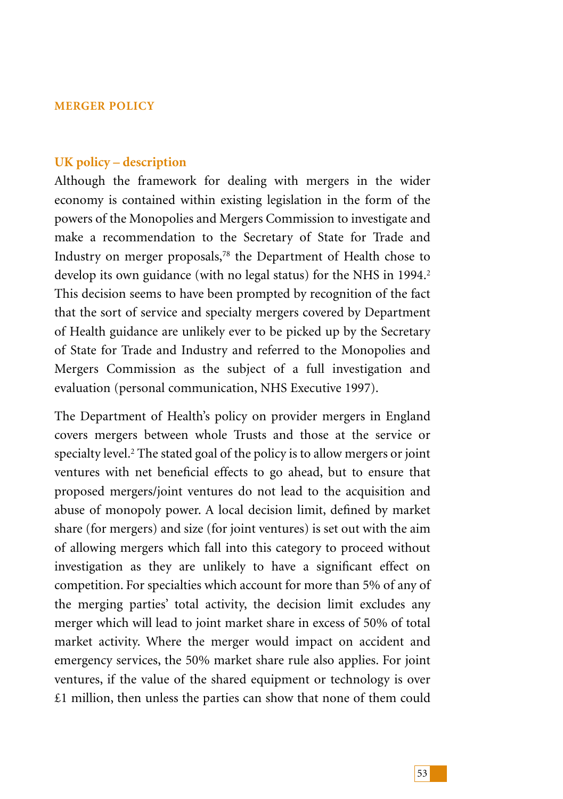# **MERGER POLICY**

### **UK policy – description**

Although the framework for dealing with mergers in the wider economy is contained within existing legislation in the form of the powers of the Monopolies and Mergers Commission to investigate and make a recommendation to the Secretary of State for Trade and Industry on merger proposals,78 the Department of Health chose to develop its own guidance (with no legal status) for the NHS in 1994.<sup>2</sup> This decision seems to have been prompted by recognition of the fact that the sort of service and specialty mergers covered by Department of Health guidance are unlikely ever to be picked up by the Secretary of State for Trade and Industry and referred to the Monopolies and Mergers Commission as the subject of a full investigation and evaluation (personal communication, NHS Executive 1997).

The Department of Health's policy on provider mergers in England covers mergers between whole Trusts and those at the service or specialty level.<sup>2</sup> The stated goal of the policy is to allow mergers or joint ventures with net beneficial effects to go ahead, but to ensure that proposed mergers/joint ventures do not lead to the acquisition and abuse of monopoly power. A local decision limit, defined by market share (for mergers) and size (for joint ventures) is set out with the aim of allowing mergers which fall into this category to proceed without investigation as they are unlikely to have a significant effect on competition. For specialties which account for more than 5% of any of the merging parties' total activity, the decision limit excludes any merger which will lead to joint market share in excess of 50% of total market activity. Where the merger would impact on accident and emergency services, the 50% market share rule also applies. For joint ventures, if the value of the shared equipment or technology is over £1 million, then unless the parties can show that none of them could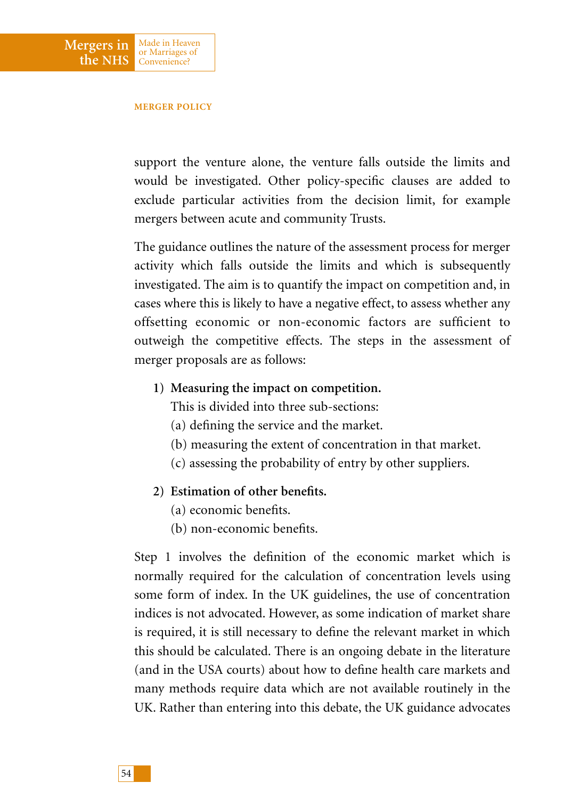

Made in Heaven or Marriages of Convenience?

**Mergers in the NHS**

> support the venture alone, the venture falls outside the limits and would be investigated. Other policy-specific clauses are added to exclude particular activities from the decision limit, for example mergers between acute and community Trusts.

> The guidance outlines the nature of the assessment process for merger activity which falls outside the limits and which is subsequently investigated. The aim is to quantify the impact on competition and, in cases where this is likely to have a negative effect, to assess whether any offsetting economic or non-economic factors are sufficient to outweigh the competitive effects. The steps in the assessment of merger proposals are as follows:

**1) Measuring the impact on competition.**

This is divided into three sub-sections:

- (a) defining the service and the market.
- (b) measuring the extent of concentration in that market.
- (c) assessing the probability of entry by other suppliers.
- **2) Estimation of other benefits.**
	- (a) economic benefits.
	- (b) non-economic benefits.

Step 1 involves the definition of the economic market which is normally required for the calculation of concentration levels using some form of index. In the UK guidelines, the use of concentration indices is not advocated. However, as some indication of market share is required, it is still necessary to define the relevant market in which this should be calculated. There is an ongoing debate in the literature (and in the USA courts) about how to define health care markets and many methods require data which are not available routinely in the UK. Rather than entering into this debate, the UK guidance advocates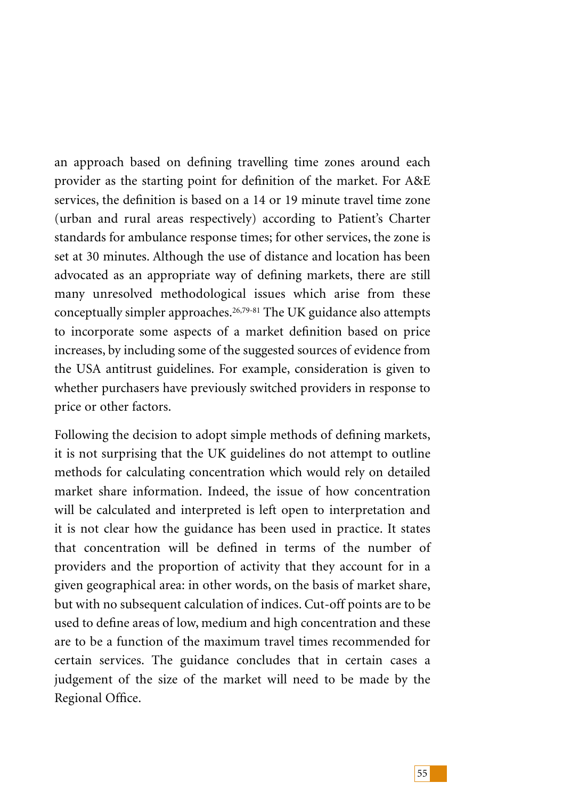an approach based on defining travelling time zones around each provider as the starting point for definition of the market. For A&E services, the definition is based on a 14 or 19 minute travel time zone (urban and rural areas respectively) according to Patient's Charter standards for ambulance response times; for other services, the zone is set at 30 minutes. Although the use of distance and location has been advocated as an appropriate way of defining markets, there are still many unresolved methodological issues which arise from these conceptually simpler approaches.26,79-81 The UK guidance also attempts to incorporate some aspects of a market definition based on price increases, by including some of the suggested sources of evidence from the USA antitrust guidelines. For example, consideration is given to whether purchasers have previously switched providers in response to price or other factors.

Following the decision to adopt simple methods of defining markets, it is not surprising that the UK guidelines do not attempt to outline methods for calculating concentration which would rely on detailed market share information. Indeed, the issue of how concentration will be calculated and interpreted is left open to interpretation and it is not clear how the guidance has been used in practice. It states that concentration will be defined in terms of the number of providers and the proportion of activity that they account for in a given geographical area: in other words, on the basis of market share, but with no subsequent calculation of indices. Cut-off points are to be used to define areas of low, medium and high concentration and these are to be a function of the maximum travel times recommended for certain services. The guidance concludes that in certain cases a judgement of the size of the market will need to be made by the Regional Office.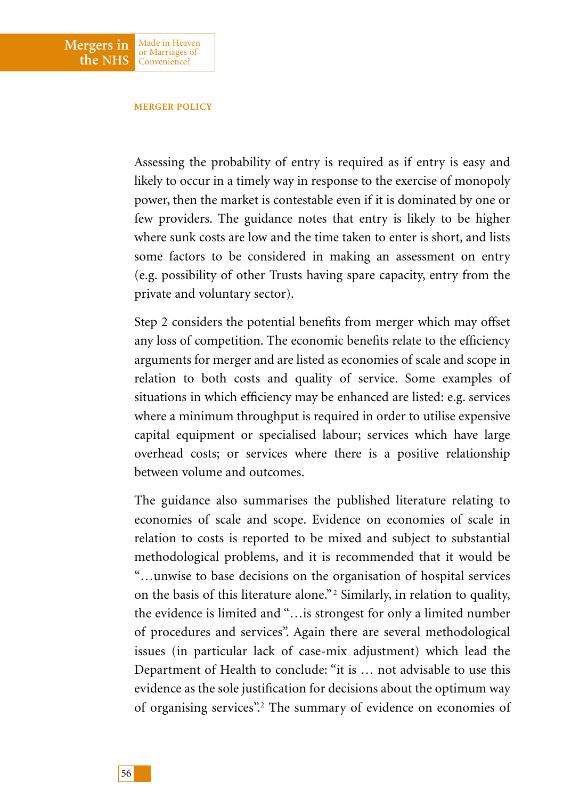

#### **MERGER POLICY**

Assessing the probability of entry is required as if entry is easy and likely to occur in a timely way in response to the exercise of monopoly power, then the market is contestable even if it is dominated by one or few providers. The guidance notes that entry is likely to be higher where sunk costs are low and the time taken to enter is short, and lists some factors to be considered in making an assessment on entry (e.g. possibility of other Trusts having spare capacity, entry from the private and voluntary sector).

Step 2 considers the potential benefits from merger which may offset any loss of competition. The economic benefits relate to the efficiency arguments for merger and are listed as economies of scale and scope in relation to both costs and quality of service. Some examples of situations in which efficiency may be enhanced are listed: e.g. services where a minimum throughput is required in order to utilise expensive capital equipment or specialised labour; services which have large overhead costs; or services where there is a positive relationship between volume and outcomes.

The guidance also summarises the published literature relating to economies of scale and scope. Evidence on economies of scale in relation to costs is reported to be mixed and subject to substantial methodological problems, and it is recommended that it would be "…unwise to base decisions on the organisation of hospital services on the basis of this literature alone." <sup>2</sup> Similarly, in relation to quality, the evidence is limited and "…is strongest for only a limited number of procedures and services". Again there are several methodological issues (in particular lack of case-mix adjustment) which lead the Department of Health to conclude: "it is … not advisable to use this evidence as the sole justification for decisions about the optimum way of organising services".2 The summary of evidence on economies of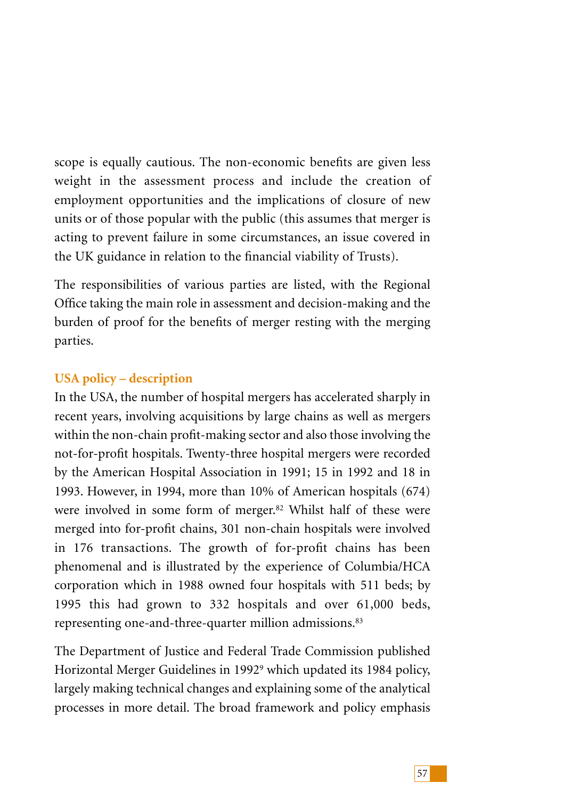scope is equally cautious. The non-economic benefits are given less weight in the assessment process and include the creation of employment opportunities and the implications of closure of new units or of those popular with the public (this assumes that merger is acting to prevent failure in some circumstances, an issue covered in the UK guidance in relation to the financial viability of Trusts).

The responsibilities of various parties are listed, with the Regional Office taking the main role in assessment and decision-making and the burden of proof for the benefits of merger resting with the merging parties.

# **USA policy – description**

In the USA, the number of hospital mergers has accelerated sharply in recent years, involving acquisitions by large chains as well as mergers within the non-chain profit-making sector and also those involving the not-for-profit hospitals. Twenty-three hospital mergers were recorded by the American Hospital Association in 1991; 15 in 1992 and 18 in 1993. However, in 1994, more than 10% of American hospitals (674) were involved in some form of merger.<sup>82</sup> Whilst half of these were merged into for-profit chains, 301 non-chain hospitals were involved in 176 transactions. The growth of for-profit chains has been phenomenal and is illustrated by the experience of Columbia/HCA corporation which in 1988 owned four hospitals with 511 beds; by 1995 this had grown to 332 hospitals and over 61,000 beds, representing one-and-three-quarter million admissions.<sup>83</sup>

The Department of Justice and Federal Trade Commission published Horizontal Merger Guidelines in 1992<sup>9</sup> which updated its 1984 policy, largely making technical changes and explaining some of the analytical processes in more detail. The broad framework and policy emphasis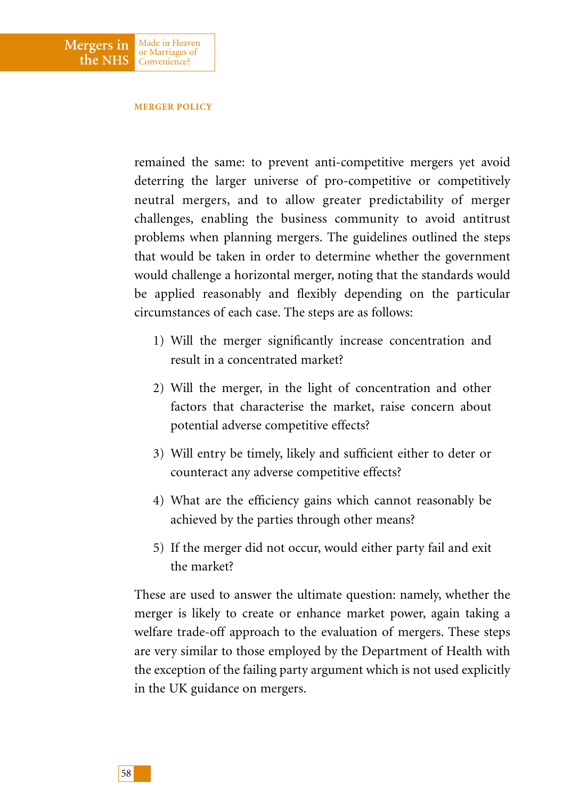

#### **MERGER POLICY**

remained the same: to prevent anti-competitive mergers yet avoid deterring the larger universe of pro-competitive or competitively neutral mergers, and to allow greater predictability of merger challenges, enabling the business community to avoid antitrust problems when planning mergers. The guidelines outlined the steps that would be taken in order to determine whether the government would challenge a horizontal merger, noting that the standards would be applied reasonably and flexibly depending on the particular circumstances of each case. The steps are as follows:

- 1) Will the merger significantly increase concentration and result in a concentrated market?
- 2) Will the merger, in the light of concentration and other factors that characterise the market, raise concern about potential adverse competitive effects?
- 3) Will entry be timely, likely and sufficient either to deter or counteract any adverse competitive effects?
- 4) What are the efficiency gains which cannot reasonably be achieved by the parties through other means?
- 5) If the merger did not occur, would either party fail and exit the market?

These are used to answer the ultimate question: namely, whether the merger is likely to create or enhance market power, again taking a welfare trade-off approach to the evaluation of mergers. These steps are very similar to those employed by the Department of Health with the exception of the failing party argument which is not used explicitly in the UK guidance on mergers.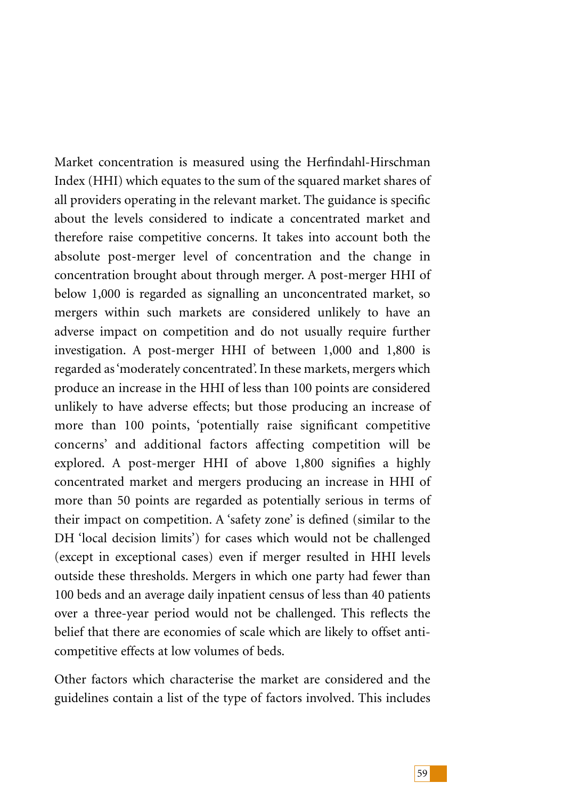Market concentration is measured using the Herfindahl-Hirschman Index (HHI) which equates to the sum of the squared market shares of all providers operating in the relevant market. The guidance is specific about the levels considered to indicate a concentrated market and therefore raise competitive concerns. It takes into account both the absolute post-merger level of concentration and the change in concentration brought about through merger. A post-merger HHI of below 1,000 is regarded as signalling an unconcentrated market, so mergers within such markets are considered unlikely to have an adverse impact on competition and do not usually require further investigation. A post-merger HHI of between 1,000 and 1,800 is regarded as 'moderately concentrated'. In these markets, mergers which produce an increase in the HHI of less than 100 points are considered unlikely to have adverse effects; but those producing an increase of more than 100 points, 'potentially raise significant competitive concerns' and additional factors affecting competition will be explored. A post-merger HHI of above 1,800 signifies a highly concentrated market and mergers producing an increase in HHI of more than 50 points are regarded as potentially serious in terms of their impact on competition. A 'safety zone' is defined (similar to the DH 'local decision limits') for cases which would not be challenged (except in exceptional cases) even if merger resulted in HHI levels outside these thresholds. Mergers in which one party had fewer than 100 beds and an average daily inpatient census of less than 40 patients over a three-year period would not be challenged. This reflects the belief that there are economies of scale which are likely to offset anticompetitive effects at low volumes of beds.

Other factors which characterise the market are considered and the guidelines contain a list of the type of factors involved. This includes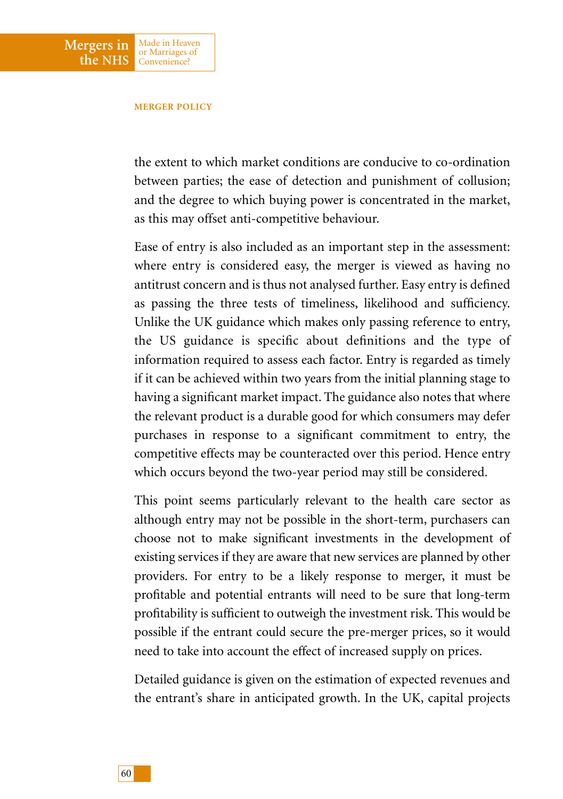#### **MERGER POLICY**

Made in Heaven or Marriages of Convenience?

**Mergers in the NHS**

> the extent to which market conditions are conducive to co-ordination between parties; the ease of detection and punishment of collusion; and the degree to which buying power is concentrated in the market, as this may offset anti-competitive behaviour.

> Ease of entry is also included as an important step in the assessment: where entry is considered easy, the merger is viewed as having no antitrust concern and is thus not analysed further. Easy entry is defined as passing the three tests of timeliness, likelihood and sufficiency. Unlike the UK guidance which makes only passing reference to entry, the US guidance is specific about definitions and the type of information required to assess each factor. Entry is regarded as timely if it can be achieved within two years from the initial planning stage to having a significant market impact. The guidance also notes that where the relevant product is a durable good for which consumers may defer purchases in response to a significant commitment to entry, the competitive effects may be counteracted over this period. Hence entry which occurs beyond the two-year period may still be considered.

> This point seems particularly relevant to the health care sector as although entry may not be possible in the short-term, purchasers can choose not to make significant investments in the development of existing services if they are aware that new services are planned by other providers. For entry to be a likely response to merger, it must be profitable and potential entrants will need to be sure that long-term profitability is sufficient to outweigh the investment risk. This would be possible if the entrant could secure the pre-merger prices, so it would need to take into account the effect of increased supply on prices.

> Detailed guidance is given on the estimation of expected revenues and the entrant's share in anticipated growth. In the UK, capital projects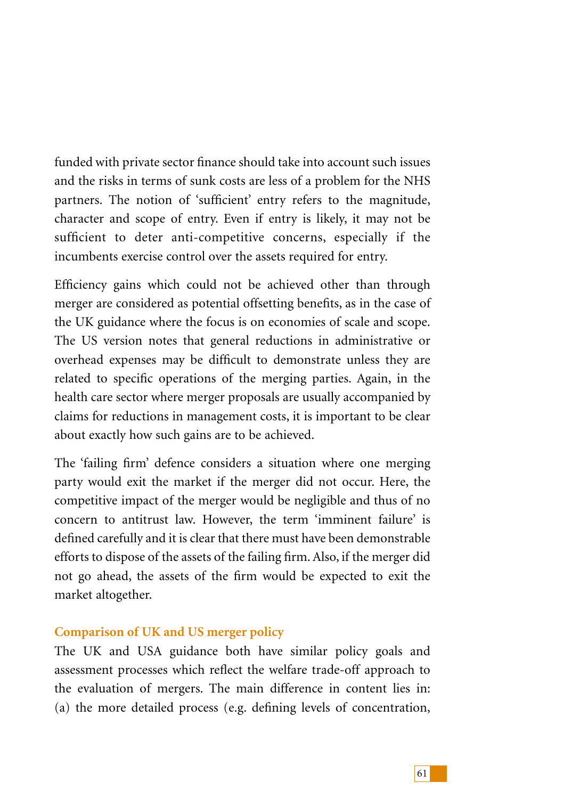funded with private sector finance should take into account such issues and the risks in terms of sunk costs are less of a problem for the NHS partners. The notion of 'sufficient' entry refers to the magnitude, character and scope of entry. Even if entry is likely, it may not be sufficient to deter anti-competitive concerns, especially if the incumbents exercise control over the assets required for entry.

Efficiency gains which could not be achieved other than through merger are considered as potential offsetting benefits, as in the case of the UK guidance where the focus is on economies of scale and scope. The US version notes that general reductions in administrative or overhead expenses may be difficult to demonstrate unless they are related to specific operations of the merging parties. Again, in the health care sector where merger proposals are usually accompanied by claims for reductions in management costs, it is important to be clear about exactly how such gains are to be achieved.

The 'failing firm' defence considers a situation where one merging party would exit the market if the merger did not occur. Here, the competitive impact of the merger would be negligible and thus of no concern to antitrust law. However, the term 'imminent failure' is defined carefully and it is clear that there must have been demonstrable efforts to dispose of the assets of the failing firm. Also, if the merger did not go ahead, the assets of the firm would be expected to exit the market altogether.

## **Comparison of UK and US merger policy**

The UK and USA guidance both have similar policy goals and assessment processes which reflect the welfare trade-off approach to the evaluation of mergers. The main difference in content lies in: (a) the more detailed process (e.g. defining levels of concentration,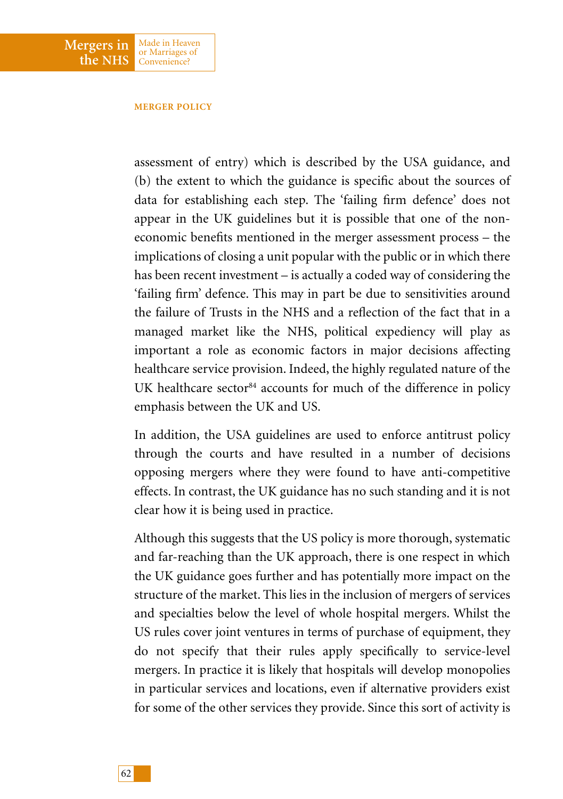#### **MERGER POLICY**

Made in Heaven or Marriages of Convenience?

**Mergers in the NHS**

> assessment of entry) which is described by the USA guidance, and (b) the extent to which the guidance is specific about the sources of data for establishing each step. The 'failing firm defence' does not appear in the UK guidelines but it is possible that one of the noneconomic benefits mentioned in the merger assessment process – the implications of closing a unit popular with the public or in which there has been recent investment – is actually a coded way of considering the 'failing firm' defence. This may in part be due to sensitivities around the failure of Trusts in the NHS and a reflection of the fact that in a managed market like the NHS, political expediency will play as important a role as economic factors in major decisions affecting healthcare service provision. Indeed, the highly regulated nature of the UK healthcare sector<sup>84</sup> accounts for much of the difference in policy emphasis between the UK and US.

> In addition, the USA guidelines are used to enforce antitrust policy through the courts and have resulted in a number of decisions opposing mergers where they were found to have anti-competitive effects. In contrast, the UK guidance has no such standing and it is not clear how it is being used in practice.

> Although this suggests that the US policy is more thorough, systematic and far-reaching than the UK approach, there is one respect in which the UK guidance goes further and has potentially more impact on the structure of the market. This lies in the inclusion of mergers of services and specialties below the level of whole hospital mergers. Whilst the US rules cover joint ventures in terms of purchase of equipment, they do not specify that their rules apply specifically to service-level mergers. In practice it is likely that hospitals will develop monopolies in particular services and locations, even if alternative providers exist for some of the other services they provide. Since this sort of activity is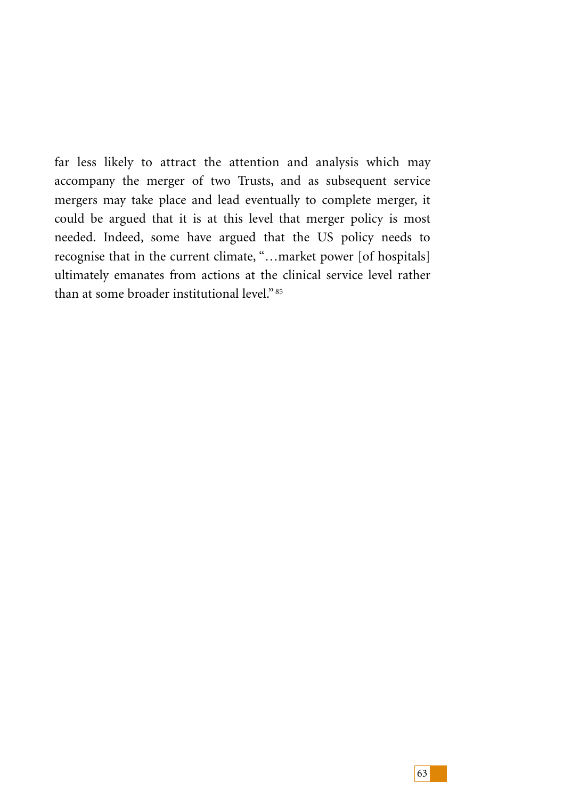far less likely to attract the attention and analysis which may accompany the merger of two Trusts, and as subsequent service mergers may take place and lead eventually to complete merger, it could be argued that it is at this level that merger policy is most needed. Indeed, some have argued that the US policy needs to recognise that in the current climate, "…market power [of hospitals] ultimately emanates from actions at the clinical service level rather than at some broader institutional level." <sup>85</sup>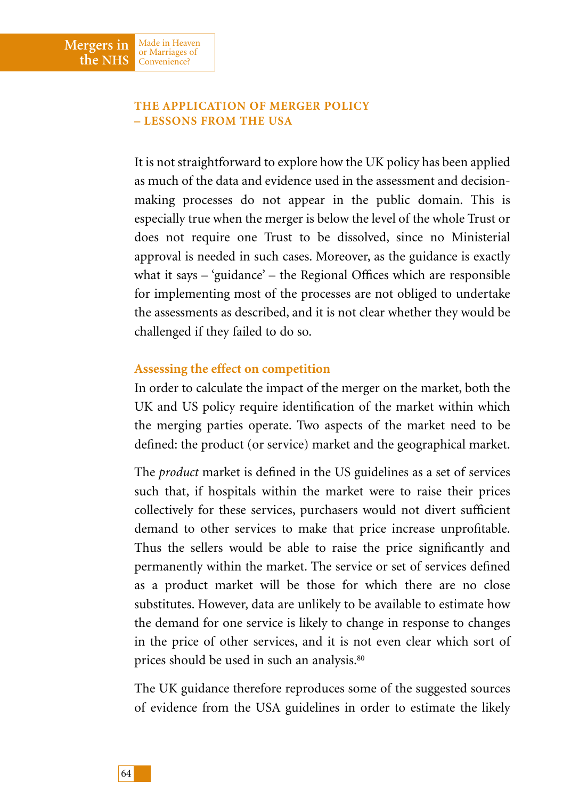**Mergers in the NHS**

Made in Heaven or Marriages of Convenience?

It is not straightforward to explore how the UK policy has been applied as much of the data and evidence used in the assessment and decisionmaking processes do not appear in the public domain. This is especially true when the merger is below the level of the whole Trust or does not require one Trust to be dissolved, since no Ministerial approval is needed in such cases. Moreover, as the guidance is exactly what it says – 'guidance' – the Regional Offices which are responsible for implementing most of the processes are not obliged to undertake the assessments as described, and it is not clear whether they would be challenged if they failed to do so.

# **Assessing the effect on competition**

In order to calculate the impact of the merger on the market, both the UK and US policy require identification of the market within which the merging parties operate. Two aspects of the market need to be defined: the product (or service) market and the geographical market.

The *product* market is defined in the US guidelines as a set of services such that, if hospitals within the market were to raise their prices collectively for these services, purchasers would not divert sufficient demand to other services to make that price increase unprofitable. Thus the sellers would be able to raise the price significantly and permanently within the market. The service or set of services defined as a product market will be those for which there are no close substitutes. However, data are unlikely to be available to estimate how the demand for one service is likely to change in response to changes in the price of other services, and it is not even clear which sort of prices should be used in such an analysis.80

The UK guidance therefore reproduces some of the suggested sources of evidence from the USA guidelines in order to estimate the likely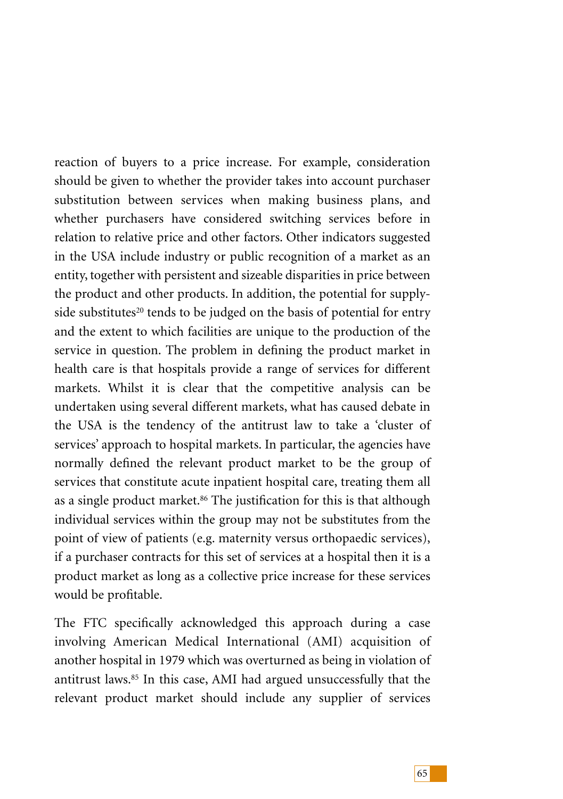reaction of buyers to a price increase. For example, consideration should be given to whether the provider takes into account purchaser substitution between services when making business plans, and whether purchasers have considered switching services before in relation to relative price and other factors. Other indicators suggested in the USA include industry or public recognition of a market as an entity, together with persistent and sizeable disparities in price between the product and other products. In addition, the potential for supplyside substitutes<sup>20</sup> tends to be judged on the basis of potential for entry and the extent to which facilities are unique to the production of the service in question. The problem in defining the product market in health care is that hospitals provide a range of services for different markets. Whilst it is clear that the competitive analysis can be undertaken using several different markets, what has caused debate in the USA is the tendency of the antitrust law to take a 'cluster of services' approach to hospital markets. In particular, the agencies have normally defined the relevant product market to be the group of services that constitute acute inpatient hospital care, treating them all as a single product market.<sup>86</sup> The justification for this is that although individual services within the group may not be substitutes from the point of view of patients (e.g. maternity versus orthopaedic services), if a purchaser contracts for this set of services at a hospital then it is a product market as long as a collective price increase for these services would be profitable.

The FTC specifically acknowledged this approach during a case involving American Medical International (AMI) acquisition of another hospital in 1979 which was overturned as being in violation of antitrust laws.85 In this case, AMI had argued unsuccessfully that the relevant product market should include any supplier of services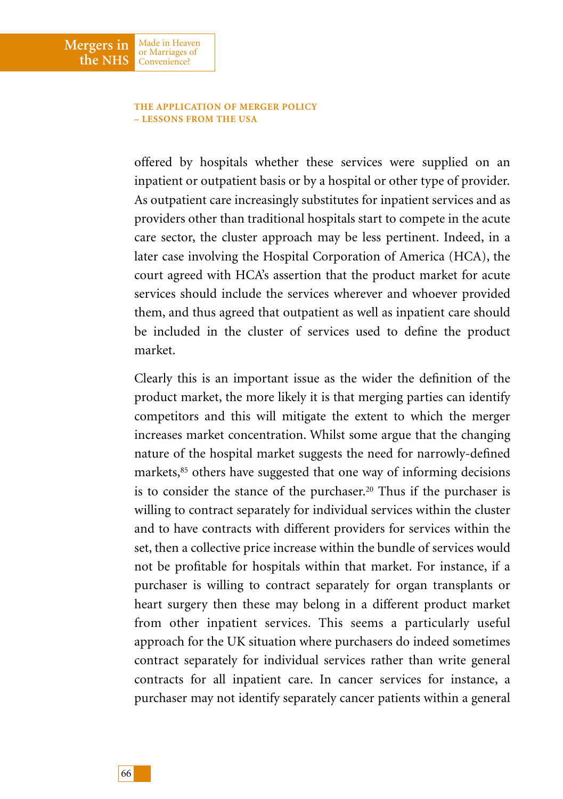### **THE APPLICATION OF MERGER POLICY – LESSONS FROM THE USA**

Made in Heaven or Marriages of Convenience?

**Mergers in the NHS**

> offered by hospitals whether these services were supplied on an inpatient or outpatient basis or by a hospital or other type of provider. As outpatient care increasingly substitutes for inpatient services and as providers other than traditional hospitals start to compete in the acute care sector, the cluster approach may be less pertinent. Indeed, in a later case involving the Hospital Corporation of America (HCA), the court agreed with HCA's assertion that the product market for acute services should include the services wherever and whoever provided them, and thus agreed that outpatient as well as inpatient care should be included in the cluster of services used to define the product market.

> Clearly this is an important issue as the wider the definition of the product market, the more likely it is that merging parties can identify competitors and this will mitigate the extent to which the merger increases market concentration. Whilst some argue that the changing nature of the hospital market suggests the need for narrowly-defined markets,<sup>85</sup> others have suggested that one way of informing decisions is to consider the stance of the purchaser.<sup>20</sup> Thus if the purchaser is willing to contract separately for individual services within the cluster and to have contracts with different providers for services within the set, then a collective price increase within the bundle of services would not be profitable for hospitals within that market. For instance, if a purchaser is willing to contract separately for organ transplants or heart surgery then these may belong in a different product market from other inpatient services. This seems a particularly useful approach for the UK situation where purchasers do indeed sometimes contract separately for individual services rather than write general contracts for all inpatient care. In cancer services for instance, a purchaser may not identify separately cancer patients within a general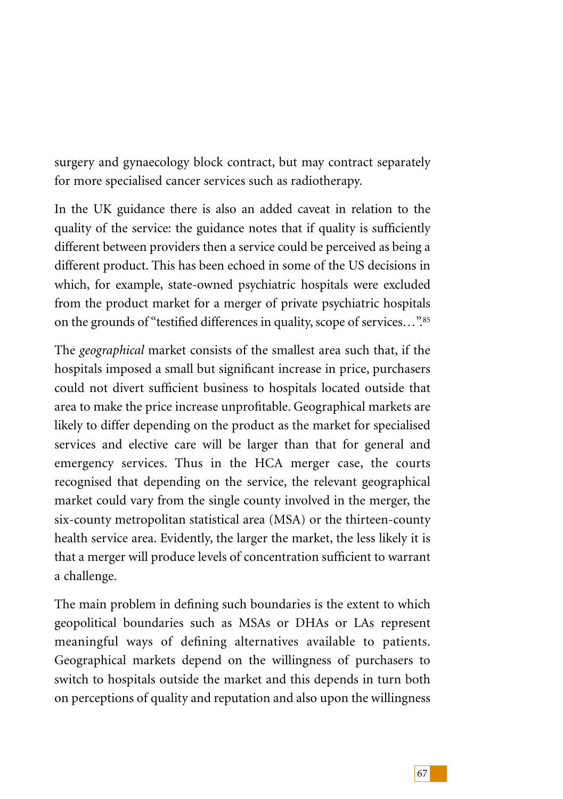surgery and gynaecology block contract, but may contract separately for more specialised cancer services such as radiotherapy.

In the UK guidance there is also an added caveat in relation to the quality of the service: the guidance notes that if quality is sufficiently different between providers then a service could be perceived as being a different product. This has been echoed in some of the US decisions in which, for example, state-owned psychiatric hospitals were excluded from the product market for a merger of private psychiatric hospitals on the grounds of "testified differences in quality, scope of services...".85

The *geographical* market consists of the smallest area such that, if the hospitals imposed a small but significant increase in price, purchasers could not divert sufficient business to hospitals located outside that area to make the price increase unprofitable. Geographical markets are likely to differ depending on the product as the market for specialised services and elective care will be larger than that for general and emergency services. Thus in the HCA merger case, the courts recognised that depending on the service, the relevant geographical market could vary from the single county involved in the merger, the six-county metropolitan statistical area (MSA) or the thirteen-county health service area. Evidently, the larger the market, the less likely it is that a merger will produce levels of concentration sufficient to warrant a challenge.

The main problem in defining such boundaries is the extent to which geopolitical boundaries such as MSAs or DHAs or LAs represent meaningful ways of defining alternatives available to patients. Geographical markets depend on the willingness of purchasers to switch to hospitals outside the market and this depends in turn both on perceptions of quality and reputation and also upon the willingness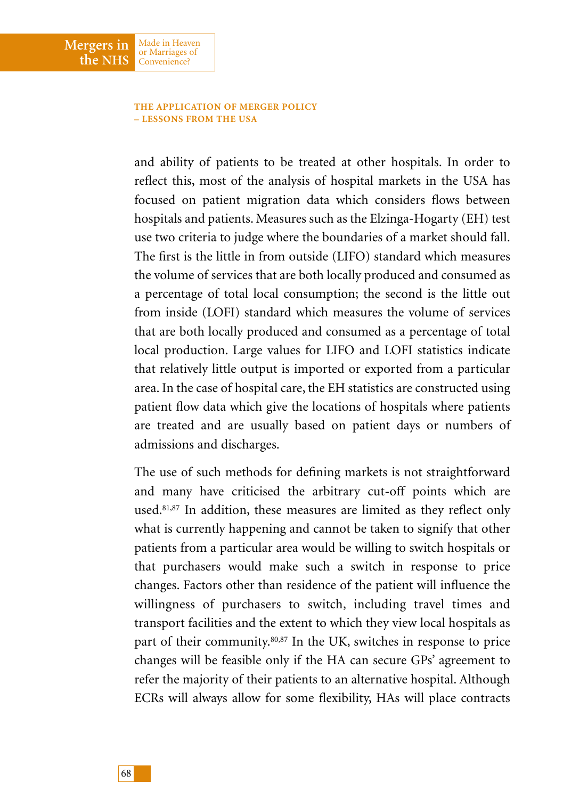### **THE APPLICATION OF MERGER POLICY – LESSONS FROM THE USA**

Made in Heaven or Marriages of Convenience?

**Mergers in the NHS**

> and ability of patients to be treated at other hospitals. In order to reflect this, most of the analysis of hospital markets in the USA has focused on patient migration data which considers flows between hospitals and patients. Measures such as the Elzinga-Hogarty (EH) test use two criteria to judge where the boundaries of a market should fall. The first is the little in from outside (LIFO) standard which measures the volume of services that are both locally produced and consumed as a percentage of total local consumption; the second is the little out from inside (LOFI) standard which measures the volume of services that are both locally produced and consumed as a percentage of total local production. Large values for LIFO and LOFI statistics indicate that relatively little output is imported or exported from a particular area. In the case of hospital care, the EH statistics are constructed using patient flow data which give the locations of hospitals where patients are treated and are usually based on patient days or numbers of admissions and discharges.

> The use of such methods for defining markets is not straightforward and many have criticised the arbitrary cut-off points which are used.81,87 In addition, these measures are limited as they reflect only what is currently happening and cannot be taken to signify that other patients from a particular area would be willing to switch hospitals or that purchasers would make such a switch in response to price changes. Factors other than residence of the patient will influence the willingness of purchasers to switch, including travel times and transport facilities and the extent to which they view local hospitals as part of their community.80,87 In the UK, switches in response to price changes will be feasible only if the HA can secure GPs' agreement to refer the majority of their patients to an alternative hospital. Although ECRs will always allow for some flexibility, HAs will place contracts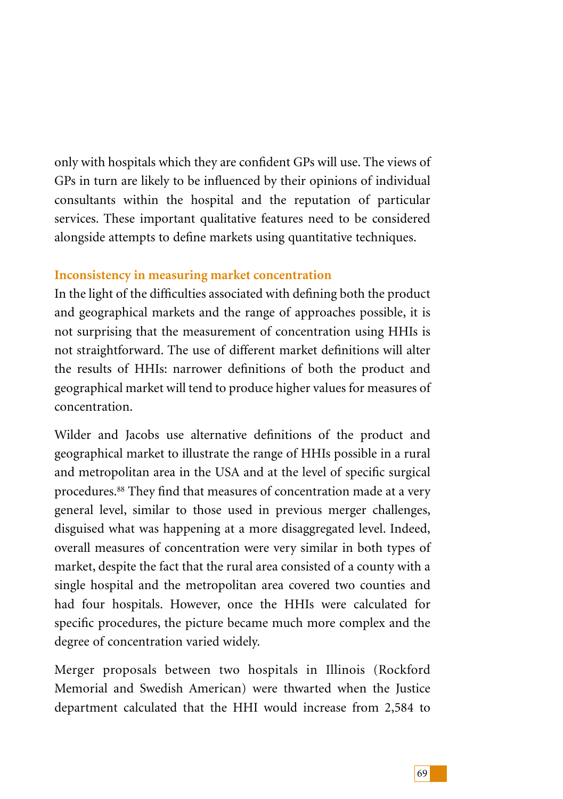only with hospitals which they are confident GPs will use. The views of GPs in turn are likely to be influenced by their opinions of individual consultants within the hospital and the reputation of particular services. These important qualitative features need to be considered alongside attempts to define markets using quantitative techniques.

# **Inconsistency in measuring market concentration**

In the light of the difficulties associated with defining both the product and geographical markets and the range of approaches possible, it is not surprising that the measurement of concentration using HHIs is not straightforward. The use of different market definitions will alter the results of HHIs: narrower definitions of both the product and geographical market will tend to produce higher values for measures of concentration.

Wilder and Jacobs use alternative definitions of the product and geographical market to illustrate the range of HHIs possible in a rural and metropolitan area in the USA and at the level of specific surgical procedures.88 They find that measures of concentration made at a very general level, similar to those used in previous merger challenges, disguised what was happening at a more disaggregated level. Indeed, overall measures of concentration were very similar in both types of market, despite the fact that the rural area consisted of a county with a single hospital and the metropolitan area covered two counties and had four hospitals. However, once the HHIs were calculated for specific procedures, the picture became much more complex and the degree of concentration varied widely.

Merger proposals between two hospitals in Illinois (Rockford Memorial and Swedish American) were thwarted when the Justice department calculated that the HHI would increase from 2,584 to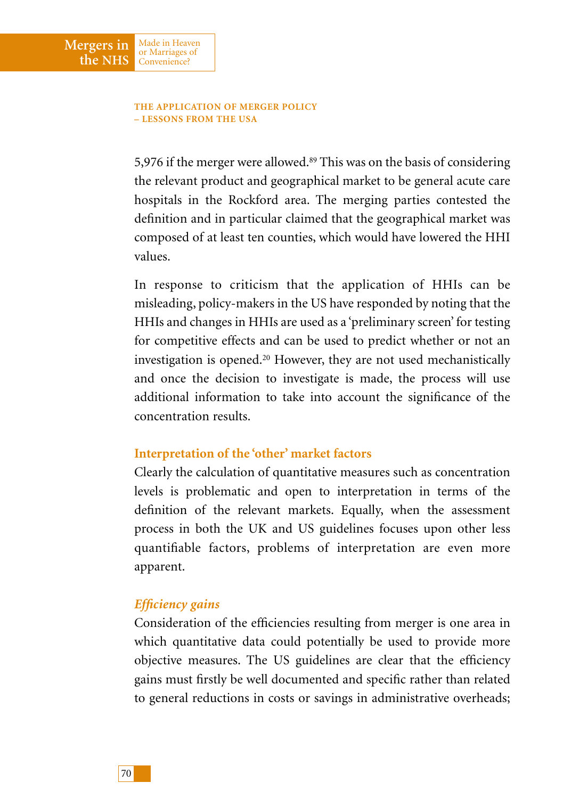### **THE APPLICATION OF MERGER POLICY – LESSONS FROM THE USA**

Made in Heaven or Marriages of Convenience?

**Mergers in the NHS**

> 5,976 if the merger were allowed.89 This was on the basis of considering the relevant product and geographical market to be general acute care hospitals in the Rockford area. The merging parties contested the definition and in particular claimed that the geographical market was composed of at least ten counties, which would have lowered the HHI values.

> In response to criticism that the application of HHIs can be misleading, policy-makers in the US have responded by noting that the HHIs and changes in HHIs are used as a 'preliminary screen' for testing for competitive effects and can be used to predict whether or not an investigation is opened.20 However, they are not used mechanistically and once the decision to investigate is made, the process will use additional information to take into account the significance of the concentration results.

# **Interpretation of the 'other' market factors**

Clearly the calculation of quantitative measures such as concentration levels is problematic and open to interpretation in terms of the definition of the relevant markets. Equally, when the assessment process in both the UK and US guidelines focuses upon other less quantifiable factors, problems of interpretation are even more apparent.

### *Efficiency gains*

Consideration of the efficiencies resulting from merger is one area in which quantitative data could potentially be used to provide more objective measures. The US guidelines are clear that the efficiency gains must firstly be well documented and specific rather than related to general reductions in costs or savings in administrative overheads;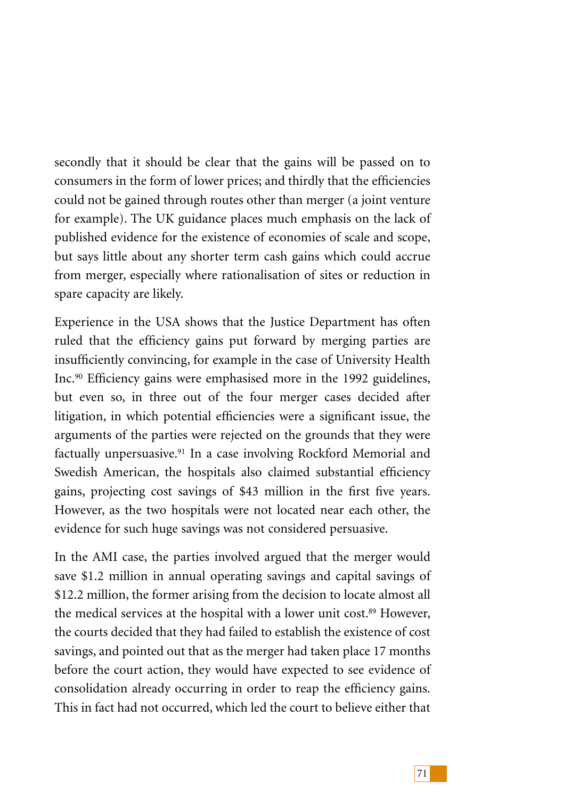secondly that it should be clear that the gains will be passed on to consumers in the form of lower prices; and thirdly that the efficiencies could not be gained through routes other than merger (a joint venture for example). The UK guidance places much emphasis on the lack of published evidence for the existence of economies of scale and scope, but says little about any shorter term cash gains which could accrue from merger, especially where rationalisation of sites or reduction in spare capacity are likely.

Experience in the USA shows that the Justice Department has often ruled that the efficiency gains put forward by merging parties are insufficiently convincing, for example in the case of University Health Inc.90 Efficiency gains were emphasised more in the 1992 guidelines, but even so, in three out of the four merger cases decided after litigation, in which potential efficiencies were a significant issue, the arguments of the parties were rejected on the grounds that they were factually unpersuasive.<sup>91</sup> In a case involving Rockford Memorial and Swedish American, the hospitals also claimed substantial efficiency gains, projecting cost savings of \$43 million in the first five years. However, as the two hospitals were not located near each other, the evidence for such huge savings was not considered persuasive.

In the AMI case, the parties involved argued that the merger would save \$1.2 million in annual operating savings and capital savings of \$12.2 million, the former arising from the decision to locate almost all the medical services at the hospital with a lower unit cost.<sup>89</sup> However, the courts decided that they had failed to establish the existence of cost savings, and pointed out that as the merger had taken place 17 months before the court action, they would have expected to see evidence of consolidation already occurring in order to reap the efficiency gains. This in fact had not occurred, which led the court to believe either that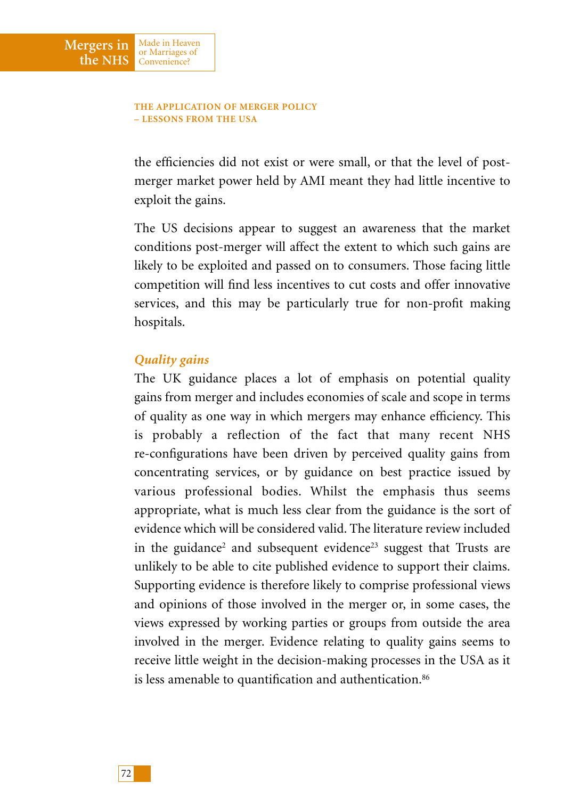the efficiencies did not exist or were small, or that the level of postmerger market power held by AMI meant they had little incentive to exploit the gains.

The US decisions appear to suggest an awareness that the market conditions post-merger will affect the extent to which such gains are likely to be exploited and passed on to consumers. Those facing little competition will find less incentives to cut costs and offer innovative services, and this may be particularly true for non-profit making hospitals.

# *Quality gains*

Made in Heaven or Marriages of Convenience?

**Mergers in the NHS**

> The UK guidance places a lot of emphasis on potential quality gains from merger and includes economies of scale and scope in terms of quality as one way in which mergers may enhance efficiency. This is probably a reflection of the fact that many recent NHS re-configurations have been driven by perceived quality gains from concentrating services, or by guidance on best practice issued by various professional bodies. Whilst the emphasis thus seems appropriate, what is much less clear from the guidance is the sort of evidence which will be considered valid. The literature review included in the guidance<sup>2</sup> and subsequent evidence<sup>23</sup> suggest that Trusts are unlikely to be able to cite published evidence to support their claims. Supporting evidence is therefore likely to comprise professional views and opinions of those involved in the merger or, in some cases, the views expressed by working parties or groups from outside the area involved in the merger. Evidence relating to quality gains seems to receive little weight in the decision-making processes in the USA as it is less amenable to quantification and authentication.<sup>86</sup>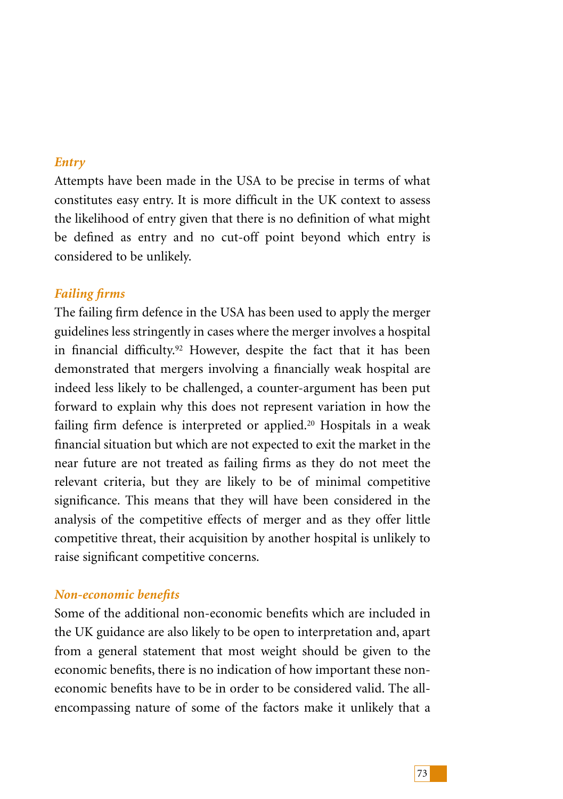# *Entry*

Attempts have been made in the USA to be precise in terms of what constitutes easy entry. It is more difficult in the UK context to assess the likelihood of entry given that there is no definition of what might be defined as entry and no cut-off point beyond which entry is considered to be unlikely.

# *Failing firms*

The failing firm defence in the USA has been used to apply the merger guidelines less stringently in cases where the merger involves a hospital in financial difficulty.92 However, despite the fact that it has been demonstrated that mergers involving a financially weak hospital are indeed less likely to be challenged, a counter-argument has been put forward to explain why this does not represent variation in how the failing firm defence is interpreted or applied.<sup>20</sup> Hospitals in a weak financial situation but which are not expected to exit the market in the near future are not treated as failing firms as they do not meet the relevant criteria, but they are likely to be of minimal competitive significance. This means that they will have been considered in the analysis of the competitive effects of merger and as they offer little competitive threat, their acquisition by another hospital is unlikely to raise significant competitive concerns.

# *Non-economic benefits*

Some of the additional non-economic benefits which are included in the UK guidance are also likely to be open to interpretation and, apart from a general statement that most weight should be given to the economic benefits, there is no indication of how important these noneconomic benefits have to be in order to be considered valid. The allencompassing nature of some of the factors make it unlikely that a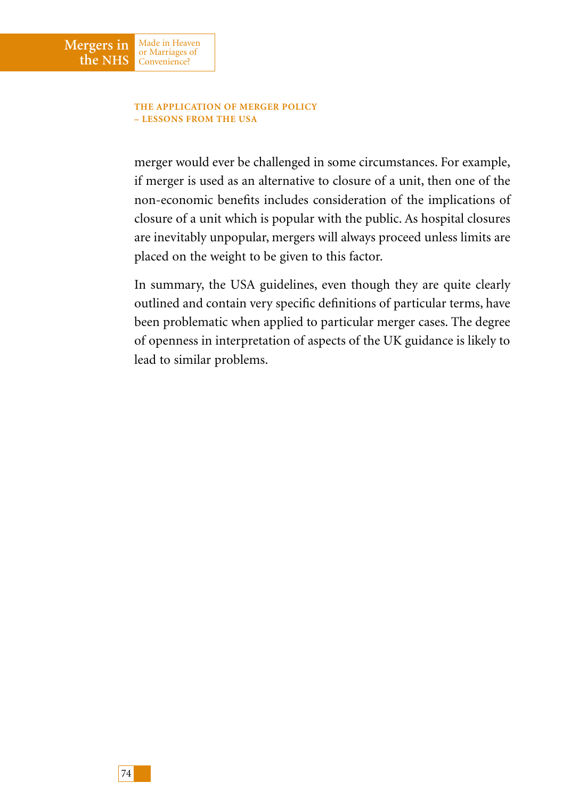Made in Heaven or Marriages of Convenience?

**Mergers in the NHS**

> merger would ever be challenged in some circumstances. For example, if merger is used as an alternative to closure of a unit, then one of the non-economic benefits includes consideration of the implications of closure of a unit which is popular with the public. As hospital closures are inevitably unpopular, mergers will always proceed unless limits are placed on the weight to be given to this factor.

> In summary, the USA guidelines, even though they are quite clearly outlined and contain very specific definitions of particular terms, have been problematic when applied to particular merger cases. The degree of openness in interpretation of aspects of the UK guidance is likely to lead to similar problems.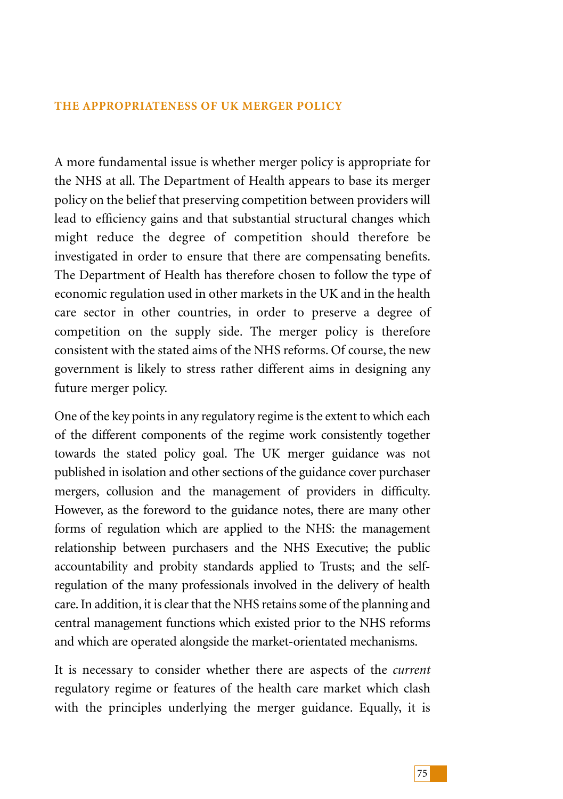A more fundamental issue is whether merger policy is appropriate for the NHS at all. The Department of Health appears to base its merger policy on the belief that preserving competition between providers will lead to efficiency gains and that substantial structural changes which might reduce the degree of competition should therefore be investigated in order to ensure that there are compensating benefits. The Department of Health has therefore chosen to follow the type of economic regulation used in other markets in the UK and in the health care sector in other countries, in order to preserve a degree of competition on the supply side. The merger policy is therefore consistent with the stated aims of the NHS reforms. Of course, the new government is likely to stress rather different aims in designing any future merger policy.

One of the key points in any regulatory regime is the extent to which each of the different components of the regime work consistently together towards the stated policy goal. The UK merger guidance was not published in isolation and other sections of the guidance cover purchaser mergers, collusion and the management of providers in difficulty. However, as the foreword to the guidance notes, there are many other forms of regulation which are applied to the NHS: the management relationship between purchasers and the NHS Executive; the public accountability and probity standards applied to Trusts; and the selfregulation of the many professionals involved in the delivery of health care. In addition, it is clear that the NHS retains some of the planning and central management functions which existed prior to the NHS reforms and which are operated alongside the market-orientated mechanisms.

It is necessary to consider whether there are aspects of the *current* regulatory regime or features of the health care market which clash with the principles underlying the merger guidance. Equally, it is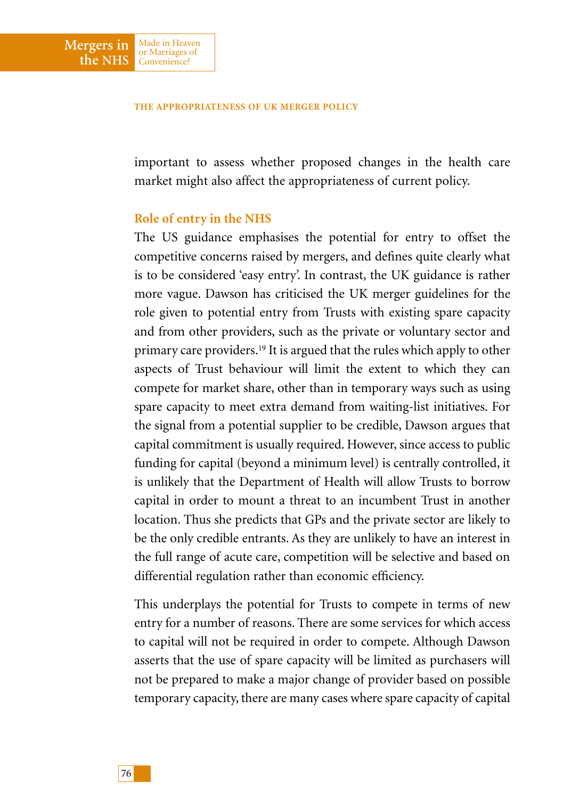important to assess whether proposed changes in the health care market might also affect the appropriateness of current policy.

## **Role of entry in the NHS**

Made in Heaven or Marriages of Convenience?

**Mergers in the NHS**

> The US guidance emphasises the potential for entry to offset the competitive concerns raised by mergers, and defines quite clearly what is to be considered 'easy entry'. In contrast, the UK guidance is rather more vague. Dawson has criticised the UK merger guidelines for the role given to potential entry from Trusts with existing spare capacity and from other providers, such as the private or voluntary sector and primary care providers.19 It is argued that the rules which apply to other aspects of Trust behaviour will limit the extent to which they can compete for market share, other than in temporary ways such as using spare capacity to meet extra demand from waiting-list initiatives. For the signal from a potential supplier to be credible, Dawson argues that capital commitment is usually required. However, since access to public funding for capital (beyond a minimum level) is centrally controlled, it is unlikely that the Department of Health will allow Trusts to borrow capital in order to mount a threat to an incumbent Trust in another location. Thus she predicts that GPs and the private sector are likely to be the only credible entrants. As they are unlikely to have an interest in the full range of acute care, competition will be selective and based on differential regulation rather than economic efficiency.

> This underplays the potential for Trusts to compete in terms of new entry for a number of reasons. There are some services for which access to capital will not be required in order to compete. Although Dawson asserts that the use of spare capacity will be limited as purchasers will not be prepared to make a major change of provider based on possible temporary capacity, there are many cases where spare capacity of capital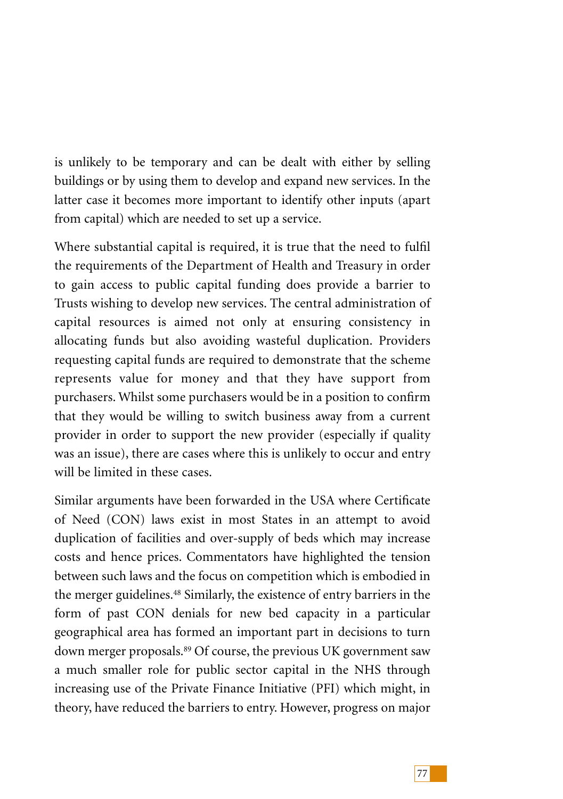is unlikely to be temporary and can be dealt with either by selling buildings or by using them to develop and expand new services. In the latter case it becomes more important to identify other inputs (apart from capital) which are needed to set up a service.

Where substantial capital is required, it is true that the need to fulfil the requirements of the Department of Health and Treasury in order to gain access to public capital funding does provide a barrier to Trusts wishing to develop new services. The central administration of capital resources is aimed not only at ensuring consistency in allocating funds but also avoiding wasteful duplication. Providers requesting capital funds are required to demonstrate that the scheme represents value for money and that they have support from purchasers. Whilst some purchasers would be in a position to confirm that they would be willing to switch business away from a current provider in order to support the new provider (especially if quality was an issue), there are cases where this is unlikely to occur and entry will be limited in these cases.

Similar arguments have been forwarded in the USA where Certificate of Need (CON) laws exist in most States in an attempt to avoid duplication of facilities and over-supply of beds which may increase costs and hence prices. Commentators have highlighted the tension between such laws and the focus on competition which is embodied in the merger guidelines.<sup>48</sup> Similarly, the existence of entry barriers in the form of past CON denials for new bed capacity in a particular geographical area has formed an important part in decisions to turn down merger proposals.<sup>89</sup> Of course, the previous UK government saw a much smaller role for public sector capital in the NHS through increasing use of the Private Finance Initiative (PFI) which might, in theory, have reduced the barriers to entry. However, progress on major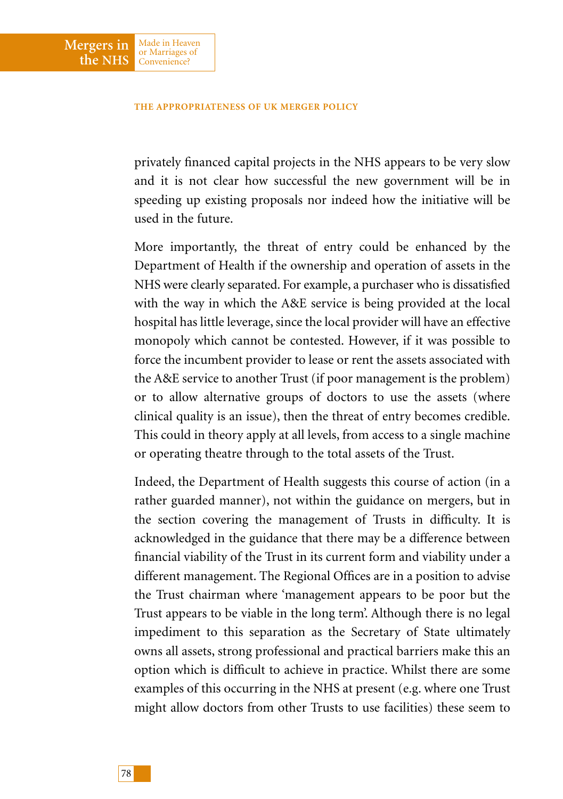**Mergers in the NHS**

Made in Heaven or Marriages of Convenience?

privately financed capital projects in the NHS appears to be very slow and it is not clear how successful the new government will be in speeding up existing proposals nor indeed how the initiative will be used in the future.

More importantly, the threat of entry could be enhanced by the Department of Health if the ownership and operation of assets in the NHS were clearly separated. For example, a purchaser who is dissatisfied with the way in which the A&E service is being provided at the local hospital has little leverage, since the local provider will have an effective monopoly which cannot be contested. However, if it was possible to force the incumbent provider to lease or rent the assets associated with the A&E service to another Trust (if poor management is the problem) or to allow alternative groups of doctors to use the assets (where clinical quality is an issue), then the threat of entry becomes credible. This could in theory apply at all levels, from access to a single machine or operating theatre through to the total assets of the Trust.

Indeed, the Department of Health suggests this course of action (in a rather guarded manner), not within the guidance on mergers, but in the section covering the management of Trusts in difficulty. It is acknowledged in the guidance that there may be a difference between financial viability of the Trust in its current form and viability under a different management. The Regional Offices are in a position to advise the Trust chairman where 'management appears to be poor but the Trust appears to be viable in the long term'. Although there is no legal impediment to this separation as the Secretary of State ultimately owns all assets, strong professional and practical barriers make this an option which is difficult to achieve in practice. Whilst there are some examples of this occurring in the NHS at present (e.g. where one Trust might allow doctors from other Trusts to use facilities) these seem to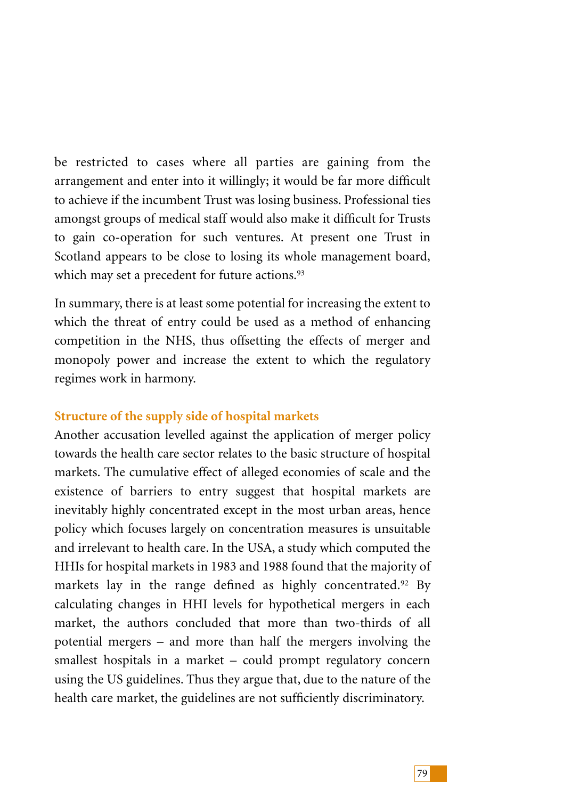be restricted to cases where all parties are gaining from the arrangement and enter into it willingly; it would be far more difficult to achieve if the incumbent Trust was losing business. Professional ties amongst groups of medical staff would also make it difficult for Trusts to gain co-operation for such ventures. At present one Trust in Scotland appears to be close to losing its whole management board, which may set a precedent for future actions.<sup>93</sup>

In summary, there is at least some potential for increasing the extent to which the threat of entry could be used as a method of enhancing competition in the NHS, thus offsetting the effects of merger and monopoly power and increase the extent to which the regulatory regimes work in harmony.

# **Structure of the supply side of hospital markets**

Another accusation levelled against the application of merger policy towards the health care sector relates to the basic structure of hospital markets. The cumulative effect of alleged economies of scale and the existence of barriers to entry suggest that hospital markets are inevitably highly concentrated except in the most urban areas, hence policy which focuses largely on concentration measures is unsuitable and irrelevant to health care. In the USA, a study which computed the HHIs for hospital markets in 1983 and 1988 found that the majority of markets lay in the range defined as highly concentrated.<sup>92</sup> By calculating changes in HHI levels for hypothetical mergers in each market, the authors concluded that more than two-thirds of all potential mergers – and more than half the mergers involving the smallest hospitals in a market – could prompt regulatory concern using the US guidelines. Thus they argue that, due to the nature of the health care market, the guidelines are not sufficiently discriminatory.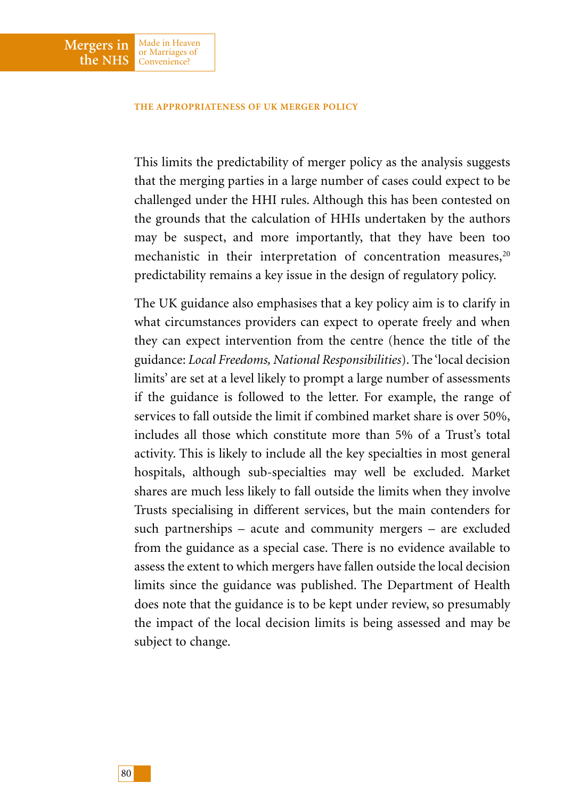**Mergers in the NHS**

Made in Heaven or Marriages of Convenience?

This limits the predictability of merger policy as the analysis suggests that the merging parties in a large number of cases could expect to be challenged under the HHI rules. Although this has been contested on the grounds that the calculation of HHIs undertaken by the authors may be suspect, and more importantly, that they have been too mechanistic in their interpretation of concentration measures,<sup>20</sup> predictability remains a key issue in the design of regulatory policy.

The UK guidance also emphasises that a key policy aim is to clarify in what circumstances providers can expect to operate freely and when they can expect intervention from the centre (hence the title of the guidance: *Local Freedoms, National Responsibilities*). The 'local decision limits' are set at a level likely to prompt a large number of assessments if the guidance is followed to the letter. For example, the range of services to fall outside the limit if combined market share is over 50%, includes all those which constitute more than 5% of a Trust's total activity. This is likely to include all the key specialties in most general hospitals, although sub-specialties may well be excluded. Market shares are much less likely to fall outside the limits when they involve Trusts specialising in different services, but the main contenders for such partnerships – acute and community mergers – are excluded from the guidance as a special case. There is no evidence available to assess the extent to which mergers have fallen outside the local decision limits since the guidance was published. The Department of Health does note that the guidance is to be kept under review, so presumably the impact of the local decision limits is being assessed and may be subject to change.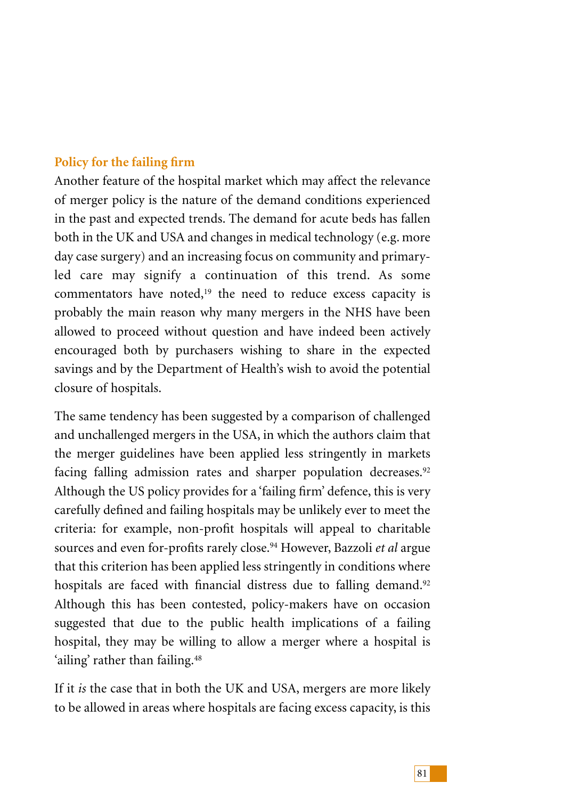# **Policy for the failing firm**

Another feature of the hospital market which may affect the relevance of merger policy is the nature of the demand conditions experienced in the past and expected trends. The demand for acute beds has fallen both in the UK and USA and changes in medical technology (e.g. more day case surgery) and an increasing focus on community and primaryled care may signify a continuation of this trend. As some commentators have noted,<sup>19</sup> the need to reduce excess capacity is probably the main reason why many mergers in the NHS have been allowed to proceed without question and have indeed been actively encouraged both by purchasers wishing to share in the expected savings and by the Department of Health's wish to avoid the potential closure of hospitals.

The same tendency has been suggested by a comparison of challenged and unchallenged mergers in the USA, in which the authors claim that the merger guidelines have been applied less stringently in markets facing falling admission rates and sharper population decreases.<sup>92</sup> Although the US policy provides for a 'failing firm' defence, this is very carefully defined and failing hospitals may be unlikely ever to meet the criteria: for example, non-profit hospitals will appeal to charitable sources and even for-profits rarely close.94 However, Bazzoli *et al* argue that this criterion has been applied less stringently in conditions where hospitals are faced with financial distress due to falling demand.<sup>92</sup> Although this has been contested, policy-makers have on occasion suggested that due to the public health implications of a failing hospital, they may be willing to allow a merger where a hospital is 'ailing' rather than failing.<sup>48</sup>

If it *is* the case that in both the UK and USA, mergers are more likely to be allowed in areas where hospitals are facing excess capacity, is this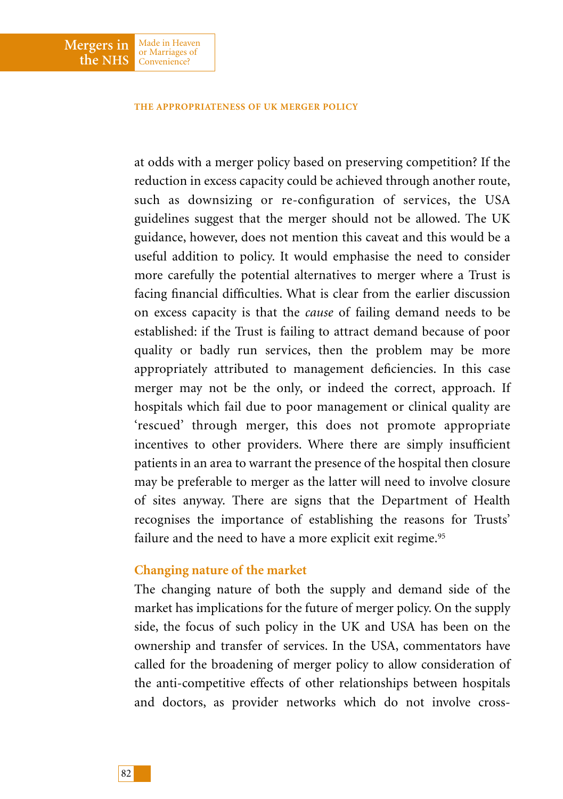**Mergers in the NHS**

Made in Heaven or Marriages of Convenience?

at odds with a merger policy based on preserving competition? If the reduction in excess capacity could be achieved through another route, such as downsizing or re-configuration of services, the USA guidelines suggest that the merger should not be allowed. The UK guidance, however, does not mention this caveat and this would be a useful addition to policy. It would emphasise the need to consider more carefully the potential alternatives to merger where a Trust is facing financial difficulties. What is clear from the earlier discussion on excess capacity is that the *cause* of failing demand needs to be established: if the Trust is failing to attract demand because of poor quality or badly run services, then the problem may be more appropriately attributed to management deficiencies. In this case merger may not be the only, or indeed the correct, approach. If hospitals which fail due to poor management or clinical quality are 'rescued' through merger, this does not promote appropriate incentives to other providers. Where there are simply insufficient patients in an area to warrant the presence of the hospital then closure may be preferable to merger as the latter will need to involve closure of sites anyway. There are signs that the Department of Health recognises the importance of establishing the reasons for Trusts' failure and the need to have a more explicit exit regime.<sup>95</sup>

## **Changing nature of the market**

The changing nature of both the supply and demand side of the market has implications for the future of merger policy. On the supply side, the focus of such policy in the UK and USA has been on the ownership and transfer of services. In the USA, commentators have called for the broadening of merger policy to allow consideration of the anti-competitive effects of other relationships between hospitals and doctors, as provider networks which do not involve cross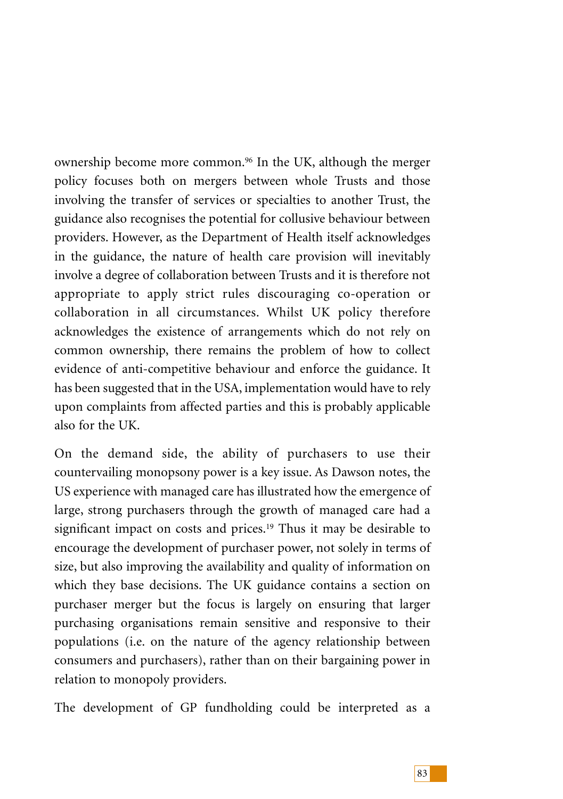ownership become more common.96 In the UK, although the merger policy focuses both on mergers between whole Trusts and those involving the transfer of services or specialties to another Trust, the guidance also recognises the potential for collusive behaviour between providers. However, as the Department of Health itself acknowledges in the guidance, the nature of health care provision will inevitably involve a degree of collaboration between Trusts and it is therefore not appropriate to apply strict rules discouraging co-operation or collaboration in all circumstances. Whilst UK policy therefore acknowledges the existence of arrangements which do not rely on common ownership, there remains the problem of how to collect evidence of anti-competitive behaviour and enforce the guidance. It has been suggested that in the USA, implementation would have to rely upon complaints from affected parties and this is probably applicable also for the UK.

On the demand side, the ability of purchasers to use their countervailing monopsony power is a key issue. As Dawson notes, the US experience with managed care has illustrated how the emergence of large, strong purchasers through the growth of managed care had a significant impact on costs and prices.<sup>19</sup> Thus it may be desirable to encourage the development of purchaser power, not solely in terms of size, but also improving the availability and quality of information on which they base decisions. The UK guidance contains a section on purchaser merger but the focus is largely on ensuring that larger purchasing organisations remain sensitive and responsive to their populations (i.e. on the nature of the agency relationship between consumers and purchasers), rather than on their bargaining power in relation to monopoly providers.

The development of GP fundholding could be interpreted as a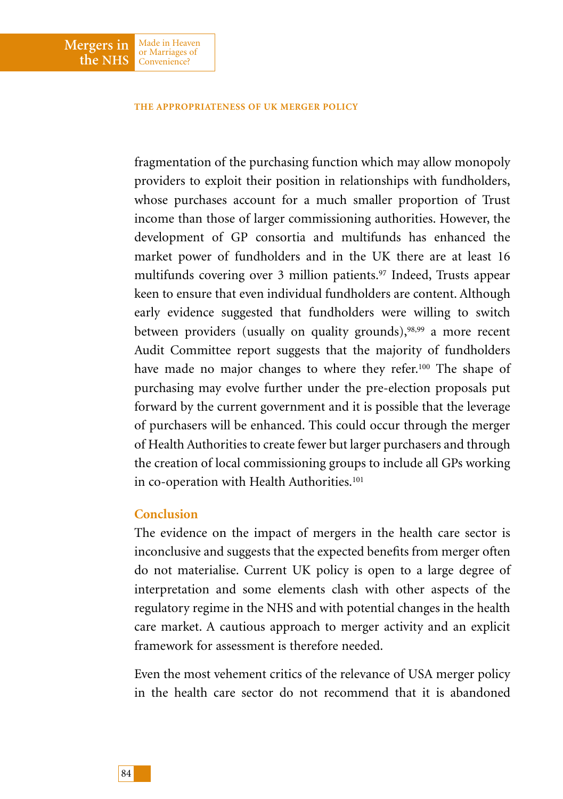fragmentation of the purchasing function which may allow monopoly providers to exploit their position in relationships with fundholders, whose purchases account for a much smaller proportion of Trust income than those of larger commissioning authorities. However, the development of GP consortia and multifunds has enhanced the market power of fundholders and in the UK there are at least 16 multifunds covering over 3 million patients.<sup>97</sup> Indeed, Trusts appear keen to ensure that even individual fundholders are content. Although early evidence suggested that fundholders were willing to switch between providers (usually on quality grounds),<sup>98,99</sup> a more recent Audit Committee report suggests that the majority of fundholders have made no major changes to where they refer.100 The shape of purchasing may evolve further under the pre-election proposals put forward by the current government and it is possible that the leverage of purchasers will be enhanced. This could occur through the merger of Health Authorities to create fewer but larger purchasers and through the creation of local commissioning groups to include all GPs working in co-operation with Health Authorities.<sup>101</sup>

## **Conclusion**

**Mergers in the NHS**

Made in Heaven or Marriages of Convenience?

The evidence on the impact of mergers in the health care sector is inconclusive and suggests that the expected benefits from merger often do not materialise. Current UK policy is open to a large degree of interpretation and some elements clash with other aspects of the regulatory regime in the NHS and with potential changes in the health care market. A cautious approach to merger activity and an explicit framework for assessment is therefore needed.

Even the most vehement critics of the relevance of USA merger policy in the health care sector do not recommend that it is abandoned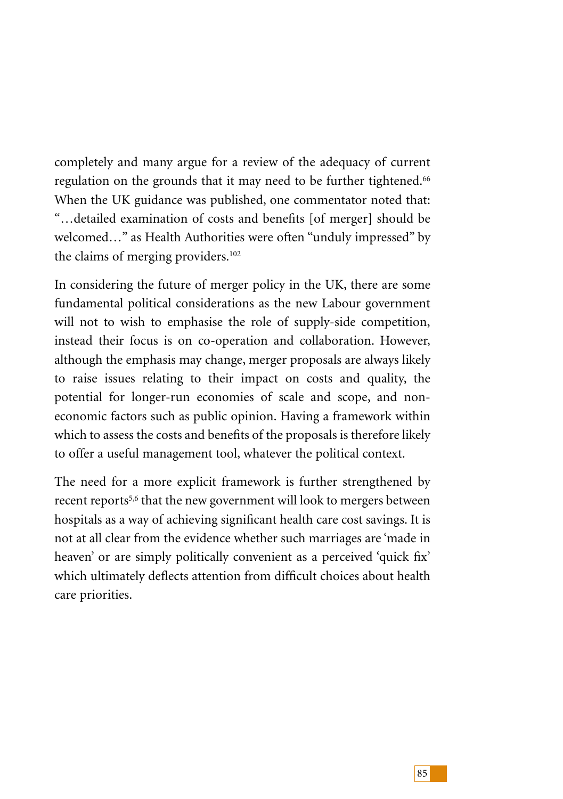completely and many argue for a review of the adequacy of current regulation on the grounds that it may need to be further tightened.<sup>66</sup> When the UK guidance was published, one commentator noted that: "…detailed examination of costs and benefits [of merger] should be welcomed…" as Health Authorities were often "unduly impressed" by the claims of merging providers.102

In considering the future of merger policy in the UK, there are some fundamental political considerations as the new Labour government will not to wish to emphasise the role of supply-side competition, instead their focus is on co-operation and collaboration. However, although the emphasis may change, merger proposals are always likely to raise issues relating to their impact on costs and quality, the potential for longer-run economies of scale and scope, and noneconomic factors such as public opinion. Having a framework within which to assess the costs and benefits of the proposals is therefore likely to offer a useful management tool, whatever the political context.

The need for a more explicit framework is further strengthened by recent reports<sup>5,6</sup> that the new government will look to mergers between hospitals as a way of achieving significant health care cost savings. It is not at all clear from the evidence whether such marriages are 'made in heaven' or are simply politically convenient as a perceived 'quick fix' which ultimately deflects attention from difficult choices about health care priorities.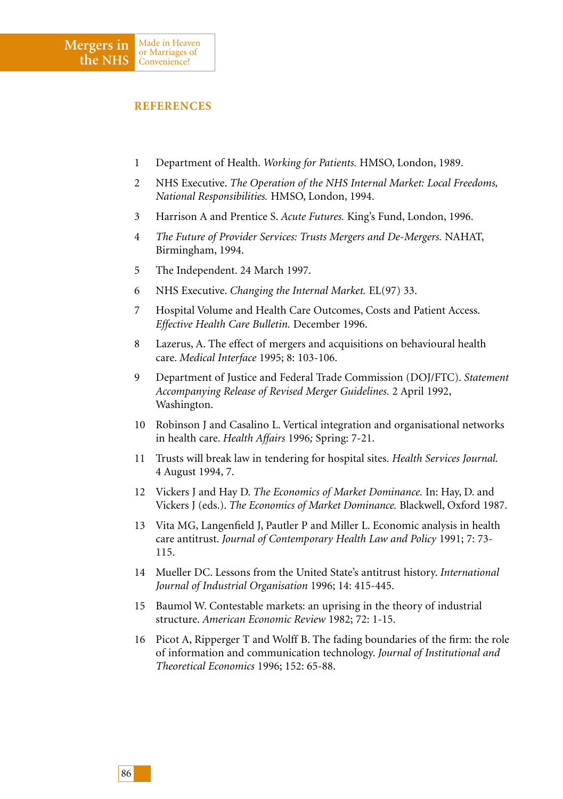- 1 Department of Health. *Working for Patients.* HMSO, London, 1989.
- 2 NHS Executive. *The Operation of the NHS Internal Market: Local Freedoms, National Responsibilities.* HMSO, London, 1994.
- 3 Harrison A and Prentice S. *Acute Futures.* King's Fund, London, 1996.
- 4 *The Future of Provider Services: Trusts Mergers and De-Mergers.* NAHAT, Birmingham, 1994.
- 5 The Independent. 24 March 1997.
- 6 NHS Executive. *Changing the Internal Market.* EL(97) 33.
- 7 Hospital Volume and Health Care Outcomes, Costs and Patient Access. *Effective Health Care Bulletin.* December 1996.
- 8 Lazerus, A. The effect of mergers and acquisitions on behavioural health care. *Medical Interface* 1995; 8: 103-106.
- 9 Department of Justice and Federal Trade Commission (DOJ/FTC). *Statement Accompanying Release of Revised Merger Guidelines.* 2 April 1992, Washington.
- 10 Robinson J and Casalino L. Vertical integration and organisational networks in health care. *Health Affairs* 1996*;* Spring: 7-21.
- 11 Trusts will break law in tendering for hospital sites. *Health Services Journal.* 4 August 1994, 7.
- 12 Vickers J and Hay D. *The Economics of Market Dominance.* In: Hay, D. and Vickers J (eds.). *The Economics of Market Dominance.* Blackwell, Oxford 1987.
- 13 Vita MG, Langenfield J, Pautler P and Miller L. Economic analysis in health care antitrust. *Journal of Contemporary Health Law and Policy* 1991; 7: 73- 115.
- 14 Mueller DC. Lessons from the United State's antitrust history. *International Journal of Industrial Organisation* 1996; 14: 415-445.
- 15 Baumol W. Contestable markets: an uprising in the theory of industrial structure. *American Economic Review* 1982; 72: 1-15.
- 16 Picot A, Ripperger T and Wolff B. The fading boundaries of the firm: the role of information and communication technology. *Journal of Institutional and Theoretical Economics* 1996; 152: 65-88.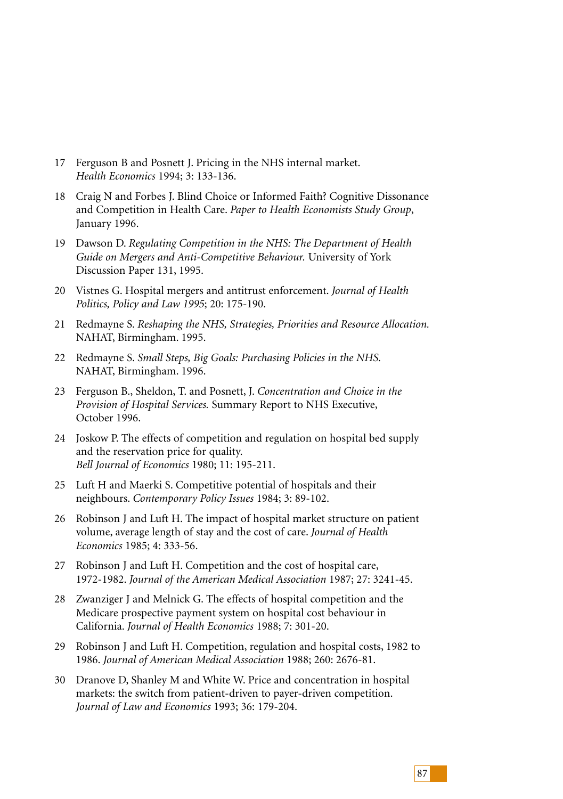- 17 Ferguson B and Posnett J. Pricing in the NHS internal market. *Health Economics* 1994; 3: 133-136.
- 18 Craig N and Forbes J. Blind Choice or Informed Faith? Cognitive Dissonance and Competition in Health Care. *Paper to Health Economists Study Group*, January 1996.
- 19 Dawson D. *Regulating Competition in the NHS: The Department of Health Guide on Mergers and Anti-Competitive Behaviour.* University of York Discussion Paper 131, 1995.
- 20 Vistnes G. Hospital mergers and antitrust enforcement. *Journal of Health Politics, Policy and Law 1995*; 20: 175-190.
- 21 Redmayne S. *Reshaping the NHS, Strategies, Priorities and Resource Allocation.* NAHAT, Birmingham. 1995.
- 22 Redmayne S. *Small Steps, Big Goals: Purchasing Policies in the NHS.* NAHAT, Birmingham. 1996.
- 23 Ferguson B., Sheldon, T. and Posnett, J. *Concentration and Choice in the Provision of Hospital Services.* Summary Report to NHS Executive, October 1996.
- 24 Joskow P. The effects of competition and regulation on hospital bed supply and the reservation price for quality. *Bell Journal of Economics* 1980; 11: 195-211.
- 25 Luft H and Maerki S. Competitive potential of hospitals and their neighbours. *Contemporary Policy Issues* 1984; 3: 89-102.
- 26 Robinson J and Luft H. The impact of hospital market structure on patient volume, average length of stay and the cost of care. *Journal of Health Economics* 1985; 4: 333-56.
- 27 Robinson J and Luft H. Competition and the cost of hospital care, 1972-1982. *Journal of the American Medical Association* 1987; 27: 3241-45.
- 28 Zwanziger J and Melnick G. The effects of hospital competition and the Medicare prospective payment system on hospital cost behaviour in California. *Journal of Health Economics* 1988; 7: 301-20.
- 29 Robinson J and Luft H. Competition, regulation and hospital costs, 1982 to 1986. *Journal of American Medical Association* 1988; 260: 2676-81.
- 30 Dranove D, Shanley M and White W. Price and concentration in hospital markets: the switch from patient-driven to payer-driven competition. *Journal of Law and Economics* 1993; 36: 179-204.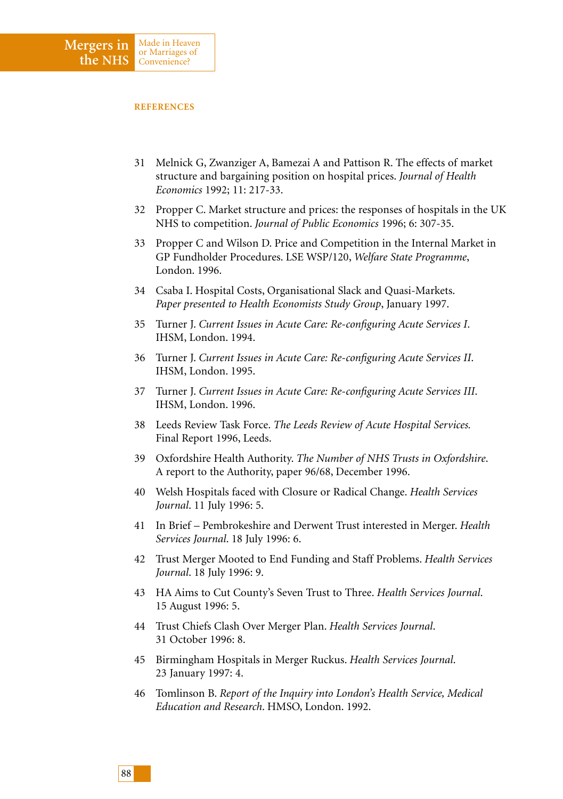- 31 Melnick G, Zwanziger A, Bamezai A and Pattison R. The effects of market structure and bargaining position on hospital prices. *Journal of Health Economics* 1992; 11: 217-33.
- 32 Propper C. Market structure and prices: the responses of hospitals in the UK NHS to competition. *Journal of Public Economics* 1996; 6: 307-35.
- 33 Propper C and Wilson D. Price and Competition in the Internal Market in GP Fundholder Procedures. LSE WSP/120, *Welfare State Programme*, London. 1996.
- 34 Csaba I. Hospital Costs, Organisational Slack and Quasi-Markets. *Paper presented to Health Economists Study Group*, January 1997.
- 35 Turner J. *Current Issues in Acute Care: Re-configuring Acute Services I*. IHSM, London. 1994.
- 36 Turner J. *Current Issues in Acute Care: Re-configuring Acute Services II*. IHSM, London. 1995.
- 37 Turner J. *Current Issues in Acute Care: Re-configuring Acute Services III*. IHSM, London. 1996.
- 38 Leeds Review Task Force. *The Leeds Review of Acute Hospital Services.* Final Report 1996, Leeds.
- 39 Oxfordshire Health Authority. *The Number of NHS Trusts in Oxfordshire*. A report to the Authority, paper 96/68, December 1996.
- 40 Welsh Hospitals faced with Closure or Radical Change. *Health Services Journal*. 11 July 1996: 5.
- 41 In Brief Pembrokeshire and Derwent Trust interested in Merger. *Health Services Journal*. 18 July 1996: 6.
- 42 Trust Merger Mooted to End Funding and Staff Problems. *Health Services Journal*. 18 July 1996: 9.
- 43 HA Aims to Cut County's Seven Trust to Three. *Health Services Journal*. 15 August 1996: 5.
- 44 Trust Chiefs Clash Over Merger Plan. *Health Services Journal*. 31 October 1996: 8.
- 45 Birmingham Hospitals in Merger Ruckus. *Health Services Journal*. 23 January 1997: 4.
- 46 Tomlinson B. *Report of the Inquiry into London's Health Service, Medical Education and Research*. HMSO, London. 1992.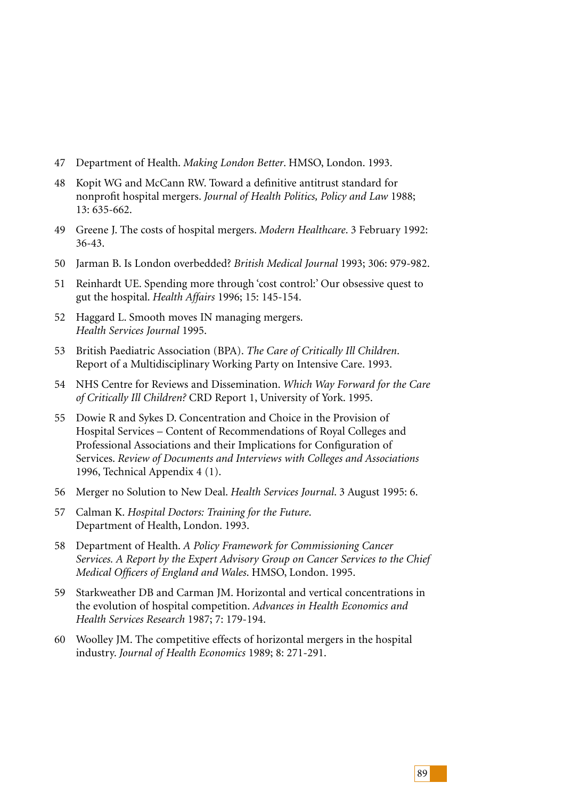- 47 Department of Health. *Making London Better*. HMSO, London. 1993.
- 48 Kopit WG and McCann RW. Toward a definitive antitrust standard for nonprofit hospital mergers. *Journal of Health Politics, Policy and Law* 1988; 13: 635-662.
- 49 Greene J. The costs of hospital mergers. *Modern Healthcare*. 3 February 1992: 36-43.
- 50 Jarman B. Is London overbedded? *British Medical Journal* 1993; 306: 979-982.
- 51 Reinhardt UE. Spending more through 'cost control:' Our obsessive quest to gut the hospital. *Health Affairs* 1996; 15: 145-154.
- 52 Haggard L. Smooth moves IN managing mergers. *Health Services Journal* 1995.
- 53 British Paediatric Association (BPA). *The Care of Critically Ill Children*. Report of a Multidisciplinary Working Party on Intensive Care. 1993.
- 54 NHS Centre for Reviews and Dissemination. *Which Way Forward for the Care of Critically Ill Children?* CRD Report 1, University of York. 1995.
- 55 Dowie R and Sykes D. Concentration and Choice in the Provision of Hospital Services – Content of Recommendations of Royal Colleges and Professional Associations and their Implications for Configuration of Services. *Review of Documents and Interviews with Colleges and Associations* 1996, Technical Appendix 4 (1).
- 56 Merger no Solution to New Deal. *Health Services Journal*. 3 August 1995: 6.
- 57 Calman K. *Hospital Doctors: Training for the Future*. Department of Health, London. 1993.
- 58 Department of Health. *A Policy Framework for Commissioning Cancer Services. A Report by the Expert Advisory Group on Cancer Services to the Chief Medical Officers of England and Wales*. HMSO, London. 1995.
- 59 Starkweather DB and Carman JM. Horizontal and vertical concentrations in the evolution of hospital competition. *Advances in Health Economics and Health Services Research* 1987; 7: 179-194.
- 60 Woolley JM. The competitive effects of horizontal mergers in the hospital industry. *Journal of Health Economics* 1989; 8: 271-291.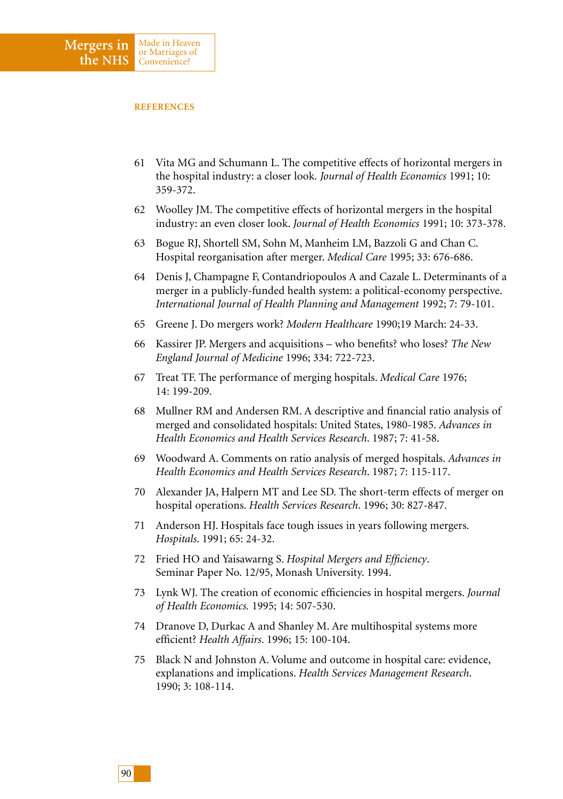- 61 Vita MG and Schumann L. The competitive effects of horizontal mergers in the hospital industry: a closer look. *Journal of Health Economics* 1991; 10: 359-372.
- 62 Woolley JM. The competitive effects of horizontal mergers in the hospital industry: an even closer look. *Journal of Health Economics* 1991; 10: 373-378.
- 63 Bogue RJ, Shortell SM, Sohn M, Manheim LM, Bazzoli G and Chan C. Hospital reorganisation after merger. *Medical Care* 1995; 33: 676-686.
- 64 Denis J, Champagne F, Contandriopoulos A and Cazale L. Determinants of a merger in a publicly-funded health system: a political-economy perspective. *International Journal of Health Planning and Management* 1992; 7: 79-101.
- 65 Greene J. Do mergers work? *Modern Healthcare* 1990;19 March: 24-33.
- 66 Kassirer JP. Mergers and acquisitions who benefits? who loses? *The New England Journal of Medicine* 1996; 334: 722-723.
- 67 Treat TF. The performance of merging hospitals. *Medical Care* 1976; 14: 199-209.
- 68 Mullner RM and Andersen RM. A descriptive and financial ratio analysis of merged and consolidated hospitals: United States, 1980-1985. *Advances in Health Economics and Health Services Research*. 1987; 7: 41-58.
- 69 Woodward A. Comments on ratio analysis of merged hospitals. *Advances in Health Economics and Health Services Research*. 1987; 7: 115-117.
- 70 Alexander JA, Halpern MT and Lee SD. The short-term effects of merger on hospital operations. *Health Services Research*. 1996; 30: 827-847.
- 71 Anderson HJ. Hospitals face tough issues in years following mergers. *Hospitals*. 1991; 65: 24-32.
- 72 Fried HO and Yaisawarng S. *Hospital Mergers and Efficiency*. Seminar Paper No. 12/95, Monash University. 1994.
- 73 Lynk WJ. The creation of economic efficiencies in hospital mergers. *Journal of Health Economics.* 1995; 14: 507-530.
- 74 Dranove D, Durkac A and Shanley M. Are multihospital systems more efficient? *Health Affairs*. 1996; 15: 100-104.
- 75 Black N and Johnston A. Volume and outcome in hospital care: evidence, explanations and implications. *Health Services Management Research*. 1990; 3: 108-114.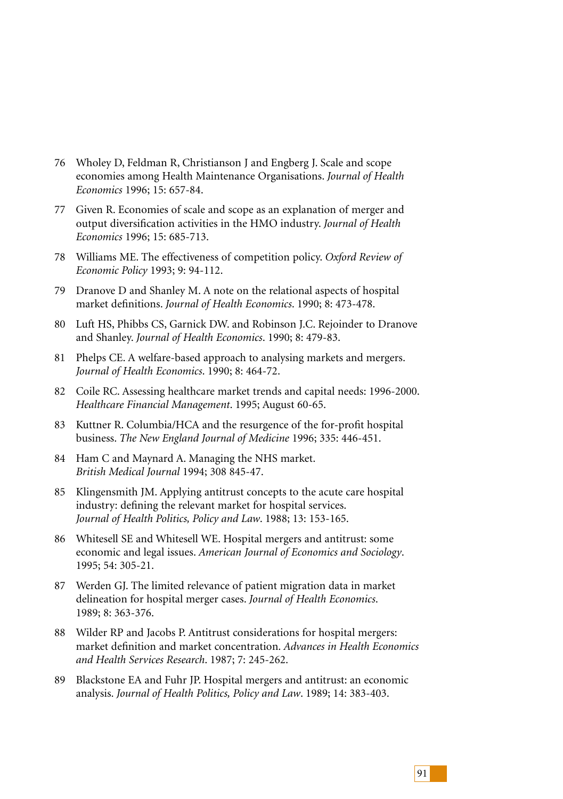- 76 Wholey D, Feldman R, Christianson J and Engberg J. Scale and scope economies among Health Maintenance Organisations. *Journal of Health Economics* 1996; 15: 657-84.
- 77 Given R. Economies of scale and scope as an explanation of merger and output diversification activities in the HMO industry. *Journal of Health Economics* 1996; 15: 685-713.
- 78 Williams ME. The effectiveness of competition policy. *Oxford Review of Economic Policy* 1993; 9: 94-112.
- 79 Dranove D and Shanley M. A note on the relational aspects of hospital market definitions. *Journal of Health Economics*. 1990; 8: 473-478.
- 80 Luft HS, Phibbs CS, Garnick DW. and Robinson J.C. Rejoinder to Dranove and Shanley. *Journal of Health Economics*. 1990; 8: 479-83.
- 81 Phelps CE. A welfare-based approach to analysing markets and mergers. *Journal of Health Economics*. 1990; 8: 464-72.
- 82 Coile RC. Assessing healthcare market trends and capital needs: 1996-2000. *Healthcare Financial Management*. 1995; August 60-65.
- 83 Kuttner R. Columbia/HCA and the resurgence of the for-profit hospital business. *The New England Journal of Medicine* 1996; 335: 446-451.
- 84 Ham C and Maynard A. Managing the NHS market. *British Medical Journal* 1994; 308 845-47.
- 85 Klingensmith JM. Applying antitrust concepts to the acute care hospital industry: defining the relevant market for hospital services. *Journal of Health Politics, Policy and Law*. 1988; 13: 153-165.
- 86 Whitesell SE and Whitesell WE. Hospital mergers and antitrust: some economic and legal issues. *American Journal of Economics and Sociology*. 1995; 54: 305-21.
- 87 Werden GJ. The limited relevance of patient migration data in market delineation for hospital merger cases. *Journal of Health Economics*. 1989; 8: 363-376.
- 88 Wilder RP and Jacobs P. Antitrust considerations for hospital mergers: market definition and market concentration. *Advances in Health Economics and Health Services Research*. 1987; 7: 245-262.
- 89 Blackstone EA and Fuhr JP. Hospital mergers and antitrust: an economic analysis. *Journal of Health Politics, Policy and Law*. 1989; 14: 383-403.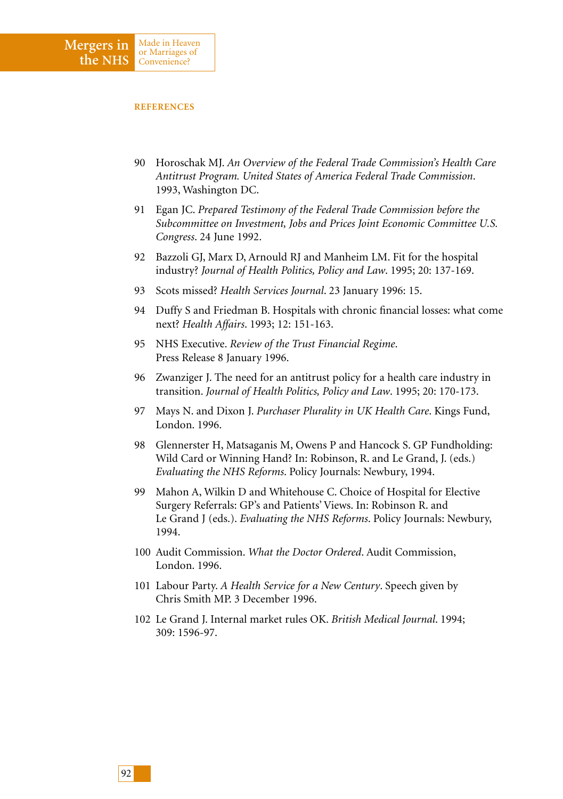- 90 Horoschak MJ. *An Overview of the Federal Trade Commission's Health Care Antitrust Program. United States of America Federal Trade Commission*. 1993, Washington DC.
- 91 Egan JC. *Prepared Testimony of the Federal Trade Commission before the Subcommittee on Investment, Jobs and Prices Joint Economic Committee U.S. Congress*. 24 June 1992.
- 92 Bazzoli GJ, Marx D, Arnould RJ and Manheim LM. Fit for the hospital industry? *Journal of Health Politics, Policy and Law*. 1995; 20: 137-169.
- 93 Scots missed? *Health Services Journal*. 23 January 1996: 15.
- 94 Duffy S and Friedman B. Hospitals with chronic financial losses: what come next? *Health Affairs*. 1993; 12: 151-163.
- 95 NHS Executive. *Review of the Trust Financial Regime*. Press Release 8 January 1996.
- 96 Zwanziger J. The need for an antitrust policy for a health care industry in transition. *Journal of Health Politics, Policy and Law*. 1995; 20: 170-173.
- 97 Mays N. and Dixon J. *Purchaser Plurality in UK Health Care*. Kings Fund, London. 1996.
- 98 Glennerster H, Matsaganis M, Owens P and Hancock S. GP Fundholding: Wild Card or Winning Hand? In: Robinson, R. and Le Grand, J. (eds.) *Evaluating the NHS Reforms*. Policy Journals: Newbury, 1994.
- 99 Mahon A, Wilkin D and Whitehouse C. Choice of Hospital for Elective Surgery Referrals: GP's and Patients' Views. In: Robinson R. and Le Grand J (eds.). *Evaluating the NHS Reforms*. Policy Journals: Newbury, 1994.
- 100 Audit Commission. *What the Doctor Ordered*. Audit Commission, London. 1996.
- 101 Labour Party. *A Health Service for a New Century*. Speech given by Chris Smith MP. 3 December 1996.
- 102 Le Grand J. Internal market rules OK. *British Medical Journal*. 1994; 309: 1596-97.